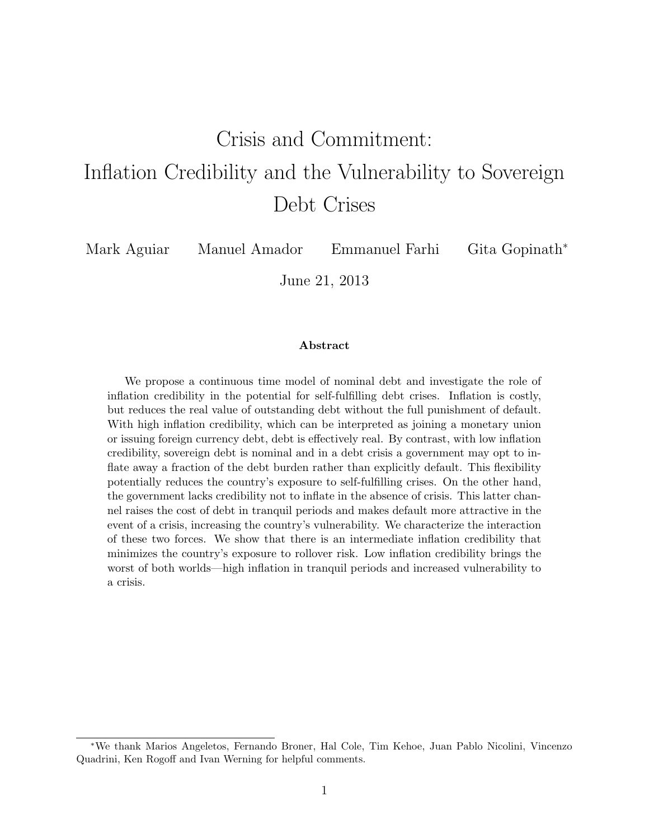# Crisis and Commitment: Inflation Credibility and the Vulnerability to Sovereign Debt Crises

Mark Aguiar Manuel Amador Emmanuel Farhi Gita Gopinath<sup>∗</sup>

June 21, 2013

#### Abstract

We propose a continuous time model of nominal debt and investigate the role of inflation credibility in the potential for self-fulfilling debt crises. Inflation is costly, but reduces the real value of outstanding debt without the full punishment of default. With high inflation credibility, which can be interpreted as joining a monetary union or issuing foreign currency debt, debt is effectively real. By contrast, with low inflation credibility, sovereign debt is nominal and in a debt crisis a government may opt to inflate away a fraction of the debt burden rather than explicitly default. This flexibility potentially reduces the country's exposure to self-fulfilling crises. On the other hand, the government lacks credibility not to inflate in the absence of crisis. This latter channel raises the cost of debt in tranquil periods and makes default more attractive in the event of a crisis, increasing the country's vulnerability. We characterize the interaction of these two forces. We show that there is an intermediate inflation credibility that minimizes the country's exposure to rollover risk. Low inflation credibility brings the worst of both worlds—high inflation in tranquil periods and increased vulnerability to a crisis.

<sup>∗</sup>We thank Marios Angeletos, Fernando Broner, Hal Cole, Tim Kehoe, Juan Pablo Nicolini, Vincenzo Quadrini, Ken Rogoff and Ivan Werning for helpful comments.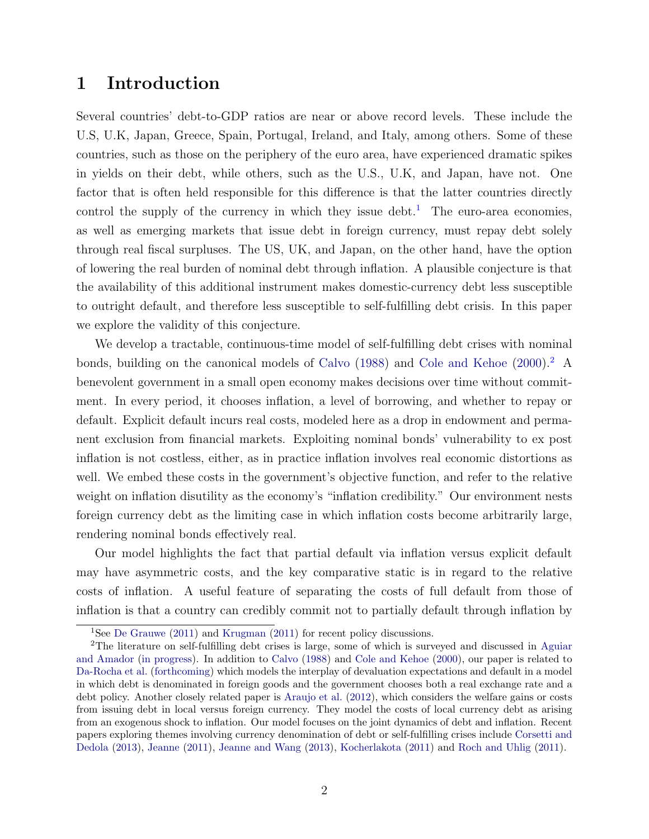## <span id="page-1-2"></span>1 Introduction

Several countries' debt-to-GDP ratios are near or above record levels. These include the U.S, U.K, Japan, Greece, Spain, Portugal, Ireland, and Italy, among others. Some of these countries, such as those on the periphery of the euro area, have experienced dramatic spikes in yields on their debt, while others, such as the U.S., U.K, and Japan, have not. One factor that is often held responsible for this difference is that the latter countries directly control the supply of the currency in which they issue debt.<sup>[1](#page-1-0)</sup> The euro-area economies, as well as emerging markets that issue debt in foreign currency, must repay debt solely through real fiscal surpluses. The US, UK, and Japan, on the other hand, have the option of lowering the real burden of nominal debt through inflation. A plausible conjecture is that the availability of this additional instrument makes domestic-currency debt less susceptible to outright default, and therefore less susceptible to self-fulfilling debt crisis. In this paper we explore the validity of this conjecture.

We develop a tractable, continuous-time model of self-fulfilling debt crises with nominal bonds, building on the canonical models of [Calvo](#page-50-0)  $(1988)$  and [Cole and Kehoe](#page-50-1)  $(2000)$ .<sup>[2](#page-1-1)</sup> A benevolent government in a small open economy makes decisions over time without commitment. In every period, it chooses inflation, a level of borrowing, and whether to repay or default. Explicit default incurs real costs, modeled here as a drop in endowment and permanent exclusion from financial markets. Exploiting nominal bonds' vulnerability to ex post inflation is not costless, either, as in practice inflation involves real economic distortions as well. We embed these costs in the government's objective function, and refer to the relative weight on inflation disutility as the economy's "inflation credibility." Our environment nests foreign currency debt as the limiting case in which inflation costs become arbitrarily large, rendering nominal bonds effectively real.

Our model highlights the fact that partial default via inflation versus explicit default may have asymmetric costs, and the key comparative static is in regard to the relative costs of inflation. A useful feature of separating the costs of full default from those of inflation is that a country can credibly commit not to partially default through inflation by

<span id="page-1-1"></span><span id="page-1-0"></span><sup>1</sup>See [De Grauwe](#page-50-2) [\(2011\)](#page-50-2) and [Krugman](#page-50-3) [\(2011\)](#page-50-3) for recent policy discussions.

<sup>2</sup>The literature on self-fulfilling debt crises is large, some of which is surveyed and discussed in [Aguiar](#page-50-4) [and Amador](#page-50-4) [\(in progress\)](#page-50-4). In addition to [Calvo](#page-50-0) [\(1988\)](#page-50-0) and [Cole and Kehoe](#page-50-1) [\(2000\)](#page-50-1), our paper is related to [Da-Rocha et al.](#page-50-5) [\(forthcoming\)](#page-50-5) which models the interplay of devaluation expectations and default in a model in which debt is denominated in foreign goods and the government chooses both a real exchange rate and a debt policy. Another closely related paper is [Araujo et al.](#page-50-6) [\(2012\)](#page-50-6), which considers the welfare gains or costs from issuing debt in local versus foreign currency. They model the costs of local currency debt as arising from an exogenous shock to inflation. Our model focuses on the joint dynamics of debt and inflation. Recent papers exploring themes involving currency denomination of debt or self-fulfilling crises include [Corsetti and](#page-50-7) [Dedola](#page-50-7) [\(2013\)](#page-50-7), [Jeanne](#page-50-8) [\(2011\)](#page-50-8), [Jeanne and Wang](#page-50-9) [\(2013\)](#page-50-9), [Kocherlakota](#page-50-10) [\(2011\)](#page-50-10) and [Roch and Uhlig](#page-51-0) [\(2011\)](#page-51-0).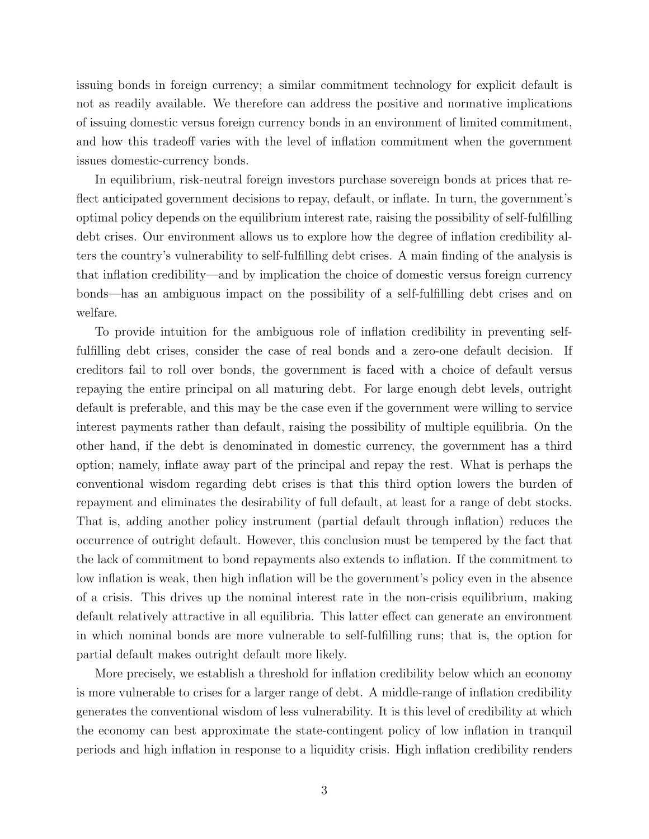issuing bonds in foreign currency; a similar commitment technology for explicit default is not as readily available. We therefore can address the positive and normative implications of issuing domestic versus foreign currency bonds in an environment of limited commitment, and how this tradeoff varies with the level of inflation commitment when the government issues domestic-currency bonds.

In equilibrium, risk-neutral foreign investors purchase sovereign bonds at prices that reflect anticipated government decisions to repay, default, or inflate. In turn, the government's optimal policy depends on the equilibrium interest rate, raising the possibility of self-fulfilling debt crises. Our environment allows us to explore how the degree of inflation credibility alters the country's vulnerability to self-fulfilling debt crises. A main finding of the analysis is that inflation credibility—and by implication the choice of domestic versus foreign currency bonds—has an ambiguous impact on the possibility of a self-fulfilling debt crises and on welfare.

To provide intuition for the ambiguous role of inflation credibility in preventing selffulfilling debt crises, consider the case of real bonds and a zero-one default decision. If creditors fail to roll over bonds, the government is faced with a choice of default versus repaying the entire principal on all maturing debt. For large enough debt levels, outright default is preferable, and this may be the case even if the government were willing to service interest payments rather than default, raising the possibility of multiple equilibria. On the other hand, if the debt is denominated in domestic currency, the government has a third option; namely, inflate away part of the principal and repay the rest. What is perhaps the conventional wisdom regarding debt crises is that this third option lowers the burden of repayment and eliminates the desirability of full default, at least for a range of debt stocks. That is, adding another policy instrument (partial default through inflation) reduces the occurrence of outright default. However, this conclusion must be tempered by the fact that the lack of commitment to bond repayments also extends to inflation. If the commitment to low inflation is weak, then high inflation will be the government's policy even in the absence of a crisis. This drives up the nominal interest rate in the non-crisis equilibrium, making default relatively attractive in all equilibria. This latter effect can generate an environment in which nominal bonds are more vulnerable to self-fulfilling runs; that is, the option for partial default makes outright default more likely.

More precisely, we establish a threshold for inflation credibility below which an economy is more vulnerable to crises for a larger range of debt. A middle-range of inflation credibility generates the conventional wisdom of less vulnerability. It is this level of credibility at which the economy can best approximate the state-contingent policy of low inflation in tranquil periods and high inflation in response to a liquidity crisis. High inflation credibility renders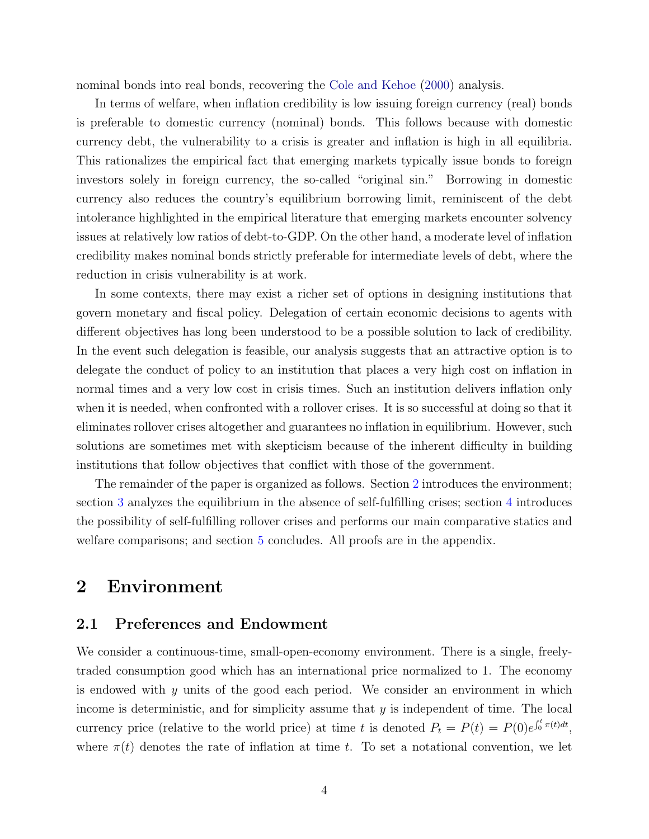nominal bonds into real bonds, recovering the [Cole and Kehoe](#page-50-1) [\(2000\)](#page-50-1) analysis.

In terms of welfare, when inflation credibility is low issuing foreign currency (real) bonds is preferable to domestic currency (nominal) bonds. This follows because with domestic currency debt, the vulnerability to a crisis is greater and inflation is high in all equilibria. This rationalizes the empirical fact that emerging markets typically issue bonds to foreign investors solely in foreign currency, the so-called "original sin." Borrowing in domestic currency also reduces the country's equilibrium borrowing limit, reminiscent of the debt intolerance highlighted in the empirical literature that emerging markets encounter solvency issues at relatively low ratios of debt-to-GDP. On the other hand, a moderate level of inflation credibility makes nominal bonds strictly preferable for intermediate levels of debt, where the reduction in crisis vulnerability is at work.

In some contexts, there may exist a richer set of options in designing institutions that govern monetary and fiscal policy. Delegation of certain economic decisions to agents with different objectives has long been understood to be a possible solution to lack of credibility. In the event such delegation is feasible, our analysis suggests that an attractive option is to delegate the conduct of policy to an institution that places a very high cost on inflation in normal times and a very low cost in crisis times. Such an institution delivers inflation only when it is needed, when confronted with a rollover crises. It is so successful at doing so that it eliminates rollover crises altogether and guarantees no inflation in equilibrium. However, such solutions are sometimes met with skepticism because of the inherent difficulty in building institutions that follow objectives that conflict with those of the government.

The remainder of the paper is organized as follows. Section [2](#page-3-0) introduces the environment; section [3](#page-8-0) analyzes the equilibrium in the absence of self-fulfilling crises; section [4](#page-19-0) introduces the possibility of self-fulfilling rollover crises and performs our main comparative statics and welfare comparisons; and section [5](#page-42-0) concludes. All proofs are in the appendix.

### <span id="page-3-0"></span>2 Environment

#### 2.1 Preferences and Endowment

We consider a continuous-time, small-open-economy environment. There is a single, freelytraded consumption good which has an international price normalized to 1. The economy is endowed with  $y$  units of the good each period. We consider an environment in which income is deterministic, and for simplicity assume that  $y$  is independent of time. The local currency price (relative to the world price) at time t is denoted  $P_t = P(t) = P(0)e^{\int_0^t \pi(t)dt}$ , where  $\pi(t)$  denotes the rate of inflation at time t. To set a notational convention, we let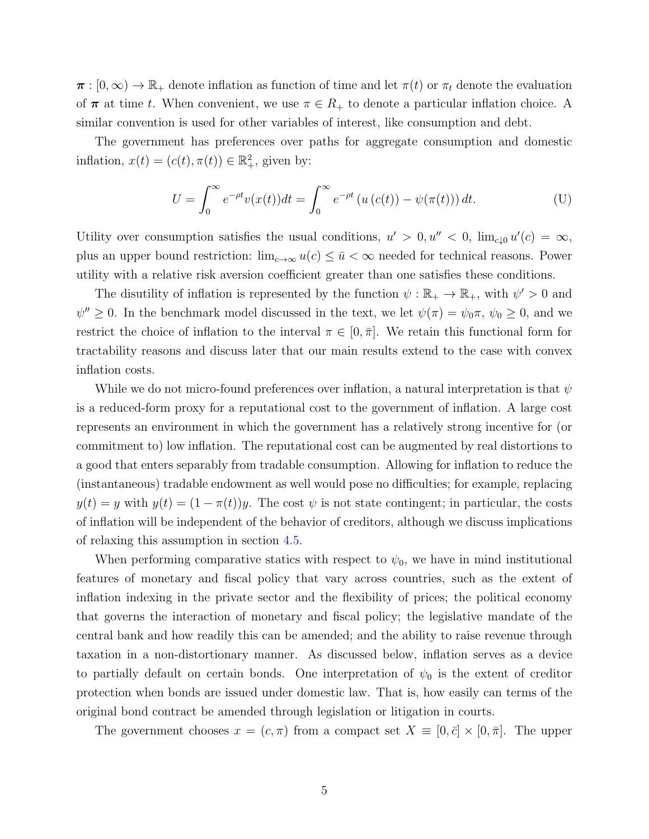$\pi : [0, \infty) \to \mathbb{R}_+$  denote inflation as function of time and let  $\pi(t)$  or  $\pi_t$  denote the evaluation of  $\pi$  at time t. When convenient, we use  $\pi \in R_+$  to denote a particular inflation choice. A similar convention is used for other variables of interest, like consumption and debt.

The government has preferences over paths for aggregate consumption and domestic inflation,  $x(t) = (c(t), \pi(t)) \in \mathbb{R}^2_+$ , given by:

$$
U = \int_0^\infty e^{-\rho t} v(x(t)) dt = \int_0^\infty e^{-\rho t} \left( u\left(c(t)\right) - \psi(\pi(t)) \right) dt.
$$
 (U)

Utility over consumption satisfies the usual conditions,  $u' > 0, u'' < 0$ ,  $\lim_{c \downarrow 0} u'(c) = \infty$ , plus an upper bound restriction:  $\lim_{c\to\infty} u(c) \leq \bar{u} < \infty$  needed for technical reasons. Power utility with a relative risk aversion coefficient greater than one satisfies these conditions.

The disutility of inflation is represented by the function  $\psi : \mathbb{R}_+ \to \mathbb{R}_+$ , with  $\psi' > 0$  and  $\psi'' \geq 0$ . In the benchmark model discussed in the text, we let  $\psi(\pi) = \psi_0 \pi$ ,  $\psi_0 \geq 0$ , and we restrict the choice of inflation to the interval  $\pi \in [0, \bar{\pi}]$ . We retain this functional form for tractability reasons and discuss later that our main results extend to the case with convex inflation costs.

While we do not micro-found preferences over inflation, a natural interpretation is that  $\psi$ is a reduced-form proxy for a reputational cost to the government of inflation. A large cost represents an environment in which the government has a relatively strong incentive for (or commitment to) low inflation. The reputational cost can be augmented by real distortions to a good that enters separably from tradable consumption. Allowing for inflation to reduce the (instantaneous) tradable endowment as well would pose no difficulties; for example, replacing  $y(t) = y$  with  $y(t) = (1 - \pi(t))y$ . The cost  $\psi$  is not state contingent; in particular, the costs of inflation will be independent of the behavior of creditors, although we discuss implications of relaxing this assumption in section [4.5.](#page-27-0)

When performing comparative statics with respect to  $\psi_0$ , we have in mind institutional features of monetary and fiscal policy that vary across countries, such as the extent of inflation indexing in the private sector and the flexibility of prices; the political economy that governs the interaction of monetary and fiscal policy; the legislative mandate of the central bank and how readily this can be amended; and the ability to raise revenue through taxation in a non-distortionary manner. As discussed below, inflation serves as a device to partially default on certain bonds. One interpretation of  $\psi_0$  is the extent of creditor protection when bonds are issued under domestic law. That is, how easily can terms of the original bond contract be amended through legislation or litigation in courts.

The government chooses  $x = (c, \pi)$  from a compact set  $X \equiv [0, \bar{c}] \times [0, \bar{\pi}]$ . The upper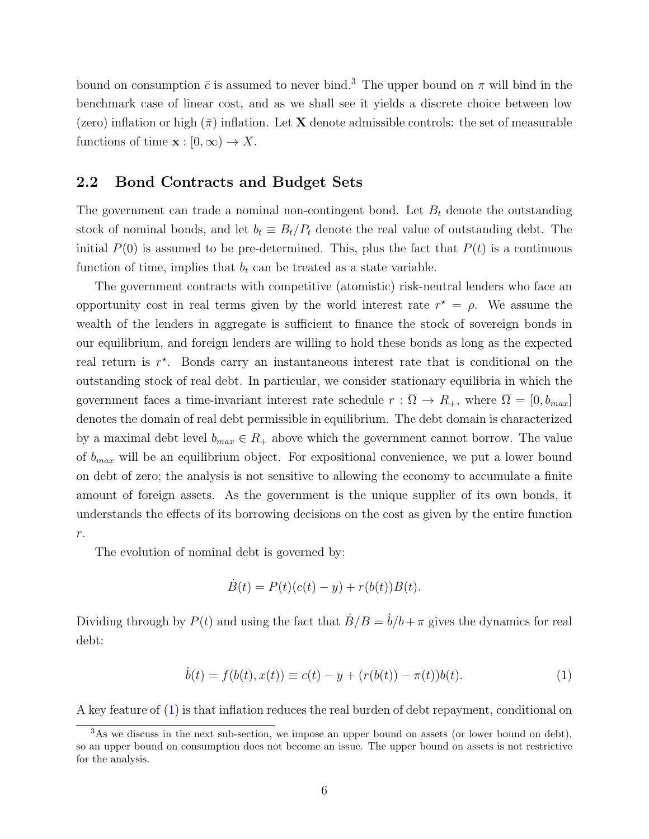bound on consumption  $\bar{c}$  is assumed to never bind.<sup>[3](#page-5-0)</sup> The upper bound on  $\pi$  will bind in the benchmark case of linear cost, and as we shall see it yields a discrete choice between low (zero) inflation or high  $(\bar{\pi})$  inflation. Let **X** denote admissible controls: the set of measurable functions of time  $\mathbf{x} : [0, \infty) \to X$ .

#### 2.2 Bond Contracts and Budget Sets

The government can trade a nominal non-contingent bond. Let  $B_t$  denote the outstanding stock of nominal bonds, and let  $b_t \equiv B_t/P_t$  denote the real value of outstanding debt. The initial  $P(0)$  is assumed to be pre-determined. This, plus the fact that  $P(t)$  is a continuous function of time, implies that  $b_t$  can be treated as a state variable.

The government contracts with competitive (atomistic) risk-neutral lenders who face an opportunity cost in real terms given by the world interest rate  $r^* = \rho$ . We assume the wealth of the lenders in aggregate is sufficient to finance the stock of sovereign bonds in our equilibrium, and foreign lenders are willing to hold these bonds as long as the expected real return is  $r^*$ . Bonds carry an instantaneous interest rate that is conditional on the outstanding stock of real debt. In particular, we consider stationary equilibria in which the government faces a time-invariant interest rate schedule  $r : \overline{\Omega} \to R_+$ , where  $\overline{\Omega} = [0, b_{max}]$ denotes the domain of real debt permissible in equilibrium. The debt domain is characterized by a maximal debt level  $b_{max} \in R_+$  above which the government cannot borrow. The value of  $b_{max}$  will be an equilibrium object. For expositional convenience, we put a lower bound on debt of zero; the analysis is not sensitive to allowing the economy to accumulate a finite amount of foreign assets. As the government is the unique supplier of its own bonds, it understands the effects of its borrowing decisions on the cost as given by the entire function  $r$ .

The evolution of nominal debt is governed by:

<span id="page-5-1"></span>
$$
\dot{B}(t) = P(t)(c(t) - y) + r(b(t))B(t).
$$

Dividing through by  $P(t)$  and using the fact that  $B/B = b/b + \pi$  gives the dynamics for real debt:

$$
\dot{b}(t) = f(b(t), x(t)) \equiv c(t) - y + (r(b(t)) - \pi(t))b(t).
$$
\n(1)

A key feature of [\(1\)](#page-5-1) is that inflation reduces the real burden of debt repayment, conditional on

<span id="page-5-0"></span><sup>&</sup>lt;sup>3</sup>As we discuss in the next sub-section, we impose an upper bound on assets (or lower bound on debt), so an upper bound on consumption does not become an issue. The upper bound on assets is not restrictive for the analysis.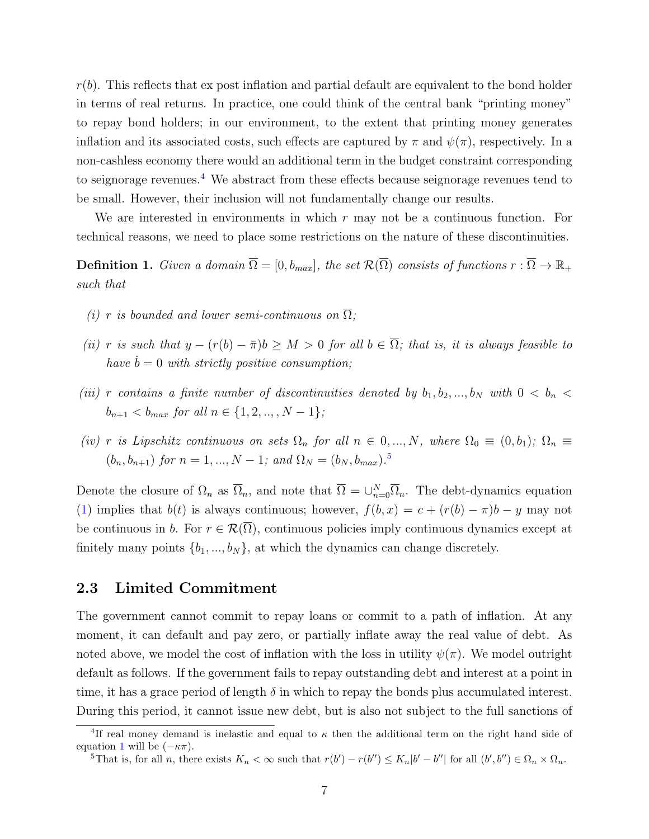$r(b)$ . This reflects that ex post inflation and partial default are equivalent to the bond holder in terms of real returns. In practice, one could think of the central bank "printing money" to repay bond holders; in our environment, to the extent that printing money generates inflation and its associated costs, such effects are captured by  $\pi$  and  $\psi(\pi)$ , respectively. In a non-cashless economy there would an additional term in the budget constraint corresponding to seignorage revenues.<sup>[4](#page-6-0)</sup> We abstract from these effects because seignorage revenues tend to be small. However, their inclusion will not fundamentally change our results.

We are interested in environments in which  $r$  may not be a continuous function. For technical reasons, we need to place some restrictions on the nature of these discontinuities.

<span id="page-6-2"></span>**Definition 1.** Given a domain  $\overline{\Omega} = [0, b_{max}]$ , the set  $\mathcal{R}(\overline{\Omega})$  consists of functions  $r : \overline{\Omega} \to \mathbb{R}_+$ such that

- (i) r is bounded and lower semi-continuous on  $\overline{\Omega}$ ;
- (ii) r is such that  $y (r(b) \overline{\pi})b \geq M > 0$  for all  $b \in \overline{\Omega}$ ; that is, it is always feasible to have  $\dot{b} = 0$  with strictly positive consumption;
- (iii) r contains a finite number of discontinuities denoted by  $b_1, b_2, ..., b_N$  with  $0 < b_n <$  $b_{n+1} < b_{max}$  for all  $n \in \{1, 2, ..., N-1\}$ ;
- (iv) r is Lipschitz continuous on sets  $\Omega_n$  for all  $n \in 0, ..., N$ , where  $\Omega_0 \equiv (0, b_1); \Omega_n \equiv$  $(b_n, b_{n+1})$  for  $n = 1, ..., N - 1$ ; and  $\Omega_N = (b_N, b_{max})$ .<sup>[5](#page-6-1)</sup>

Denote the closure of  $\Omega_n$  as  $\overline{\Omega}_n$ , and note that  $\overline{\Omega} = \bigcup_{n=0}^N \overline{\Omega}_n$ . The debt-dynamics equation [\(1\)](#page-5-1) implies that  $b(t)$  is always continuous; however,  $f(b, x) = c + (r(b) - \pi)b - y$  may not be continuous in b. For  $r \in \mathcal{R}(\overline{\Omega})$ , continuous policies imply continuous dynamics except at finitely many points  $\{b_1, ..., b_N\}$ , at which the dynamics can change discretely.

#### <span id="page-6-3"></span>2.3 Limited Commitment

The government cannot commit to repay loans or commit to a path of inflation. At any moment, it can default and pay zero, or partially inflate away the real value of debt. As noted above, we model the cost of inflation with the loss in utility  $\psi(\pi)$ . We model outright default as follows. If the government fails to repay outstanding debt and interest at a point in time, it has a grace period of length  $\delta$  in which to repay the bonds plus accumulated interest. During this period, it cannot issue new debt, but is also not subject to the full sanctions of

<span id="page-6-0"></span><sup>&</sup>lt;sup>4</sup>If real money demand is inelastic and equal to  $\kappa$  then the additional term on the right hand side of equation [1](#page-5-1) will be  $(-\kappa \pi)$ .

<span id="page-6-1"></span><sup>&</sup>lt;sup>5</sup>That is, for all *n*, there exists  $K_n < \infty$  such that  $r(b') - r(b'') \leq K_n |b' - b''|$  for all  $(b', b'') \in \Omega_n \times \Omega_n$ .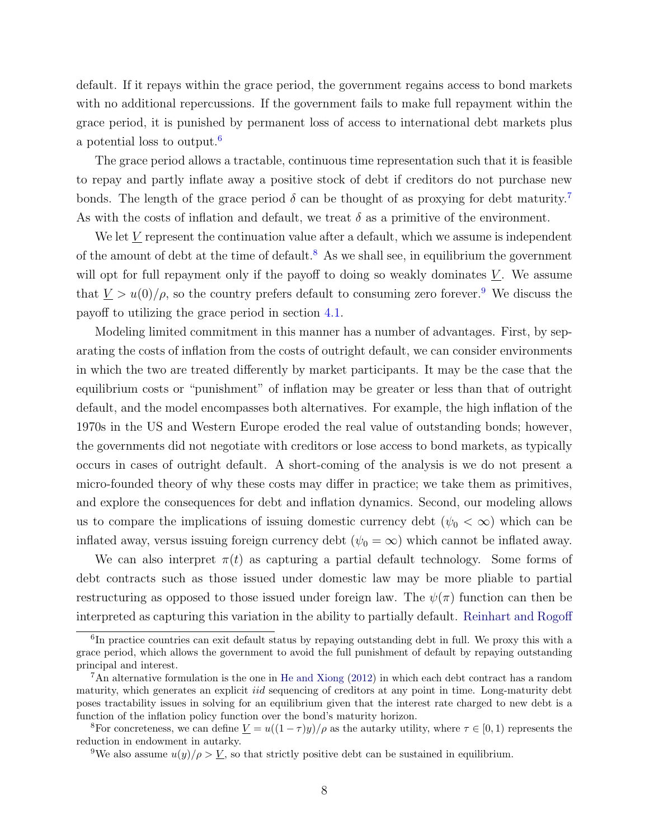default. If it repays within the grace period, the government regains access to bond markets with no additional repercussions. If the government fails to make full repayment within the grace period, it is punished by permanent loss of access to international debt markets plus a potential loss to output.[6](#page-7-0)

The grace period allows a tractable, continuous time representation such that it is feasible to repay and partly inflate away a positive stock of debt if creditors do not purchase new bonds. The length of the grace period  $\delta$  can be thought of as proxying for debt maturity.<sup>[7](#page-7-1)</sup> As with the costs of inflation and default, we treat  $\delta$  as a primitive of the environment.

We let  $V$  represent the continuation value after a default, which we assume is independent of the amount of debt at the time of default.<sup>[8](#page-7-2)</sup> As we shall see, in equilibrium the government will opt for full repayment only if the payoff to doing so weakly dominates  $V$ . We assume that  $\underline{V} > u(0)/\rho$ , so the country prefers default to consuming zero forever.<sup>[9](#page-7-3)</sup> We discuss the payoff to utilizing the grace period in section [4.1.](#page-20-0)

Modeling limited commitment in this manner has a number of advantages. First, by separating the costs of inflation from the costs of outright default, we can consider environments in which the two are treated differently by market participants. It may be the case that the equilibrium costs or "punishment" of inflation may be greater or less than that of outright default, and the model encompasses both alternatives. For example, the high inflation of the 1970s in the US and Western Europe eroded the real value of outstanding bonds; however, the governments did not negotiate with creditors or lose access to bond markets, as typically occurs in cases of outright default. A short-coming of the analysis is we do not present a micro-founded theory of why these costs may differ in practice; we take them as primitives, and explore the consequences for debt and inflation dynamics. Second, our modeling allows us to compare the implications of issuing domestic currency debt  $(\psi_0 < \infty)$  which can be inflated away, versus issuing foreign currency debt ( $\psi_0 = \infty$ ) which cannot be inflated away.

We can also interpret  $\pi(t)$  as capturing a partial default technology. Some forms of debt contracts such as those issued under domestic law may be more pliable to partial restructuring as opposed to those issued under foreign law. The  $\psi(\pi)$  function can then be interpreted as capturing this variation in the ability to partially default. [Reinhart and Rogoff](#page-51-1)

<span id="page-7-0"></span><sup>&</sup>lt;sup>6</sup>In practice countries can exit default status by repaying outstanding debt in full. We proxy this with a grace period, which allows the government to avoid the full punishment of default by repaying outstanding principal and interest.

<span id="page-7-1"></span><sup>7</sup>An alternative formulation is the one in [He and Xiong](#page-50-11) [\(2012\)](#page-50-11) in which each debt contract has a random maturity, which generates an explicit *iid* sequencing of creditors at any point in time. Long-maturity debt poses tractability issues in solving for an equilibrium given that the interest rate charged to new debt is a function of the inflation policy function over the bond's maturity horizon.

<span id="page-7-2"></span><sup>&</sup>lt;sup>8</sup>For concreteness, we can define  $\underline{V} = u((1 - \tau)y)/\rho$  as the autarky utility, where  $\tau \in [0, 1)$  represents the reduction in endowment in autarky.

<span id="page-7-3"></span><sup>&</sup>lt;sup>9</sup>We also assume  $u(y)/\rho > \underline{V}$ , so that strictly positive debt can be sustained in equilibrium.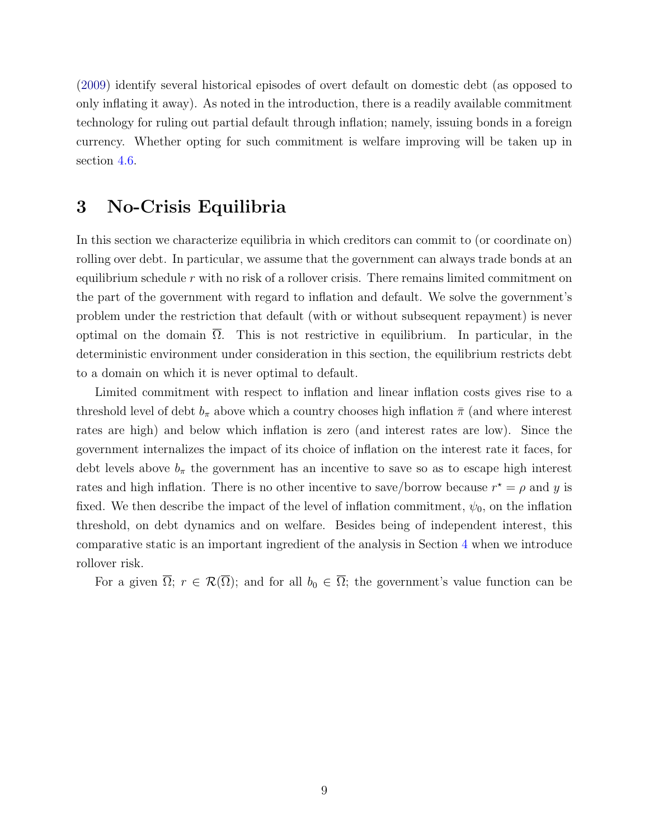[\(2009\)](#page-51-1) identify several historical episodes of overt default on domestic debt (as opposed to only inflating it away). As noted in the introduction, there is a readily available commitment technology for ruling out partial default through inflation; namely, issuing bonds in a foreign currency. Whether opting for such commitment is welfare improving will be taken up in section [4.6.](#page-30-0)

# <span id="page-8-0"></span>3 No-Crisis Equilibria

In this section we characterize equilibria in which creditors can commit to (or coordinate on) rolling over debt. In particular, we assume that the government can always trade bonds at an equilibrium schedule  $r$  with no risk of a rollover crisis. There remains limited commitment on the part of the government with regard to inflation and default. We solve the government's problem under the restriction that default (with or without subsequent repayment) is never optimal on the domain  $\Omega$ . This is not restrictive in equilibrium. In particular, in the deterministic environment under consideration in this section, the equilibrium restricts debt to a domain on which it is never optimal to default.

Limited commitment with respect to inflation and linear inflation costs gives rise to a threshold level of debt  $b_{\pi}$  above which a country chooses high inflation  $\bar{\pi}$  (and where interest rates are high) and below which inflation is zero (and interest rates are low). Since the government internalizes the impact of its choice of inflation on the interest rate it faces, for debt levels above  $b_{\pi}$  the government has an incentive to save so as to escape high interest rates and high inflation. There is no other incentive to save/borrow because  $r^* = \rho$  and y is fixed. We then describe the impact of the level of inflation commitment,  $\psi_0$ , on the inflation threshold, on debt dynamics and on welfare. Besides being of independent interest, this comparative static is an important ingredient of the analysis in Section [4](#page-19-0) when we introduce rollover risk.

For a given  $\overline{\Omega}$ ;  $r \in \mathcal{R}(\overline{\Omega})$ ; and for all  $b_0 \in \overline{\Omega}$ ; the government's value function can be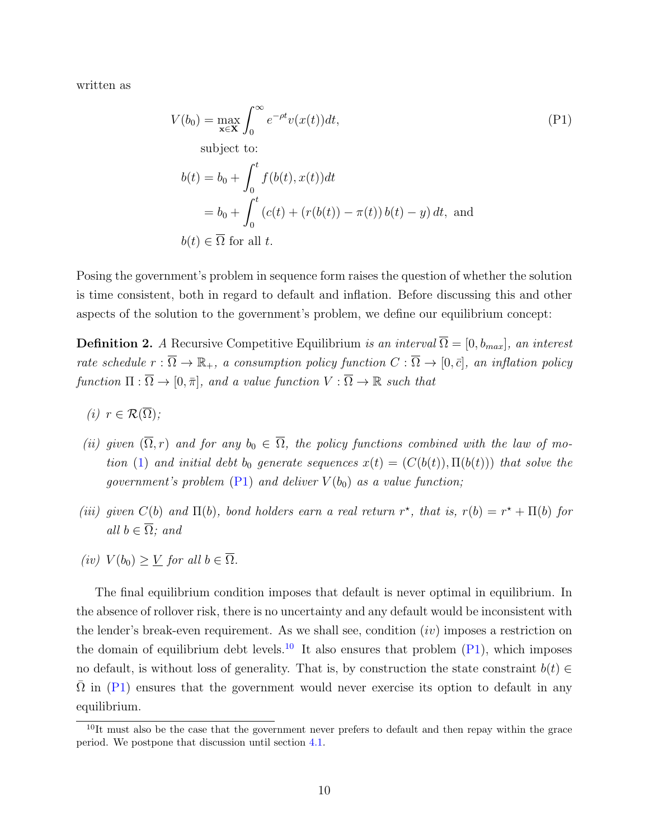written as

<span id="page-9-0"></span>
$$
V(b_0) = \max_{\mathbf{x} \in \mathbf{X}} \int_0^\infty e^{-\rho t} v(x(t)) dt,
$$
  
\nsubject to:  
\n
$$
b(t) = b_0 + \int_0^t f(b(t), x(t)) dt
$$
  
\n
$$
= b_0 + \int_0^t (c(t) + (r(b(t)) - \pi(t)) b(t) - y) dt, \text{ and}
$$
  
\n
$$
b(t) \in \overline{\Omega} \text{ for all } t.
$$
 (P1)

Posing the government's problem in sequence form raises the question of whether the solution is time consistent, both in regard to default and inflation. Before discussing this and other aspects of the solution to the government's problem, we define our equilibrium concept:

<span id="page-9-2"></span>**Definition 2.** A Recursive Competitive Equilibrium is an interval  $\overline{\Omega} = [0, b_{max}]$ , an interest rate schedule  $r : \overline{\Omega} \to \mathbb{R}_+$ , a consumption policy function  $C : \overline{\Omega} \to [0, \overline{c}]$ , an inflation policy function  $\Pi : \overline{\Omega} \to [0, \overline{\pi}],$  and a value function  $V : \overline{\Omega} \to \mathbb{R}$  such that

- (i)  $r \in \mathcal{R}(\overline{\Omega})$ ;
- (ii) given  $(\overline{\Omega}, r)$  and for any  $b_0 \in \overline{\Omega}$ , the policy functions combined with the law of mo-tion [\(1\)](#page-5-1) and initial debt b<sub>0</sub> generate sequences  $x(t) = (C(b(t)), \Pi(b(t)))$  that solve the government's problem  $(P1)$  and deliver  $V(b_0)$  as a value function;
- (iii) given  $C(b)$  and  $\Pi(b)$ , bond holders earn a real return r<sup>\*</sup>, that is,  $r(b) = r^* + \Pi(b)$  for all  $b \in \overline{\Omega}$ ; and
- (iv)  $V(b_0) > V$  for all  $b \in \overline{\Omega}$ .

The final equilibrium condition imposes that default is never optimal in equilibrium. In the absence of rollover risk, there is no uncertainty and any default would be inconsistent with the lender's break-even requirement. As we shall see, condition  $(iv)$  imposes a restriction on the domain of equilibrium debt levels.<sup>[10](#page-9-1)</sup> It also ensures that problem  $(P1)$ , which imposes no default, is without loss of generality. That is, by construction the state constraint  $b(t) \in$  $\Omega$  in ([P1\)](#page-9-0) ensures that the government would never exercise its option to default in any equilibrium.

<span id="page-9-1"></span><sup>&</sup>lt;sup>10</sup>It must also be the case that the government never prefers to default and then repay within the grace period. We postpone that discussion until section [4.1.](#page-20-0)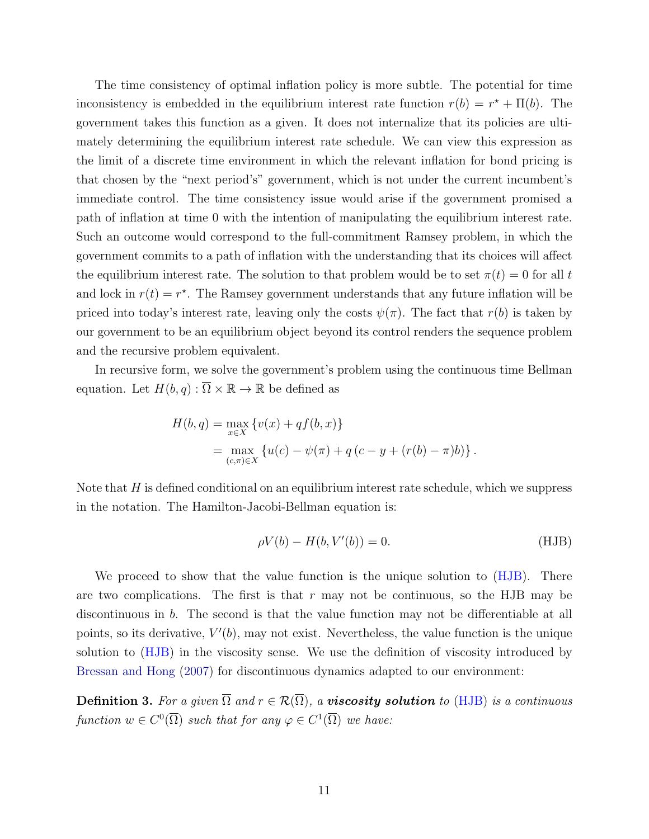The time consistency of optimal inflation policy is more subtle. The potential for time inconsistency is embedded in the equilibrium interest rate function  $r(b) = r^* + \Pi(b)$ . The government takes this function as a given. It does not internalize that its policies are ultimately determining the equilibrium interest rate schedule. We can view this expression as the limit of a discrete time environment in which the relevant inflation for bond pricing is that chosen by the "next period's" government, which is not under the current incumbent's immediate control. The time consistency issue would arise if the government promised a path of inflation at time 0 with the intention of manipulating the equilibrium interest rate. Such an outcome would correspond to the full-commitment Ramsey problem, in which the government commits to a path of inflation with the understanding that its choices will affect the equilibrium interest rate. The solution to that problem would be to set  $\pi(t) = 0$  for all t and lock in  $r(t) = r^*$ . The Ramsey government understands that any future inflation will be priced into today's interest rate, leaving only the costs  $\psi(\pi)$ . The fact that  $r(b)$  is taken by our government to be an equilibrium object beyond its control renders the sequence problem and the recursive problem equivalent.

In recursive form, we solve the government's problem using the continuous time Bellman equation. Let  $H(b,q): \overline{\Omega} \times \mathbb{R} \to \mathbb{R}$  be defined as

$$
H(b,q) = \max_{x \in X} \{v(x) + qf(b,x)\}
$$
  
= 
$$
\max_{(c,\pi) \in X} \{u(c) - \psi(\pi) + q(c - y + (r(b) - \pi)b)\}.
$$

Note that  $H$  is defined conditional on an equilibrium interest rate schedule, which we suppress in the notation. The Hamilton-Jacobi-Bellman equation is:

<span id="page-10-0"></span>
$$
\rho V(b) - H(b, V'(b)) = 0. \tag{HJB}
$$

We proceed to show that the value function is the unique solution to [\(HJB\)](#page-10-0). There are two complications. The first is that  $r$  may not be continuous, so the HJB may be discontinuous in b. The second is that the value function may not be differentiable at all points, so its derivative,  $V'(b)$ , may not exist. Nevertheless, the value function is the unique solution to [\(HJB\)](#page-10-0) in the viscosity sense. We use the definition of viscosity introduced by [Bressan and Hong](#page-50-12) [\(2007\)](#page-50-12) for discontinuous dynamics adapted to our environment:

**Definition 3.** For a given  $\overline{\Omega}$  and  $r \in \mathcal{R}(\overline{\Omega})$ , a **viscosity solution** to [\(HJB\)](#page-10-0) is a continuous function  $w \in C^0(\overline{\Omega})$  such that for any  $\varphi \in C^1(\overline{\Omega})$  we have: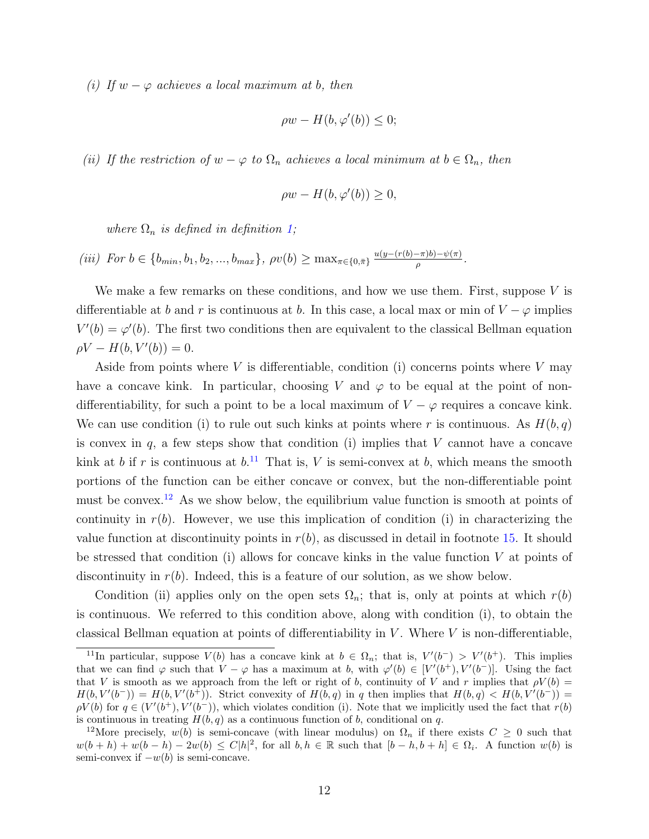(i) If  $w - \varphi$  achieves a local maximum at b, then

$$
\rho w - H(b, \varphi'(b)) \le 0;
$$

(ii) If the restriction of  $w - \varphi$  to  $\Omega_n$  achieves a local minimum at  $b \in \Omega_n$ , then

$$
\rho w - H(b, \varphi'(b)) \ge 0,
$$

where  $\Omega_n$  is defined in definition [1;](#page-6-2)

(iii) For  $b \in \{b_{min}, b_1, b_2, ..., b_{max}\}, \ \rho v(b) \ge \max_{\pi \in \{0, \pi\}} \frac{u(y - (r(b) - \pi)b) - \psi(\pi)}{\rho}.$ 

We make a few remarks on these conditions, and how we use them. First, suppose  $V$  is differentiable at b and r is continuous at b. In this case, a local max or min of  $V - \varphi$  implies  $V'(b) = \varphi'(b)$ . The first two conditions then are equivalent to the classical Bellman equation  $\rho V - H(b, V'(b)) = 0.$ 

Aside from points where V is differentiable, condition (i) concerns points where V may have a concave kink. In particular, choosing V and  $\varphi$  to be equal at the point of nondifferentiability, for such a point to be a local maximum of  $V - \varphi$  requires a concave kink. We can use condition (i) to rule out such kinks at points where r is continuous. As  $H(b, q)$ is convex in  $q$ , a few steps show that condition (i) implies that  $V$  cannot have a concave kink at b if r is continuous at  $b$ .<sup>[11](#page-11-0)</sup> That is, V is semi-convex at b, which means the smooth portions of the function can be either concave or convex, but the non-differentiable point must be convex.<sup>[12](#page-11-1)</sup> As we show below, the equilibrium value function is smooth at points of continuity in  $r(b)$ . However, we use this implication of condition (i) in characterizing the value function at discontinuity points in  $r(b)$ , as discussed in detail in footnote [15.](#page-13-0) It should be stressed that condition (i) allows for concave kinks in the value function  $V$  at points of discontinuity in  $r(b)$ . Indeed, this is a feature of our solution, as we show below.

Condition (ii) applies only on the open sets  $\Omega_n$ ; that is, only at points at which  $r(b)$ is continuous. We referred to this condition above, along with condition (i), to obtain the classical Bellman equation at points of differentiability in  $V$ . Where  $V$  is non-differentiable,

<span id="page-11-0"></span><sup>&</sup>lt;sup>11</sup>In particular, suppose  $V(b)$  has a concave kink at  $b \in \Omega_n$ ; that is,  $V'(b^-) > V'(b^+)$ . This implies that we can find  $\varphi$  such that  $V - \varphi$  has a maximum at b, with  $\varphi'(b) \in [V'(b^+), V'(b^-)].$  Using the fact that V is smooth as we approach from the left or right of b, continuity of V and r implies that  $\rho V(b)$  =  $H(b, V'(b^-)) = H(b, V'(b^+))$ . Strict convexity of  $H(b, q)$  in q then implies that  $H(b, q) < H(b, V'(b^-))$  $\rho V(b)$  for  $q \in (V'(b^+), V'(b^-))$ , which violates condition (i). Note that we implicitly used the fact that  $r(b)$ is continuous in treating  $H(b, q)$  as a continuous function of b, conditional on q.

<span id="page-11-1"></span><sup>&</sup>lt;sup>12</sup>More precisely,  $w(b)$  is semi-concave (with linear modulus) on  $\Omega_n$  if there exists  $C \geq 0$  such that  $w(b+h) + w(b-h) - 2w(b) \le C|h|^2$ , for all  $b, h \in \mathbb{R}$  such that  $[b-h, b+h] \in \Omega_i$ . A function  $w(b)$  is semi-convex if  $-w(b)$  is semi-concave.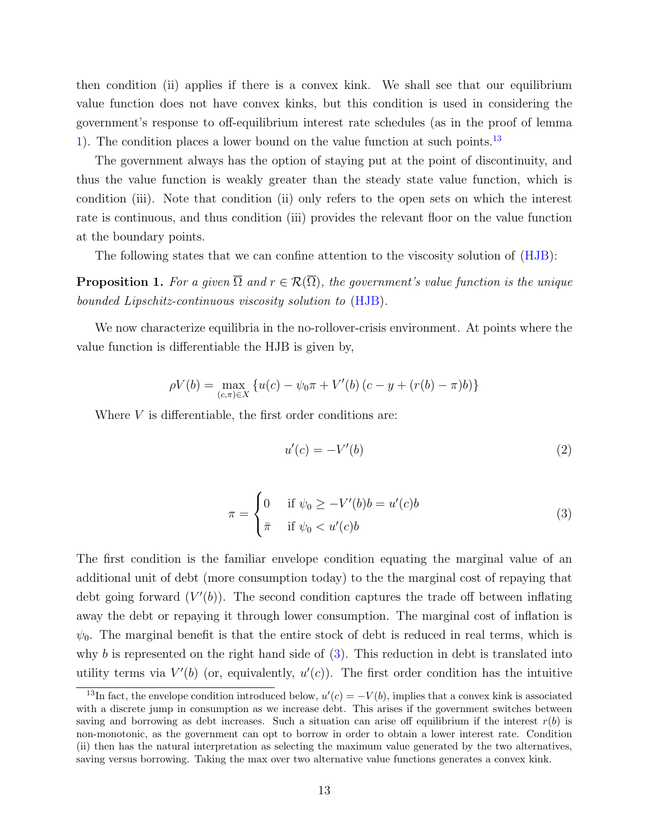then condition (ii) applies if there is a convex kink. We shall see that our equilibrium value function does not have convex kinks, but this condition is used in considering the government's response to off-equilibrium interest rate schedules (as in the proof of lemma [1\)](#page-13-1). The condition places a lower bound on the value function at such points.[13](#page-12-0)

The government always has the option of staying put at the point of discontinuity, and thus the value function is weakly greater than the steady state value function, which is condition (iii). Note that condition (ii) only refers to the open sets on which the interest rate is continuous, and thus condition (iii) provides the relevant floor on the value function at the boundary points.

The following states that we can confine attention to the viscosity solution of [\(HJB\)](#page-10-0):

<span id="page-12-2"></span>**Proposition 1.** For a given  $\overline{\Omega}$  and  $r \in \mathcal{R}(\overline{\Omega})$ , the government's value function is the unique bounded Lipschitz-continuous viscosity solution to [\(HJB\)](#page-10-0).

We now characterize equilibria in the no-rollover-crisis environment. At points where the value function is differentiable the HJB is given by,

$$
\rho V(b) = \max_{(c,\pi)\in X} \{ u(c) - \psi_0 \pi + V'(b) (c - y + (r(b) - \pi)b) \}
$$

Where  $V$  is differentiable, the first order conditions are:

<span id="page-12-1"></span>
$$
u'(c) = -V'(b) \tag{2}
$$

$$
\pi = \begin{cases}\n0 & \text{if } \psi_0 \ge -V'(b)b = u'(c)b \\
\bar{\pi} & \text{if } \psi_0 < u'(c)b\n\end{cases} \tag{3}
$$

The first condition is the familiar envelope condition equating the marginal value of an additional unit of debt (more consumption today) to the the marginal cost of repaying that debt going forward  $(V'(b))$ . The second condition captures the trade off between inflating away the debt or repaying it through lower consumption. The marginal cost of inflation is  $\psi_0$ . The marginal benefit is that the entire stock of debt is reduced in real terms, which is why b is represented on the right hand side of  $(3)$ . This reduction in debt is translated into utility terms via  $V'(b)$  (or, equivalently,  $u'(c)$ ). The first order condition has the intuitive

<span id="page-12-0"></span><sup>&</sup>lt;sup>13</sup>In fact, the envelope condition introduced below,  $u'(c) = -V(b)$ , implies that a convex kink is associated with a discrete jump in consumption as we increase debt. This arises if the government switches between saving and borrowing as debt increases. Such a situation can arise off equilibrium if the interest  $r(b)$  is non-monotonic, as the government can opt to borrow in order to obtain a lower interest rate. Condition (ii) then has the natural interpretation as selecting the maximum value generated by the two alternatives, saving versus borrowing. Taking the max over two alternative value functions generates a convex kink.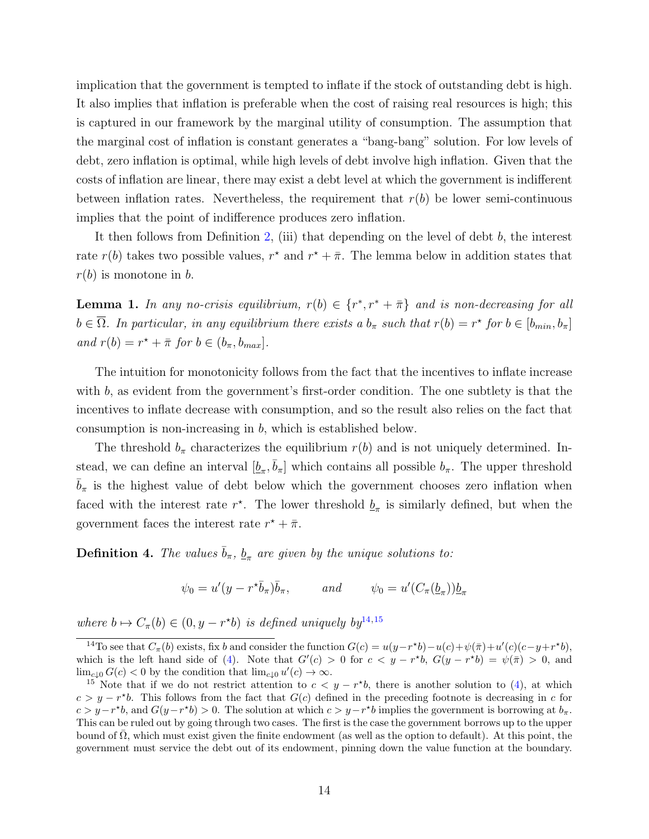implication that the government is tempted to inflate if the stock of outstanding debt is high. It also implies that inflation is preferable when the cost of raising real resources is high; this is captured in our framework by the marginal utility of consumption. The assumption that the marginal cost of inflation is constant generates a "bang-bang" solution. For low levels of debt, zero inflation is optimal, while high levels of debt involve high inflation. Given that the costs of inflation are linear, there may exist a debt level at which the government is indifferent between inflation rates. Nevertheless, the requirement that  $r(b)$  be lower semi-continuous implies that the point of indifference produces zero inflation.

It then follows from Definition [2,](#page-9-2) (iii) that depending on the level of debt b, the interest rate  $r(b)$  takes two possible values,  $r^*$  and  $r^* + \overline{\pi}$ . The lemma below in addition states that  $r(b)$  is monotone in b.

<span id="page-13-1"></span>**Lemma 1.** In any no-crisis equilibrium,  $r(b) \in \{r^*, r^* + \bar{\pi}\}\$  and is non-decreasing for all  $b \in \overline{\Omega}$ . In particular, in any equilibrium there exists a  $b_{\pi}$  such that  $r(b) = r^{\star}$  for  $b \in [b_{min}, b_{\pi}]$ and  $r(b) = r^* + \overline{\pi}$  for  $b \in (b_{\pi}, b_{max}]$ .

The intuition for monotonicity follows from the fact that the incentives to inflate increase with b, as evident from the government's first-order condition. The one subtlety is that the incentives to inflate decrease with consumption, and so the result also relies on the fact that consumption is non-increasing in b, which is established below.

The threshold  $b_{\pi}$  characterizes the equilibrium  $r(b)$  and is not uniquely determined. Instead, we can define an interval  $[\underline{b}_{\pi}, \overline{b}_{\pi}]$  which contains all possible  $b_{\pi}$ . The upper threshold  $b_{\pi}$  is the highest value of debt below which the government chooses zero inflation when faced with the interest rate  $r^*$ . The lower threshold  $\underline{b}_{\pi}$  is similarly defined, but when the government faces the interest rate  $r^* + \bar{\pi}$ .

<span id="page-13-3"></span>**Definition 4.** The values  $\bar{b}_{\pi}$ ,  $\underline{b}_{\pi}$  are given by the unique solutions to:

$$
\psi_0 = u'(y - r^*\bar{b}_\pi)\bar{b}_\pi
$$
, and  $\psi_0 = u'(C_\pi(\underline{b}_\pi))\underline{b}_\pi$ 

where  $b \mapsto C_{\pi}(b) \in (0, y - r^{\star}b)$  is defined uniquely by  $y^{14,15}$  $y^{14,15}$  $y^{14,15}$  $y^{14,15}$  $y^{14,15}$ 

<span id="page-13-2"></span><sup>&</sup>lt;sup>14</sup>To see that  $C_{\pi}(b)$  exists, fix b and consider the function  $G(c) = u(y - r^*b) - u(c) + \psi(\bar{\pi}) + u'(c)(c - y + r^*b)$ , which is the left hand side of [\(4\)](#page-14-0). Note that  $G'(c) > 0$  for  $c < y - r^*b$ ,  $G(y - r^*b) = \psi(\bar{\pi}) > 0$ , and  $\lim_{c\downarrow 0} G(c) < 0$  by the condition that  $\lim_{c\downarrow 0} u'(c) \to \infty$ .

<span id="page-13-0"></span><sup>&</sup>lt;sup>15</sup> Note that if we do not restrict attention to  $c < y - r^*b$ , there is another solution to [\(4\)](#page-14-0), at which  $c > y - r^*b$ . This follows from the fact that  $G(c)$  defined in the preceding footnote is decreasing in c for  $c > y-r^*b$ , and  $G(y-r^*b) > 0$ . The solution at which  $c > y-r^*b$  implies the government is borrowing at  $b_{\pi}$ . This can be ruled out by going through two cases. The first is the case the government borrows up to the upper bound of  $\Omega$ , which must exist given the finite endowment (as well as the option to default). At this point, the government must service the debt out of its endowment, pinning down the value function at the boundary.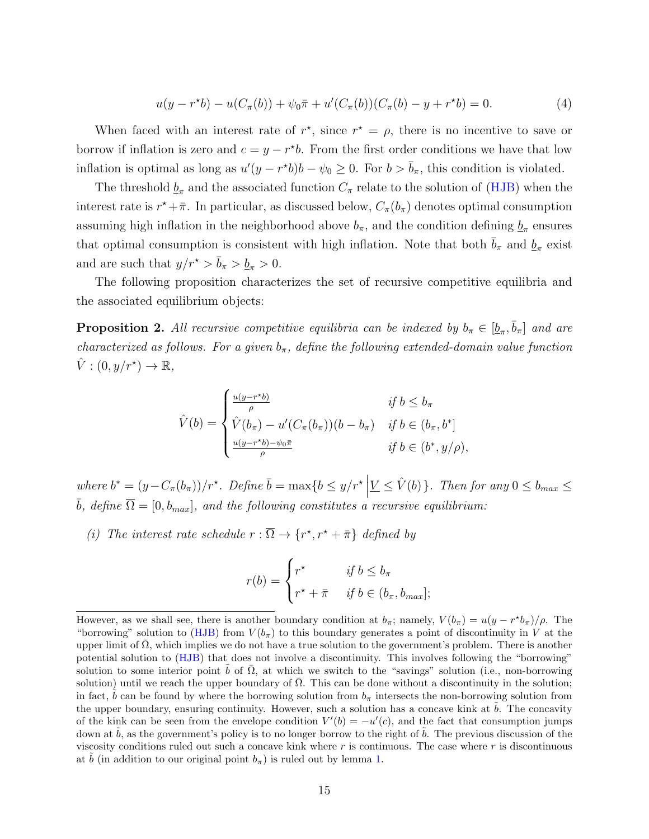<span id="page-14-0"></span>
$$
u(y - r^*b) - u(C_\pi(b)) + \psi_0 \bar{\pi} + u'(C_\pi(b))(C_\pi(b) - y + r^*b) = 0.
$$
 (4)

When faced with an interest rate of  $r^*$ , since  $r^* = \rho$ , there is no incentive to save or borrow if inflation is zero and  $c = y - r^*b$ . From the first order conditions we have that low inflation is optimal as long as  $u'(y - r^*b)b - \psi_0 \ge 0$ . For  $b > \bar{b}_{\pi}$ , this condition is violated.

The threshold  $\underline{b}_{\pi}$  and the associated function  $C_{\pi}$  relate to the solution of [\(HJB\)](#page-10-0) when the interest rate is  $r^* + \bar{\pi}$ . In particular, as discussed below,  $C_{\pi}(b_{\pi})$  denotes optimal consumption assuming high inflation in the neighborhood above  $b_{\pi}$ , and the condition defining  $\underline{b}_{\pi}$  ensures that optimal consumption is consistent with high inflation. Note that both  $\bar{b}_{\pi}$  and  $\underline{b}_{\pi}$  exist and are such that  $y/r^* > \bar{b}_\pi > \underline{b}_\pi > 0$ .

The following proposition characterizes the set of recursive competitive equilibria and the associated equilibrium objects:

<span id="page-14-1"></span>**Proposition 2.** All recursive competitive equilibria can be indexed by  $b_{\pi} \in [\underline{b}_{\pi}, \overline{b}_{\pi}]$  and are characterized as follows. For a given  $b_{\pi}$ , define the following extended-domain value function  $\hat{V}:(0,y/r^{\star})\to\mathbb{R},$ 

$$
\hat{V}(b) = \begin{cases}\n\frac{u(y - r^*b)}{\rho} & \text{if } b \le b_\pi \\
\hat{V}(b_\pi) - u'(C_\pi(b_\pi))(b - b_\pi) & \text{if } b \in (b_\pi, b^*] \\
\frac{u(y - r^*b) - \psi_0\bar{\pi}}{\rho} & \text{if } b \in (b^*, y/\rho),\n\end{cases}
$$

where  $b^* = (y - C_{\pi}(b_{\pi}))/r^*$ . Define  $\overline{b} = \max\{b \leq y/r^*\mid \underline{V} \leq \hat{V}(b)\}\$ . Then for any  $0 \leq b_{max} \leq \overline{b}$  $\overline{b}$ , define  $\overline{\Omega} = [0, b_{max}]$ , and the following constitutes a recursive equilibrium:

(i) The interest rate schedule  $r : \overline{\Omega} \to \{r^*, r^* + \overline{\pi}\}\$  defined by

$$
r(b) = \begin{cases} r^* & \text{if } b \le b_{\pi} \\ r^* + \bar{\pi} & \text{if } b \in (b_{\pi}, b_{max}]; \end{cases}
$$

However, as we shall see, there is another boundary condition at  $b_\pi$ ; namely,  $V(b_\pi) = u(y - r^*b_\pi)/\rho$ . The "borrowing" solution to [\(HJB\)](#page-10-0) from  $V(b_\pi)$  to this boundary generates a point of discontinuity in V at the upper limit of  $\Omega$ , which implies we do not have a true solution to the government's problem. There is another potential solution to [\(HJB\)](#page-10-0) that does not involve a discontinuity. This involves following the "borrowing" solution to some interior point b of  $\Omega$ , at which we switch to the "savings" solution (i.e., non-borrowing solution) until we reach the upper boundary of  $\overline{\Omega}$ . This can be done without a discontinuity in the solution; in fact, b can be found by where the borrowing solution from  $b<sub>\pi</sub>$  intersects the non-borrowing solution from the upper boundary, ensuring continuity. However, such a solution has a concave kink at  $b$ . The concavity of the kink can be seen from the envelope condition  $V'(b) = -u'(c)$ , and the fact that consumption jumps down at  $\tilde{b}$ , as the government's policy is to no longer borrow to the right of  $\tilde{b}$ . The previous discussion of the viscosity conditions ruled out such a concave kink where  $r$  is continuous. The case where  $r$  is discontinuous at b (in addition to our original point  $b_{\pi}$ ) is ruled out by lemma [1.](#page-13-1)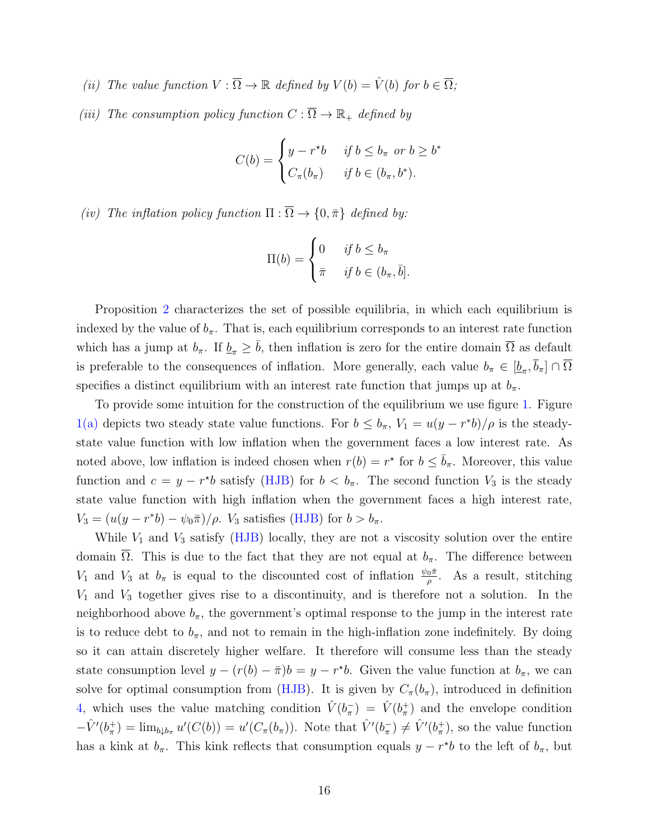- (ii) The value function  $V : \overline{\Omega} \to \mathbb{R}$  defined by  $V(b) = \hat{V}(b)$  for  $b \in \overline{\Omega}$ ;
- (iii) The consumption policy function  $C : \overline{\Omega} \to \mathbb{R}_+$  defined by

$$
C(b) = \begin{cases} y - r^*b & \text{if } b \le b_\pi \text{ or } b \ge b^* \\ C_\pi(b_\pi) & \text{if } b \in (b_\pi, b^*). \end{cases}
$$

(iv) The inflation policy function  $\Pi : \overline{\Omega} \to \{0, \bar{\pi}\}\$  defined by:

$$
\Pi(b) = \begin{cases} 0 & \text{if } b \le b_{\pi} \\ \bar{\pi} & \text{if } b \in (b_{\pi}, \bar{b}]. \end{cases}
$$

Proposition [2](#page-14-1) characterizes the set of possible equilibria, in which each equilibrium is indexed by the value of  $b_{\pi}$ . That is, each equilibrium corresponds to an interest rate function which has a jump at  $b_{\pi}$ . If  $\underline{b}_{\pi} \geq \overline{b}$ , then inflation is zero for the entire domain  $\overline{\Omega}$  as default is preferable to the consequences of inflation. More generally, each value  $b_{\pi} \in [\underline{b}_{\pi}, b_{\pi}] \cap \Omega$ specifies a distinct equilibrium with an interest rate function that jumps up at  $b_{\pi}$ .

To provide some intuition for the construction of the equilibrium we use figure [1.](#page-16-0) Figure [1\(a\)](#page-16-1) depicts two steady state value functions. For  $b \leq b_{\pi}$ ,  $V_1 = u(y - r^*b)/\rho$  is the steadystate value function with low inflation when the government faces a low interest rate. As noted above, low inflation is indeed chosen when  $r(b) = r^*$  for  $b \leq \bar{b}_{\pi}$ . Moreover, this value function and  $c = y - r^*b$  satisfy [\(HJB\)](#page-10-0) for  $b < b_{\pi}$ . The second function  $V_3$  is the steady state value function with high inflation when the government faces a high interest rate,  $V_3 = (u(y - r^*b) - \psi_0 \bar{\pi})/\rho$ .  $V_3$  satisfies [\(HJB\)](#page-10-0) for  $b > b_{\pi}$ .

While  $V_1$  and  $V_3$  satisfy [\(HJB\)](#page-10-0) locally, they are not a viscosity solution over the entire domain Ω. This is due to the fact that they are not equal at  $b_{\pi}$ . The difference between  $V_1$  and  $V_3$  at  $b_\pi$  is equal to the discounted cost of inflation  $\frac{\psi_0 \bar{\pi}}{\rho}$ . As a result, stitching  $V_1$  and  $V_3$  together gives rise to a discontinuity, and is therefore not a solution. In the neighborhood above  $b_{\pi}$ , the government's optimal response to the jump in the interest rate is to reduce debt to  $b_{\pi}$ , and not to remain in the high-inflation zone indefinitely. By doing so it can attain discretely higher welfare. It therefore will consume less than the steady state consumption level  $y - (r(b) - \bar{\pi})b = y - r^*b$ . Given the value function at  $b_{\pi}$ , we can solve for optimal consumption from [\(HJB\)](#page-10-0). It is given by  $C_{\pi}(b_{\pi})$ , introduced in definition [4,](#page-13-3) which uses the value matching condition  $\hat{V}(b_{\pi}^-) = \hat{V}(b_{\pi}^+)$  and the envelope condition  $-\hat{V}'(b_{\pi}^+) = \lim_{b \downarrow b_{\pi}} u'(C(b)) = u'(C_{\pi}(b_{\pi}))$ . Note that  $\hat{V}'(b_{\pi}^-) \neq \hat{V}'(b_{\pi}^+)$ , so the value function has a kink at  $b_{\pi}$ . This kink reflects that consumption equals  $y - r^*b$  to the left of  $b_{\pi}$ , but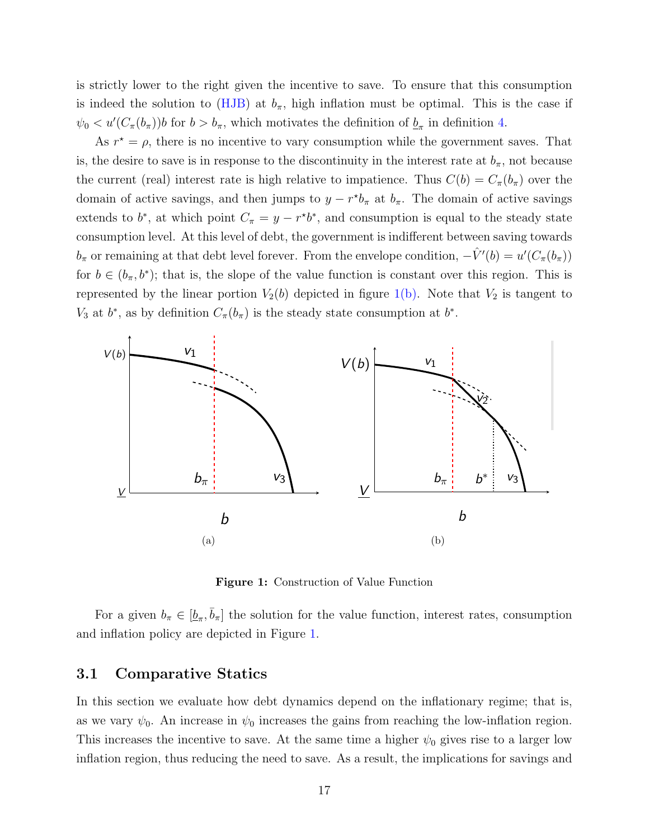is strictly lower to the right given the incentive to save. To ensure that this consumption is indeed the solution to [\(HJB\)](#page-10-0) at  $b_{\pi}$ , high inflation must be optimal. This is the case if  $\psi_0 < u'(C_{\pi}(b_{\pi}))$  for  $b > b_{\pi}$ , which motivates the definition of  $\underline{b}_{\pi}$  in definition [4.](#page-13-3)

As  $r^* = \rho$ , there is no incentive to vary consumption while the government saves. That is, the desire to save is in response to the discontinuity in the interest rate at  $b_{\pi}$ , not because the current (real) interest rate is high relative to impatience. Thus  $C(b) = C_{\pi}(b_{\pi})$  over the domain of active savings, and then jumps to  $y - r^*b_\pi$  at  $b_\pi$ . The domain of active savings extends to  $b^*$ , at which point  $C_{\pi} = y - r^*b^*$ , and consumption is equal to the steady state consumption level. At this level of debt, the government is indifferent between saving towards  $b_{\pi}$  or remaining at that debt level forever. From the envelope condition,  $-\hat{V}'(b) = u'(C_{\pi}(b_{\pi}))$ for  $b \in (b_{\pi}, b^*)$ ; that is, the slope of the value function is constant over this region. This is represented by the linear portion  $V_2(b)$  depicted in figure [1\(b\).](#page-16-2) Note that  $V_2$  is tangent to  $V_3$  at  $b^*$ , as by definition  $C_{\pi}(b_{\pi})$  is the steady state consumption at  $b^*$ .

<span id="page-16-1"></span><span id="page-16-0"></span>

<span id="page-16-2"></span>Figure 1: Construction of Value Function

For a given  $b_{\pi} \in [\underline{b}_{\pi}, \overline{b}_{\pi}]$  the solution for the value function, interest rates, consumption and inflation policy are depicted in Figure [1.](#page-16-0)

#### 3.1 Comparative Statics

In this section we evaluate how debt dynamics depend on the inflationary regime; that is, as we vary  $\psi_0$ . An increase in  $\psi_0$  increases the gains from reaching the low-inflation region. This increases the incentive to save. At the same time a higher  $\psi_0$  gives rise to a larger low inflation region, thus reducing the need to save. As a result, the implications for savings and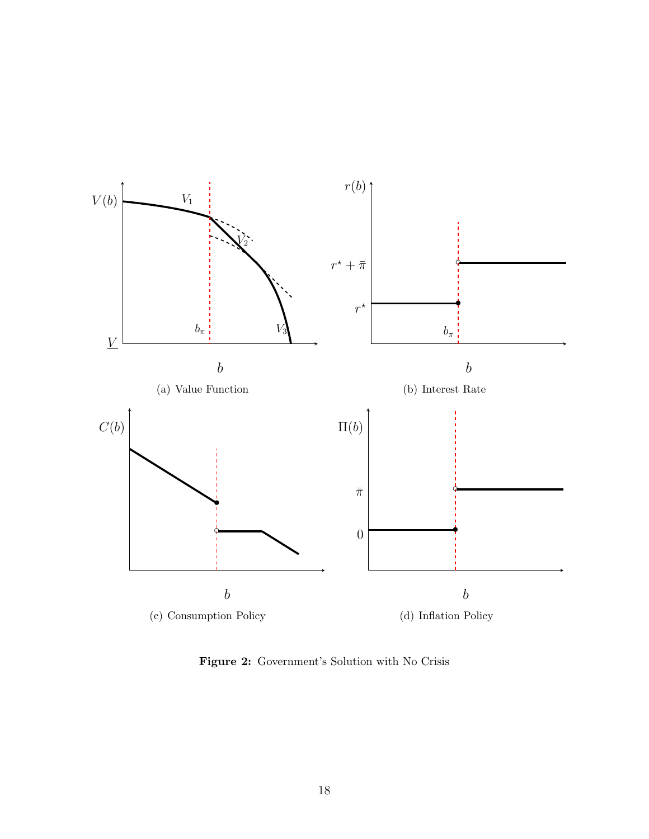

Figure 2: Government's Solution with No Crisis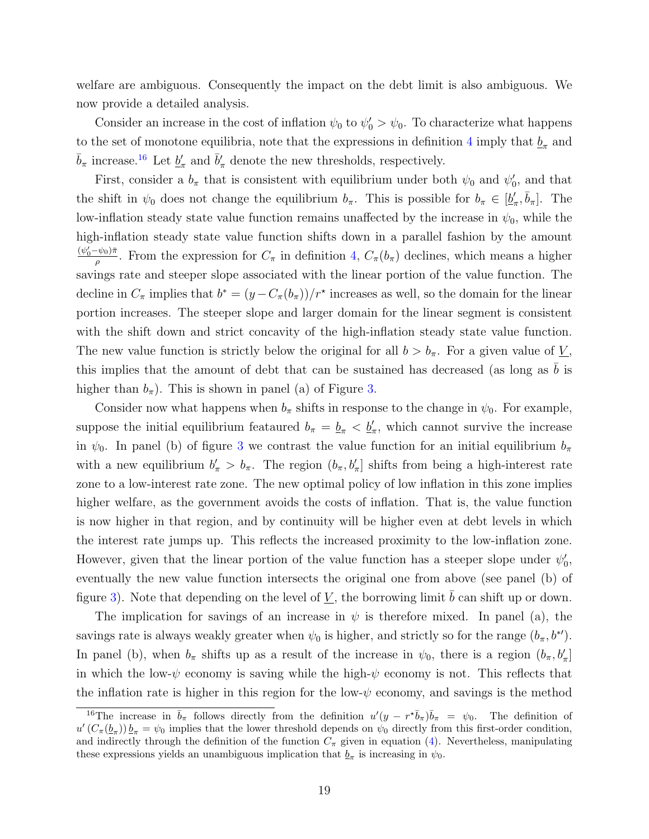welfare are ambiguous. Consequently the impact on the debt limit is also ambiguous. We now provide a detailed analysis.

Consider an increase in the cost of inflation  $\psi_0$  to  $\psi'_0 > \psi_0$ . To characterize what happens to the set of monotone equilibria, note that the expressions in definition [4](#page-13-3) imply that  $\underline{b}_{\pi}$  and  $\bar{b}_{\pi}$  increase.<sup>[16](#page-18-0)</sup> Let  $\underline{b}'_{\pi}$  and  $\bar{b}'_{\pi}$  denote the new thresholds, respectively.

First, consider a  $b_{\pi}$  that is consistent with equilibrium under both  $\psi_0$  and  $\psi'_0$ , and that the shift in  $\psi_0$  does not change the equilibrium  $b_\pi$ . This is possible for  $b_\pi \in [\underline{b}'_\pi, \overline{b}_\pi]$ . The low-inflation steady state value function remains unaffected by the increase in  $\psi_0$ , while the high-inflation steady state value function shifts down in a parallel fashion by the amount  $\frac{(\psi_0'-\psi_0)\pi}{\rho}$ . From the expression for  $C_\pi$  in definition [4,](#page-13-3)  $C_\pi(b_\pi)$  declines, which means a higher savings rate and steeper slope associated with the linear portion of the value function. The decline in  $C_{\pi}$  implies that  $b^* = (y - C_{\pi}(b_{\pi}))/r^*$  increases as well, so the domain for the linear portion increases. The steeper slope and larger domain for the linear segment is consistent with the shift down and strict concavity of the high-inflation steady state value function. The new value function is strictly below the original for all  $b > b_{\pi}$ . For a given value of  $\underline{V}$ , this implies that the amount of debt that can be sustained has decreased (as long as  $b$  is higher than  $b_{\pi}$ ). This is shown in panel (a) of Figure [3.](#page-19-1)

Consider now what happens when  $b_{\pi}$  shifts in response to the change in  $\psi_0$ . For example, suppose the initial equilibrium feataured  $b_{\pi} = \underline{b}_{\pi} < \underline{b}'_{\pi}$ , which cannot survive the increase in  $\psi_0$ . In panel (b) of figure [3](#page-19-1) we contrast the value function for an initial equilibrium  $b_\pi$ with a new equilibrium  $b'_\pi > b_\pi$ . The region  $(b_\pi, b'_\pi]$  shifts from being a high-interest rate zone to a low-interest rate zone. The new optimal policy of low inflation in this zone implies higher welfare, as the government avoids the costs of inflation. That is, the value function is now higher in that region, and by continuity will be higher even at debt levels in which the interest rate jumps up. This reflects the increased proximity to the low-inflation zone. However, given that the linear portion of the value function has a steeper slope under  $\psi'_0$ , eventually the new value function intersects the original one from above (see panel (b) of figure [3\)](#page-19-1). Note that depending on the level of V, the borrowing limit  $b$  can shift up or down.

The implication for savings of an increase in  $\psi$  is therefore mixed. In panel (a), the savings rate is always weakly greater when  $\psi_0$  is higher, and strictly so for the range  $(b_\pi, b^*)$ . In panel (b), when  $b_{\pi}$  shifts up as a result of the increase in  $\psi_0$ , there is a region  $(b_{\pi}, b_{\pi}']$ in which the low- $\psi$  economy is saving while the high- $\psi$  economy is not. This reflects that the inflation rate is higher in this region for the low- $\psi$  economy, and savings is the method

<span id="page-18-0"></span><sup>&</sup>lt;sup>16</sup>The increase in  $\bar{b}_{\pi}$  follows directly from the definition  $u'(y - r^* \bar{b}_{\pi}) \bar{b}_{\pi} = \psi_0$ . The definition of  $u'(C_{\pi}(b_{\pi})) b_{\pi} = \psi_0$  implies that the lower threshold depends on  $\psi_0$  directly from this first-order condition, and indirectly through the definition of the function  $C_{\pi}$  given in equation [\(4\)](#page-14-0). Nevertheless, manipulating these expressions yields an unambiguous implication that  $\underline{b}_{\pi}$  is increasing in  $\psi_0$ .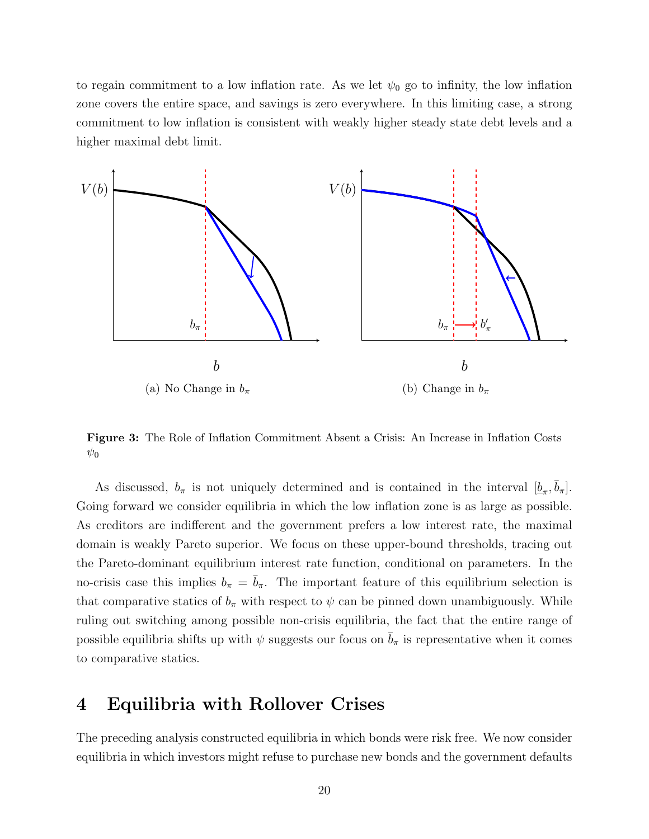to regain commitment to a low inflation rate. As we let  $\psi_0$  go to infinity, the low inflation zone covers the entire space, and savings is zero everywhere. In this limiting case, a strong commitment to low inflation is consistent with weakly higher steady state debt levels and a higher maximal debt limit.

<span id="page-19-1"></span>

 $\psi_0$ Figure 3: The Role of Inflation Commitment Absent a Crisis: An Increase in Inflation Costs  $\psi_0$ 

As discussed,  $b_{\pi}$  is not uniquely determined and is contained in the interval  $[\underline{b}_{\pi}, \overline{b}_{\pi}].$ Going forward we consider equilibria in which the low inflation zone is as large as possible. As creditors are indifferent and the government prefers a low interest rate, the maximal debt limit. no-crisis case this implies  $b_{\pi} = \bar{b}_{\pi}$ . The important feature of this equilibrium selection is ruling out switching among possible non-crisis equilibria, the fact that the entire range of possible equilibria shifts up with  $\psi$  suggests our focus on  $\bar{b}_{\pi}$  is representative when it comes government defaults in equilibrium. This links the preceding analysis of nominal domain is weakly Pareto superior. We focus on these upper-bound thresholds, tracing out the Pareto-dominant equilibrium interest rate function, conditional on parameters. In the that comparative statics of  $b_{\pi}$  with respect to  $\psi$  can be pinned down unambiguously. While to comparative statics.

# <span id="page-19-0"></span>4 Equilibria with Rollover Crises.

Recall that bonds mature at every instant. If investors refuse to roll over outstandequilibria in which investors might refuse to purchase new bonds and the government defaults The preceding analysis constructed equilibria in which bonds were risk free. We now consider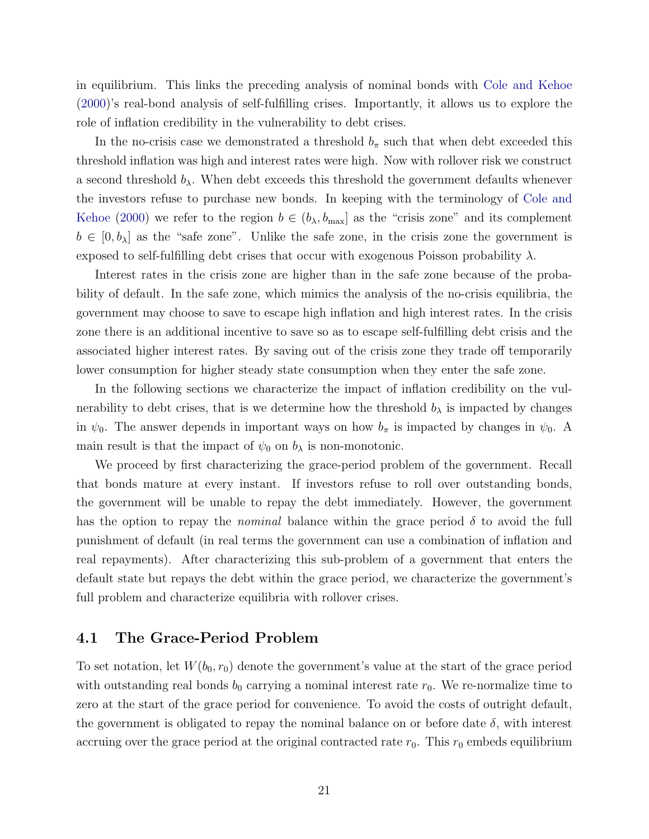in equilibrium. This links the preceding analysis of nominal bonds with [Cole and Kehoe](#page-50-1) [\(2000\)](#page-50-1)'s real-bond analysis of self-fulfilling crises. Importantly, it allows us to explore the role of inflation credibility in the vulnerability to debt crises.

In the no-crisis case we demonstrated a threshold  $b_{\pi}$  such that when debt exceeded this threshold inflation was high and interest rates were high. Now with rollover risk we construct a second threshold  $b_{\lambda}$ . When debt exceeds this threshold the government defaults whenever the investors refuse to purchase new bonds. In keeping with the terminology of [Cole and](#page-50-1) [Kehoe](#page-50-1) [\(2000\)](#page-50-1) we refer to the region  $b \in (b_{\lambda}, b_{\text{max}}]$  as the "crisis zone" and its complement  $b \in [0, b_\lambda]$  as the "safe zone". Unlike the safe zone, in the crisis zone the government is exposed to self-fulfilling debt crises that occur with exogenous Poisson probability  $\lambda$ .

Interest rates in the crisis zone are higher than in the safe zone because of the probability of default. In the safe zone, which mimics the analysis of the no-crisis equilibria, the government may choose to save to escape high inflation and high interest rates. In the crisis zone there is an additional incentive to save so as to escape self-fulfilling debt crisis and the associated higher interest rates. By saving out of the crisis zone they trade off temporarily lower consumption for higher steady state consumption when they enter the safe zone.

In the following sections we characterize the impact of inflation credibility on the vulnerability to debt crises, that is we determine how the threshold  $b_{\lambda}$  is impacted by changes in  $\psi_0$ . The answer depends in important ways on how  $b_\pi$  is impacted by changes in  $\psi_0$ . A main result is that the impact of  $\psi_0$  on  $b_\lambda$  is non-monotonic.

We proceed by first characterizing the grace-period problem of the government. Recall that bonds mature at every instant. If investors refuse to roll over outstanding bonds, the government will be unable to repay the debt immediately. However, the government has the option to repay the *nominal* balance within the grace period  $\delta$  to avoid the full punishment of default (in real terms the government can use a combination of inflation and real repayments). After characterizing this sub-problem of a government that enters the default state but repays the debt within the grace period, we characterize the government's full problem and characterize equilibria with rollover crises.

#### <span id="page-20-0"></span>4.1 The Grace-Period Problem

To set notation, let  $W(b_0, r_0)$  denote the government's value at the start of the grace period with outstanding real bonds  $b_0$  carrying a nominal interest rate  $r_0$ . We re-normalize time to zero at the start of the grace period for convenience. To avoid the costs of outright default, the government is obligated to repay the nominal balance on or before date  $\delta$ , with interest accruing over the grace period at the original contracted rate  $r_0$ . This  $r_0$  embeds equilibrium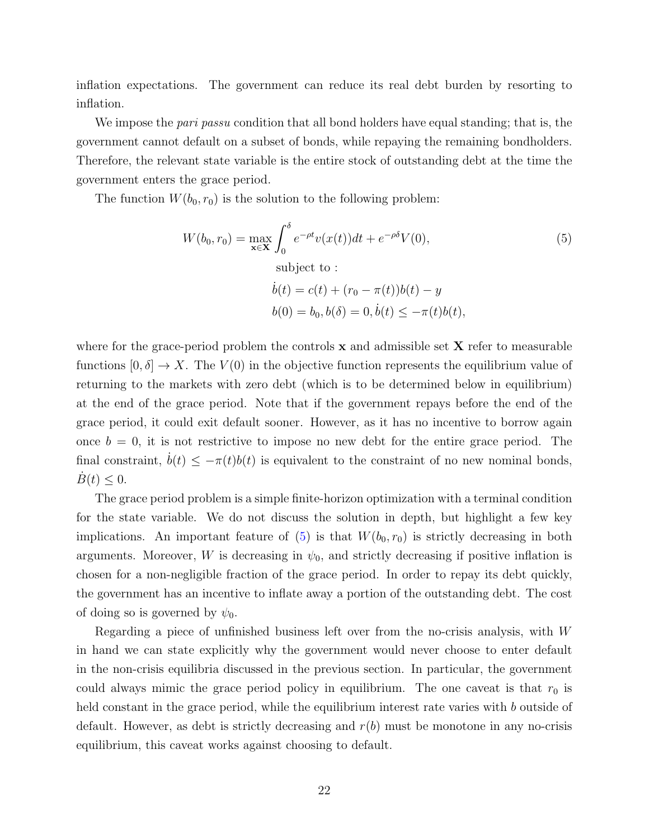inflation expectations. The government can reduce its real debt burden by resorting to inflation.

We impose the *pari passu* condition that all bond holders have equal standing; that is, the government cannot default on a subset of bonds, while repaying the remaining bondholders. Therefore, the relevant state variable is the entire stock of outstanding debt at the time the government enters the grace period.

The function  $W(b_0, r_0)$  is the solution to the following problem:

<span id="page-21-0"></span>
$$
W(b_0, r_0) = \max_{\mathbf{x} \in \mathbf{X}} \int_0^{\delta} e^{-\rho t} v(x(t)) dt + e^{-\rho \delta} V(0),
$$
\n(5)

\nsubject to:

\n
$$
\dot{b}(t) = c(t) + (r_0 - \pi(t))b(t) - y
$$
\n
$$
b(0) = b_0, b(\delta) = 0, \dot{b}(t) \le -\pi(t)b(t),
$$

where for the grace-period problem the controls  $x$  and admissible set  $X$  refer to measurable functions  $[0, \delta] \to X$ . The  $V(0)$  in the objective function represents the equilibrium value of returning to the markets with zero debt (which is to be determined below in equilibrium) at the end of the grace period. Note that if the government repays before the end of the grace period, it could exit default sooner. However, as it has no incentive to borrow again once  $b = 0$ , it is not restrictive to impose no new debt for the entire grace period. The final constraint,  $\dot{b}(t) \leq -\pi(t)b(t)$  is equivalent to the constraint of no new nominal bonds,  $B(t) \leq 0.$ 

The grace period problem is a simple finite-horizon optimization with a terminal condition for the state variable. We do not discuss the solution in depth, but highlight a few key implications. An important feature of  $(5)$  is that  $W(b_0, r_0)$  is strictly decreasing in both arguments. Moreover, W is decreasing in  $\psi_0$ , and strictly decreasing if positive inflation is chosen for a non-negligible fraction of the grace period. In order to repay its debt quickly, the government has an incentive to inflate away a portion of the outstanding debt. The cost of doing so is governed by  $\psi_0$ .

Regarding a piece of unfinished business left over from the no-crisis analysis, with W in hand we can state explicitly why the government would never choose to enter default in the non-crisis equilibria discussed in the previous section. In particular, the government could always mimic the grace period policy in equilibrium. The one caveat is that  $r_0$  is held constant in the grace period, while the equilibrium interest rate varies with b outside of default. However, as debt is strictly decreasing and  $r(b)$  must be monotone in any no-crisis equilibrium, this caveat works against choosing to default.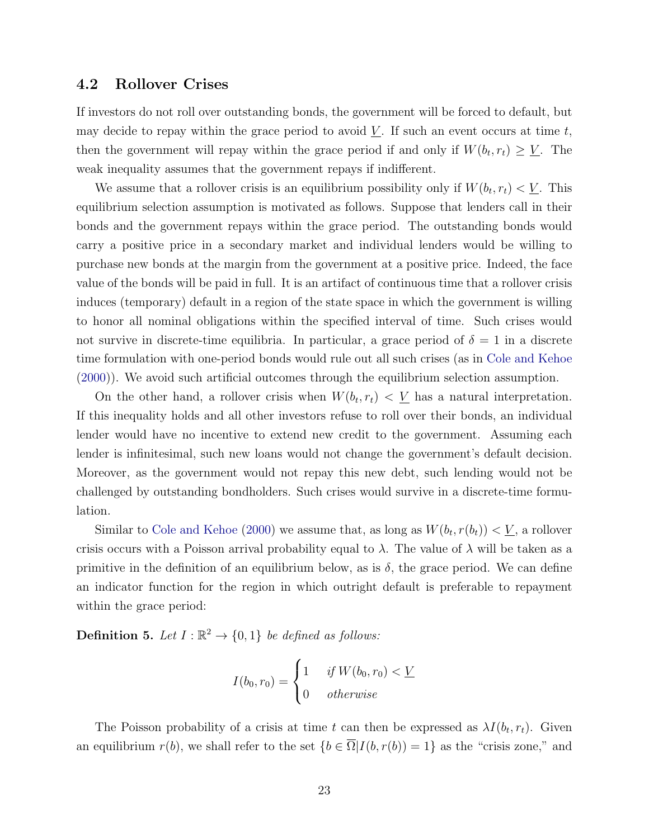#### <span id="page-22-0"></span>4.2 Rollover Crises

If investors do not roll over outstanding bonds, the government will be forced to default, but may decide to repay within the grace period to avoid  $\underline{V}$ . If such an event occurs at time t, then the government will repay within the grace period if and only if  $W(b_t, r_t) \geq \underline{V}$ . The weak inequality assumes that the government repays if indifferent.

We assume that a rollover crisis is an equilibrium possibility only if  $W(b_t, r_t) < \underline{V}$ . This equilibrium selection assumption is motivated as follows. Suppose that lenders call in their bonds and the government repays within the grace period. The outstanding bonds would carry a positive price in a secondary market and individual lenders would be willing to purchase new bonds at the margin from the government at a positive price. Indeed, the face value of the bonds will be paid in full. It is an artifact of continuous time that a rollover crisis induces (temporary) default in a region of the state space in which the government is willing to honor all nominal obligations within the specified interval of time. Such crises would not survive in discrete-time equilibria. In particular, a grace period of  $\delta = 1$  in a discrete time formulation with one-period bonds would rule out all such crises (as in [Cole and Kehoe](#page-50-1) [\(2000\)](#page-50-1)). We avoid such artificial outcomes through the equilibrium selection assumption.

On the other hand, a rollover crisis when  $W(b_t, r_t) < \underline{V}$  has a natural interpretation. If this inequality holds and all other investors refuse to roll over their bonds, an individual lender would have no incentive to extend new credit to the government. Assuming each lender is infinitesimal, such new loans would not change the government's default decision. Moreover, as the government would not repay this new debt, such lending would not be challenged by outstanding bondholders. Such crises would survive in a discrete-time formulation.

Similar to [Cole and Kehoe](#page-50-1) [\(2000\)](#page-50-1) we assume that, as long as  $W(b_t, r(b_t)) < \underline{V}$ , a rollover crisis occurs with a Poisson arrival probability equal to  $\lambda$ . The value of  $\lambda$  will be taken as a primitive in the definition of an equilibrium below, as is  $\delta$ , the grace period. We can define an indicator function for the region in which outright default is preferable to repayment within the grace period:

**Definition 5.** Let  $I : \mathbb{R}^2 \to \{0, 1\}$  be defined as follows:

$$
I(b_0, r_0) = \begin{cases} 1 & \text{if } W(b_0, r_0) < \underline{V} \\ 0 & \text{otherwise} \end{cases}
$$

The Poisson probability of a crisis at time t can then be expressed as  $\lambda I(b_t, r_t)$ . Given an equilibrium  $r(b)$ , we shall refer to the set  $\{b \in \overline{\Omega} | I(b, r(b)) = 1\}$  as the "crisis zone," and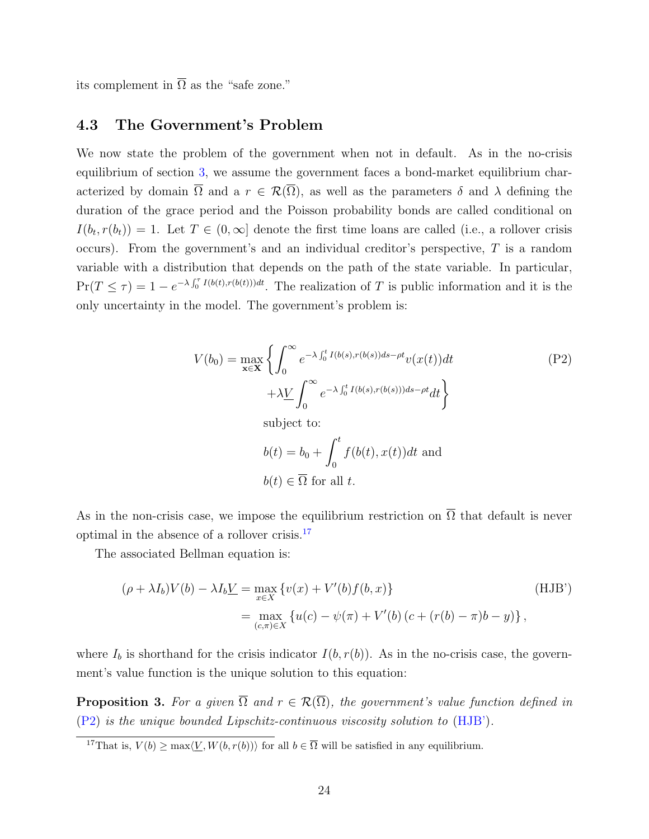its complement in  $\overline{\Omega}$  as the "safe zone."

#### 4.3 The Government's Problem

We now state the problem of the government when not in default. As in the no-crisis equilibrium of section [3,](#page-8-0) we assume the government faces a bond-market equilibrium characterized by domain  $\overline{\Omega}$  and a  $r \in \mathcal{R}(\overline{\Omega})$ , as well as the parameters  $\delta$  and  $\lambda$  defining the duration of the grace period and the Poisson probability bonds are called conditional on  $I(b_t, r(b_t)) = 1$ . Let  $T \in (0, \infty]$  denote the first time loans are called (i.e., a rollover crisis occurs). From the government's and an individual creditor's perspective,  $T$  is a random variable with a distribution that depends on the path of the state variable. In particular,  $Pr(T \leq \tau) = 1 - e^{-\lambda \int_0^{\tau} I(b(t), r(b(t))) dt}$ . The realization of T is public information and it is the only uncertainty in the model. The government's problem is:

<span id="page-23-2"></span><span id="page-23-1"></span>
$$
V(b_0) = \max_{\mathbf{x} \in \mathbf{X}} \left\{ \int_0^\infty e^{-\lambda \int_0^t I(b(s), r(b(s))ds - \rho t} v(x(t)) dt \right. \qquad (P2)
$$
  
 
$$
+ \lambda \underline{V} \int_0^\infty e^{-\lambda \int_0^t I(b(s), r(b(s))) ds - \rho t} dt \right\}
$$
  
subject to:  

$$
b(t) = b_0 + \int_0^t f(b(t), x(t)) dt \text{ and}
$$
  

$$
b(t) \in \overline{\Omega} \text{ for all } t.
$$

As in the non-crisis case, we impose the equilibrium restriction on  $\overline{\Omega}$  that default is never optimal in the absence of a rollover crisis.[17](#page-23-0)

The associated Bellman equation is:

$$
(\rho + \lambda I_b)V(b) - \lambda I_b \underline{V} = \max_{x \in X} \{v(x) + V'(b)f(b, x)\}
$$
  
= 
$$
\max_{(c,\pi) \in X} \{u(c) - \psi(\pi) + V'(b)(c + (r(b) - \pi)b - y)\},
$$
 (HJB')

where  $I<sub>b</sub>$  is shorthand for the crisis indicator  $I(b, r(b))$ . As in the no-crisis case, the government's value function is the unique solution to this equation:

<span id="page-23-3"></span>**Proposition 3.** For a given  $\overline{\Omega}$  and  $r \in \mathcal{R}(\overline{\Omega})$ , the government's value function defined in [\(P2\)](#page-23-1) is the unique bounded Lipschitz-continuous viscosity solution to [\(HJB'\)](#page-23-2).

<span id="page-23-0"></span><sup>17</sup>That is,  $V(b) \ge \max\langle V, W(b, r(b)) \rangle$  for all  $b \in \overline{\Omega}$  will be satisfied in any equilibrium.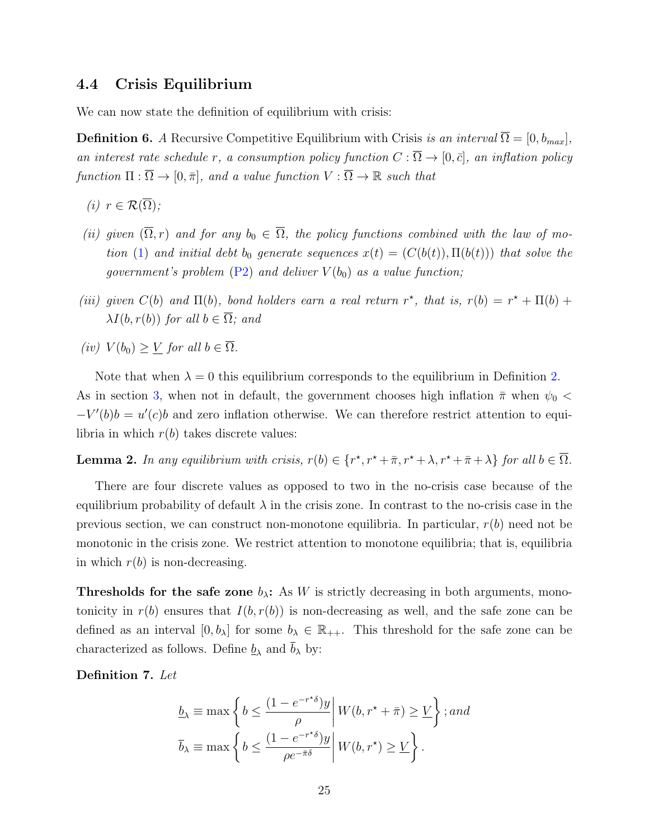#### 4.4 Crisis Equilibrium

We can now state the definition of equilibrium with crisis:

**Definition 6.** A Recursive Competitive Equilibrium with Crisis is an interval  $\overline{\Omega} = [0, b_{max}]$ , an interest rate schedule r, a consumption policy function  $C : \overline{\Omega} \to [0, \overline{c}]$ , an inflation policy function  $\Pi : \overline{\Omega} \to [0, \overline{\pi}],$  and a value function  $V : \overline{\Omega} \to \mathbb{R}$  such that

- (i)  $r \in \mathcal{R}(\overline{\Omega})$ ;
- (ii) given  $(\overline{\Omega}, r)$  and for any  $b_0 \in \overline{\Omega}$ , the policy functions combined with the law of mo-tion [\(1\)](#page-5-1) and initial debt b<sub>0</sub> generate sequences  $x(t) = (C(b(t)), \Pi(b(t)))$  that solve the government's problem  $(P2)$  and deliver  $V(b_0)$  as a value function;
- (iii) given  $C(b)$  and  $\Pi(b)$ , bond holders earn a real return r<sup>\*</sup>, that is,  $r(b) = r^* + \Pi(b) +$  $\lambda I(b, r(b))$  for all  $b \in \overline{\Omega}$ ; and
- (iv)  $V(b_0) \geq \underline{V}$  for all  $b \in \overline{\Omega}$ .

Note that when  $\lambda = 0$  this equilibrium corresponds to the equilibrium in Definition [2.](#page-9-2) As in section [3,](#page-8-0) when not in default, the government chooses high inflation  $\bar{\pi}$  when  $\psi_0$  <  $-V'(b)b = u'(c)b$  and zero inflation otherwise. We can therefore restrict attention to equilibria in which  $r(b)$  takes discrete values:

<span id="page-24-0"></span>**Lemma 2.** In any equilibrium with crisis,  $r(b) \in \{r^*, r^* + \overline{\pi}, r^* + \lambda, r^* + \overline{\pi} + \lambda\}$  for all  $b \in \overline{\Omega}$ .

There are four discrete values as opposed to two in the no-crisis case because of the equilibrium probability of default  $\lambda$  in the crisis zone. In contrast to the no-crisis case in the previous section, we can construct non-monotone equilibria. In particular,  $r(b)$  need not be monotonic in the crisis zone. We restrict attention to monotone equilibria; that is, equilibria in which  $r(b)$  is non-decreasing.

**Thresholds for the safe zone**  $b_{\lambda}$ : As W is strictly decreasing in both arguments, monotonicity in  $r(b)$  ensures that  $I(b, r(b))$  is non-decreasing as well, and the safe zone can be defined as an interval  $[0, b_\lambda]$  for some  $b_\lambda \in \mathbb{R}_{++}$ . This threshold for the safe zone can be characterized as follows. Define  $\underline{b}_{\lambda}$  and  $b_{\lambda}$  by:

Definition 7. Let

$$
\underline{b}_{\lambda} \equiv \max \left\{ b \le \frac{(1 - e^{-r^*\delta})y}{\rho} \middle| W(b, r^* + \bar{\pi}) \ge \underline{V} \right\}; and
$$
  

$$
\overline{b}_{\lambda} \equiv \max \left\{ b \le \frac{(1 - e^{-r^*\delta})y}{\rho e^{-\bar{\pi}\delta}} \middle| W(b, r^*) \ge \underline{V} \right\}.
$$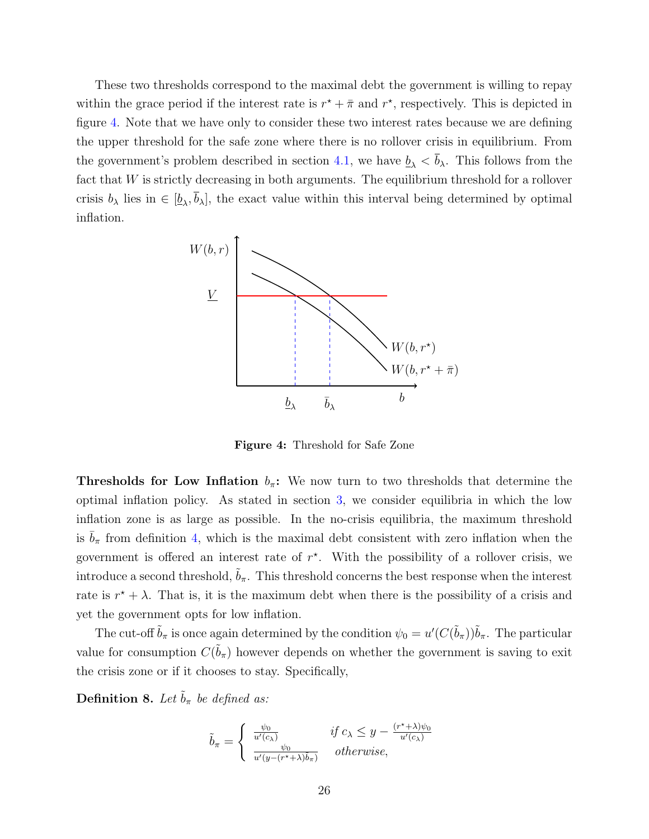These two thresholds correspond to the maximal debt the government is willing to repay within the grace period if the interest rate is  $r^* + \bar{\pi}$  and  $r^*$ , respectively. This is depicted in figure [4.](#page-25-0) Note that we have only to consider these two interest rates because we are defining the upper threshold for the safe zone where there is no rollover crisis in equilibrium. From the government's problem described in section [4.1,](#page-20-0) we have  $\underline{b}_{\lambda} < \overline{b}_{\lambda}$ . This follows from the fact that W is strictly decreasing in both arguments. The equilibrium threshold for a rollover crisis  $b_{\lambda}$  lies in  $\in [\underline{b}_{\lambda}, b_{\lambda}]$ , the exact value within this interval being determined by optimal inflation.

<span id="page-25-0"></span>

Figure 4: Threshold for Safe Zone

**Thresholds for Low Inflation**  $b_{\pi}$ : We now turn to two thresholds that determine the optimal inflation policy. As stated in section [3,](#page-8-0) we consider equilibria in which the low inflation zone is as large as possible. In the no-crisis equilibria, the maximum threshold is  $\bar{b}_{\pi}$  from definition [4,](#page-13-3) which is the maximal debt consistent with zero inflation when the government is offered an interest rate of  $r^*$ . With the possibility of a rollover crisis, we introduce a second threshold,  $b_{\pi}$ . This threshold concerns the best response when the interest rate is  $r^* + \lambda$ . That is, it is the maximum debt when there is the possibility of a crisis and yet the government opts for low inflation.

The cut-off  $\tilde{b}_{\pi}$  is once again determined by the condition  $\psi_0 = u'(C(\tilde{b}_{\pi}))\tilde{b}_{\pi}$ . The particular value for consumption  $C(\tilde{b}_{\pi})$  however depends on whether the government is saving to exit the crisis zone or if it chooses to stay. Specifically,

**Definition 8.** Let  $\tilde{b}_{\pi}$  be defined as:

$$
\tilde{b}_{\pi} = \begin{cases}\n\frac{\psi_0}{u'(c_{\lambda})} & \text{if } c_{\lambda} \leq y - \frac{(r^* + \lambda)\psi_0}{u'(c_{\lambda})} \\
\frac{\psi_0}{u'(y - (r^* + \lambda)\tilde{b}_{\pi})} & \text{otherwise,} \n\end{cases}
$$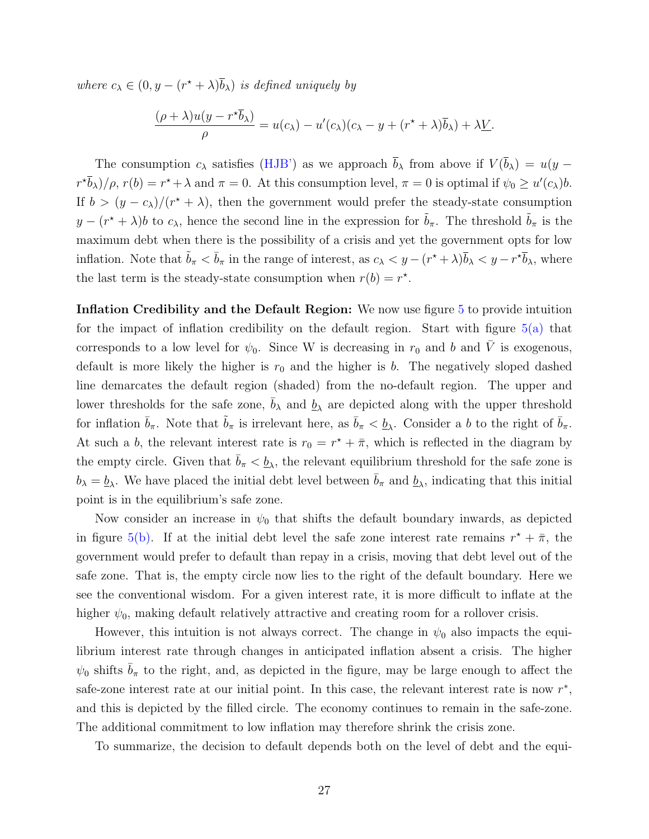where  $c_{\lambda} \in (0, y - (r^* + \lambda)\overline{b}_{\lambda})$  is defined uniquely by

$$
\frac{(\rho + \lambda)u(y - r^*\overline{b}_\lambda)}{\rho} = u(c_\lambda) - u'(c_\lambda)(c_\lambda - y + (r^* + \lambda)\overline{b}_\lambda) + \lambda \underline{V}.
$$

The consumption  $c_{\lambda}$  satisfies [\(HJB'\)](#page-23-2) as we approach  $\bar{b}_{\lambda}$  from above if  $V(\bar{b}_{\lambda}) = u(y (r^*\bar{b}_\lambda)/\rho$ ,  $r(b) = r^* + \lambda$  and  $\pi = 0$ . At this consumption level,  $\pi = 0$  is optimal if  $\psi_0 \ge u'(c_\lambda)b$ . If  $b > (y - c_{\lambda})/(r^* + \lambda)$ , then the government would prefer the steady-state consumption  $y - (r^* + \lambda)b$  to  $c_\lambda$ , hence the second line in the expression for  $\tilde{b}_\pi$ . The threshold  $\tilde{b}_\pi$  is the maximum debt when there is the possibility of a crisis and yet the government opts for low inflation. Note that  $\tilde{b}_{\pi} < \bar{b}_{\pi}$  in the range of interest, as  $c_{\lambda} < y - (r^* + \lambda)\bar{b}_{\lambda} < y - r^* \bar{b}_{\lambda}$ , where the last term is the steady-state consumption when  $r(b) = r^*$ .

Inflation Credibility and the Default Region: We now use figure [5](#page-28-0) to provide intuition for the impact of inflation credibility on the default region. Start with figure  $5(a)$  that corresponds to a low level for  $\psi_0$ . Since W is decreasing in  $r_0$  and b and V is exogenous, default is more likely the higher is  $r_0$  and the higher is b. The negatively sloped dashed line demarcates the default region (shaded) from the no-default region. The upper and lower thresholds for the safe zone,  $\bar{b}_{\lambda}$  and  $\underline{b}_{\lambda}$  are depicted along with the upper threshold for inflation  $\bar{b}_\pi$ . Note that  $\tilde{b}_\pi$  is irrelevant here, as  $\bar{b}_\pi < \underline{b}_\lambda$ . Consider a b to the right of  $\bar{b}_\pi$ . At such a b, the relevant interest rate is  $r_0 = r^* + \overline{\pi}$ , which is reflected in the diagram by the empty circle. Given that  $\bar{b}_{\pi} < \underline{b}_{\lambda}$ , the relevant equilibrium threshold for the safe zone is  $b_{\lambda} = \underline{b}_{\lambda}$ . We have placed the initial debt level between  $\bar{b}_{\pi}$  and  $\underline{b}_{\lambda}$ , indicating that this initial point is in the equilibrium's safe zone.

Now consider an increase in  $\psi_0$  that shifts the default boundary inwards, as depicted in figure [5\(b\).](#page-28-2) If at the initial debt level the safe zone interest rate remains  $r^* + \bar{\pi}$ , the government would prefer to default than repay in a crisis, moving that debt level out of the safe zone. That is, the empty circle now lies to the right of the default boundary. Here we see the conventional wisdom. For a given interest rate, it is more difficult to inflate at the higher  $\psi_0$ , making default relatively attractive and creating room for a rollover crisis.

However, this intuition is not always correct. The change in  $\psi_0$  also impacts the equilibrium interest rate through changes in anticipated inflation absent a crisis. The higher  $\psi_0$  shifts  $b_\pi$  to the right, and, as depicted in the figure, may be large enough to affect the safe-zone interest rate at our initial point. In this case, the relevant interest rate is now  $r^*$ , and this is depicted by the filled circle. The economy continues to remain in the safe-zone. The additional commitment to low inflation may therefore shrink the crisis zone.

To summarize, the decision to default depends both on the level of debt and the equi-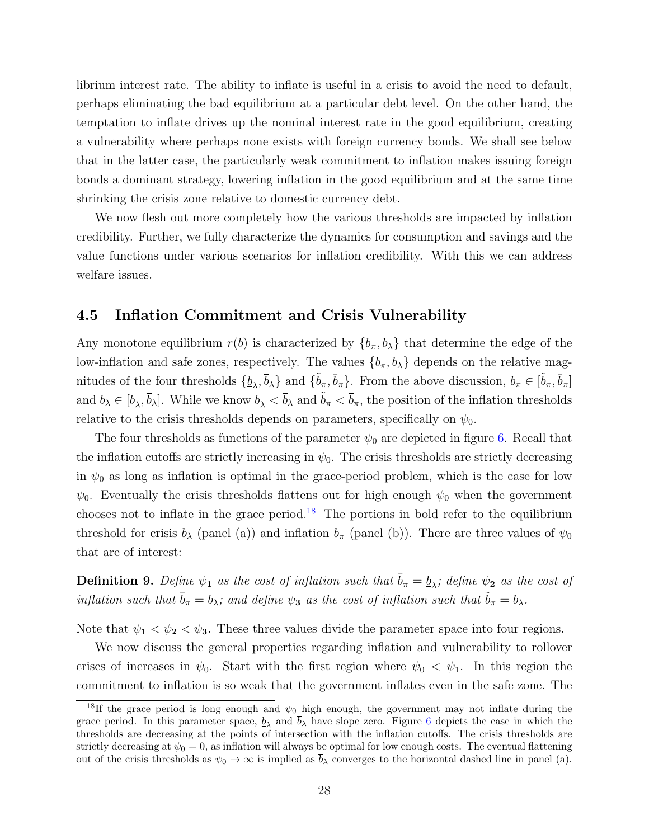librium interest rate. The ability to inflate is useful in a crisis to avoid the need to default, perhaps eliminating the bad equilibrium at a particular debt level. On the other hand, the temptation to inflate drives up the nominal interest rate in the good equilibrium, creating a vulnerability where perhaps none exists with foreign currency bonds. We shall see below that in the latter case, the particularly weak commitment to inflation makes issuing foreign bonds a dominant strategy, lowering inflation in the good equilibrium and at the same time shrinking the crisis zone relative to domestic currency debt.

We now flesh out more completely how the various thresholds are impacted by inflation credibility. Further, we fully characterize the dynamics for consumption and savings and the value functions under various scenarios for inflation credibility. With this we can address welfare issues.

#### <span id="page-27-0"></span>4.5 Inflation Commitment and Crisis Vulnerability

Any monotone equilibrium  $r(b)$  is characterized by  $\{b_{\pi}, b_{\lambda}\}\$  that determine the edge of the low-inflation and safe zones, respectively. The values  $\{b_{\pi}, b_{\lambda}\}\$  depends on the relative magnitudes of the four thresholds  $\{\underline{b}_{\lambda}, \overline{b}_{\lambda}\}\$  and  $\{\tilde{b}_{\pi}, \overline{b}_{\pi}\}\$ . From the above discussion,  $b_{\pi} \in [\tilde{b}_{\pi}, \overline{b}_{\pi}]$ and  $b_{\lambda} \in [\underline{b}_{\lambda}, \overline{b}_{\lambda}]$ . While we know  $\underline{b}_{\lambda} < \overline{b}_{\lambda}$  and  $\tilde{b}_{\pi} < \overline{b}_{\pi}$ , the position of the inflation thresholds relative to the crisis thresholds depends on parameters, specifically on  $\psi_0$ .

The four thresholds as functions of the parameter  $\psi_0$  are depicted in figure [6.](#page-31-0) Recall that the inflation cutoffs are strictly increasing in  $\psi_0$ . The crisis thresholds are strictly decreasing in  $\psi_0$  as long as inflation is optimal in the grace-period problem, which is the case for low  $\psi_0$ . Eventually the crisis thresholds flattens out for high enough  $\psi_0$  when the government chooses not to inflate in the grace period.<sup>[18](#page-27-1)</sup> The portions in bold refer to the equilibrium threshold for crisis  $b_\lambda$  (panel (a)) and inflation  $b_\pi$  (panel (b)). There are three values of  $\psi_0$ that are of interest:

**Definition 9.** Define  $\psi_1$  as the cost of inflation such that  $\bar{b}_{\pi} = \underline{b}_{\lambda}$ ; define  $\psi_2$  as the cost of inflation such that  $\bar{b}_{\pi} = \bar{b}_{\lambda}$ ; and define  $\psi_3$  as the cost of inflation such that  $\tilde{b}_{\pi} = \bar{b}_{\lambda}$ .

Note that  $\psi_1 < \psi_2 < \psi_3$ . These three values divide the parameter space into four regions.

We now discuss the general properties regarding inflation and vulnerability to rollover crises of increases in  $\psi_0$ . Start with the first region where  $\psi_0 < \psi_1$ . In this region the commitment to inflation is so weak that the government inflates even in the safe zone. The

<span id="page-27-1"></span><sup>&</sup>lt;sup>18</sup>If the grace period is long enough and  $\psi_0$  high enough, the government may not inflate during the grace period. In this parameter space,  $\underline{b}_{\lambda}$  and  $b_{\lambda}$  have slope zero. Figure [6](#page-31-0) depicts the case in which the thresholds are decreasing at the points of intersection with the inflation cutoffs. The crisis thresholds are strictly decreasing at  $\psi_0 = 0$ , as inflation will always be optimal for low enough costs. The eventual flattening out of the crisis thresholds as  $\psi_0 \to \infty$  is implied as  $\bar{b}_\lambda$  converges to the horizontal dashed line in panel (a).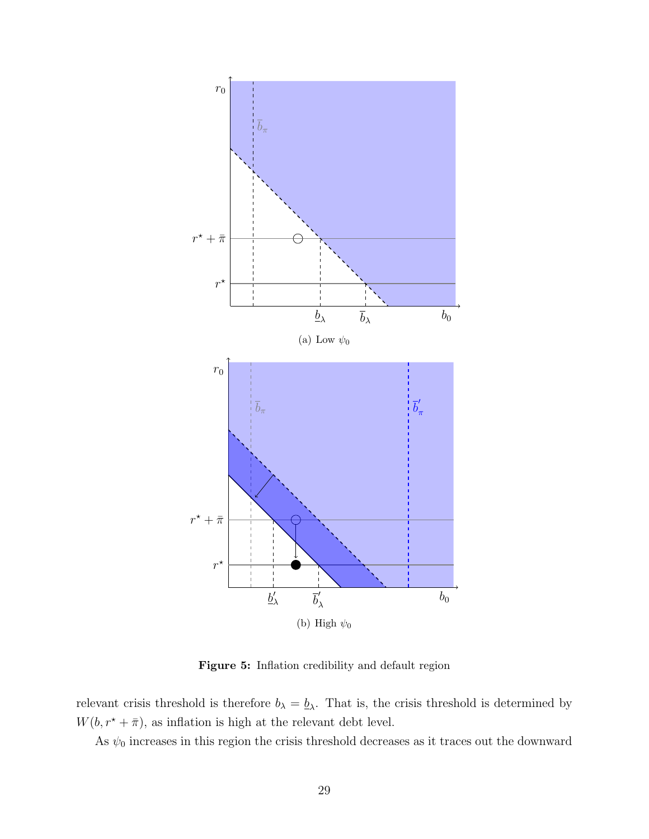<span id="page-28-1"></span><span id="page-28-0"></span>

<span id="page-28-2"></span>Figure 5: Inflation credibility and default region

relevant crisis threshold is therefore  $b_{\lambda} = \underline{b}_{\lambda}$ . That is, the crisis threshold is determined by  $W(b, r^\star + \bar{\pi}),$  as inflation is high at the relevant debt level.

As  $\psi_0$  increases in this region the crisis threshold decreases as it traces out the downward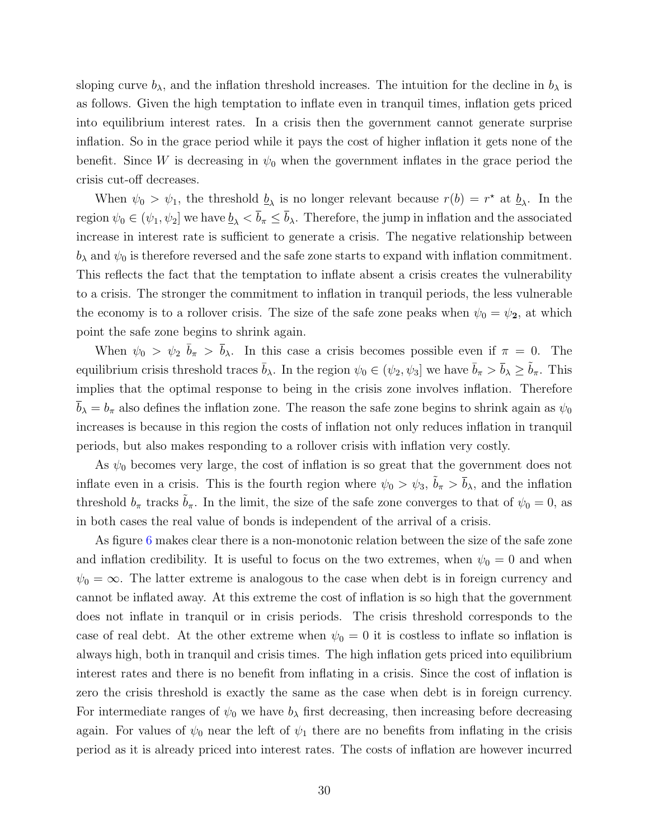sloping curve  $b_{\lambda}$ , and the inflation threshold increases. The intuition for the decline in  $b_{\lambda}$  is as follows. Given the high temptation to inflate even in tranquil times, inflation gets priced into equilibrium interest rates. In a crisis then the government cannot generate surprise inflation. So in the grace period while it pays the cost of higher inflation it gets none of the benefit. Since W is decreasing in  $\psi_0$  when the government inflates in the grace period the crisis cut-off decreases.

When  $\psi_0 > \psi_1$ , the threshold  $\underline{b}_\lambda$  is no longer relevant because  $r(b) = r^*$  at  $\underline{b}_\lambda$ . In the region  $\psi_0 \in (\psi_1, \psi_2]$  we have  $\underline{b}_{\lambda} < \overline{b}_{\pi} \le \overline{b}_{\lambda}$ . Therefore, the jump in inflation and the associated increase in interest rate is sufficient to generate a crisis. The negative relationship between  $b_{\lambda}$  and  $\psi_0$  is therefore reversed and the safe zone starts to expand with inflation commitment. This reflects the fact that the temptation to inflate absent a crisis creates the vulnerability to a crisis. The stronger the commitment to inflation in tranquil periods, the less vulnerable the economy is to a rollover crisis. The size of the safe zone peaks when  $\psi_0 = \psi_2$ , at which point the safe zone begins to shrink again.

When  $\psi_0 > \psi_2 \bar{b}_{\pi} > \bar{b}_{\lambda}$ . In this case a crisis becomes possible even if  $\pi = 0$ . The equilibrium crisis threshold traces  $\bar{b}_\lambda$ . In the region  $\psi_0 \in (\psi_2, \psi_3]$  we have  $\bar{b}_\pi > \bar{b}_\lambda \geq \tilde{b}_\pi$ . This implies that the optimal response to being in the crisis zone involves inflation. Therefore  $b_{\lambda} = b_{\pi}$  also defines the inflation zone. The reason the safe zone begins to shrink again as  $\psi_0$ increases is because in this region the costs of inflation not only reduces inflation in tranquil periods, but also makes responding to a rollover crisis with inflation very costly.

As  $\psi_0$  becomes very large, the cost of inflation is so great that the government does not inflate even in a crisis. This is the fourth region where  $\psi_0 > \psi_3$ ,  $\tilde{b}_\pi > \bar{b}_\lambda$ , and the inflation threshold  $b_{\pi}$  tracks  $\bar{b}_{\pi}$ . In the limit, the size of the safe zone converges to that of  $\psi_0 = 0$ , as in both cases the real value of bonds is independent of the arrival of a crisis.

As figure [6](#page-31-0) makes clear there is a non-monotonic relation between the size of the safe zone and inflation credibility. It is useful to focus on the two extremes, when  $\psi_0 = 0$  and when  $\psi_0 = \infty$ . The latter extreme is analogous to the case when debt is in foreign currency and cannot be inflated away. At this extreme the cost of inflation is so high that the government does not inflate in tranquil or in crisis periods. The crisis threshold corresponds to the case of real debt. At the other extreme when  $\psi_0 = 0$  it is costless to inflate so inflation is always high, both in tranquil and crisis times. The high inflation gets priced into equilibrium interest rates and there is no benefit from inflating in a crisis. Since the cost of inflation is zero the crisis threshold is exactly the same as the case when debt is in foreign currency. For intermediate ranges of  $\psi_0$  we have  $b_\lambda$  first decreasing, then increasing before decreasing again. For values of  $\psi_0$  near the left of  $\psi_1$  there are no benefits from inflating in the crisis period as it is already priced into interest rates. The costs of inflation are however incurred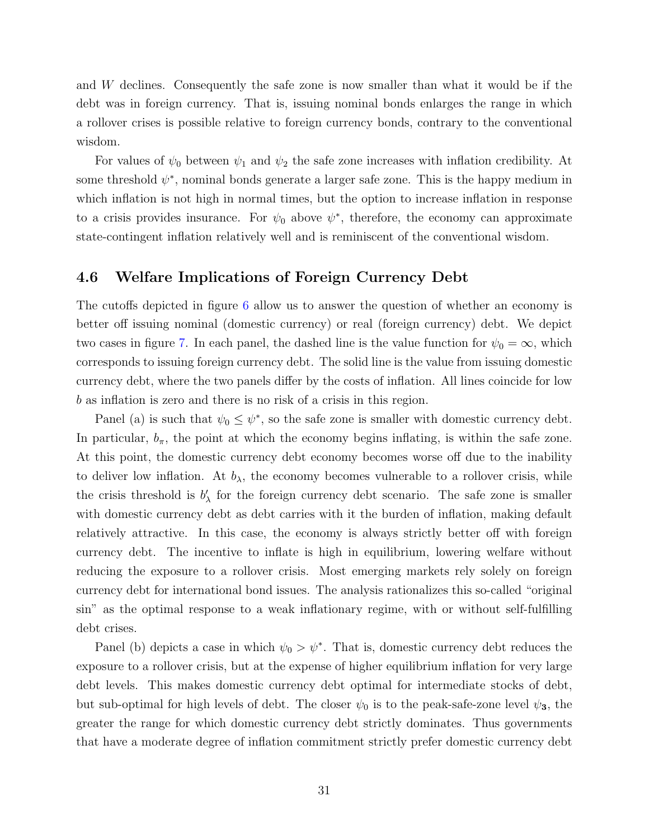and W declines. Consequently the safe zone is now smaller than what it would be if the debt was in foreign currency. That is, issuing nominal bonds enlarges the range in which a rollover crises is possible relative to foreign currency bonds, contrary to the conventional wisdom.

For values of  $\psi_0$  between  $\psi_1$  and  $\psi_2$  the safe zone increases with inflation credibility. At some threshold  $\psi^*$ , nominal bonds generate a larger safe zone. This is the happy medium in which inflation is not high in normal times, but the option to increase inflation in response to a crisis provides insurance. For  $\psi_0$  above  $\psi^*$ , therefore, the economy can approximate state-contingent inflation relatively well and is reminiscent of the conventional wisdom.

#### <span id="page-30-0"></span>4.6 Welfare Implications of Foreign Currency Debt

The cutoffs depicted in figure [6](#page-31-0) allow us to answer the question of whether an economy is better off issuing nominal (domestic currency) or real (foreign currency) debt. We depict two cases in figure [7.](#page-32-0) In each panel, the dashed line is the value function for  $\psi_0 = \infty$ , which corresponds to issuing foreign currency debt. The solid line is the value from issuing domestic currency debt, where the two panels differ by the costs of inflation. All lines coincide for low b as inflation is zero and there is no risk of a crisis in this region.

Panel (a) is such that  $\psi_0 \leq \psi^*$ , so the safe zone is smaller with domestic currency debt. In particular,  $b_{\pi}$ , the point at which the economy begins inflating, is within the safe zone. At this point, the domestic currency debt economy becomes worse off due to the inability to deliver low inflation. At  $b_{\lambda}$ , the economy becomes vulnerable to a rollover crisis, while the crisis threshold is  $b'_{\lambda}$  for the foreign currency debt scenario. The safe zone is smaller with domestic currency debt as debt carries with it the burden of inflation, making default relatively attractive. In this case, the economy is always strictly better off with foreign currency debt. The incentive to inflate is high in equilibrium, lowering welfare without reducing the exposure to a rollover crisis. Most emerging markets rely solely on foreign currency debt for international bond issues. The analysis rationalizes this so-called "original sin" as the optimal response to a weak inflationary regime, with or without self-fulfilling debt crises.

Panel (b) depicts a case in which  $\psi_0 > \psi^*$ . That is, domestic currency debt reduces the exposure to a rollover crisis, but at the expense of higher equilibrium inflation for very large debt levels. This makes domestic currency debt optimal for intermediate stocks of debt, but sub-optimal for high levels of debt. The closer  $\psi_0$  is to the peak-safe-zone level  $\psi_3$ , the greater the range for which domestic currency debt strictly dominates. Thus governments that have a moderate degree of inflation commitment strictly prefer domestic currency debt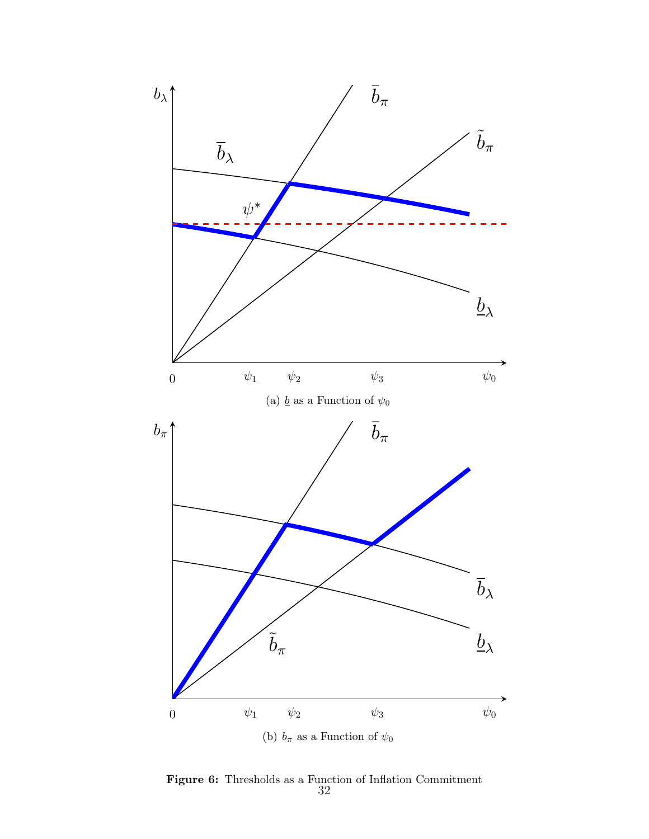<span id="page-31-0"></span>

Figure 6: Thresholds as a Function of Inflation Commitment 32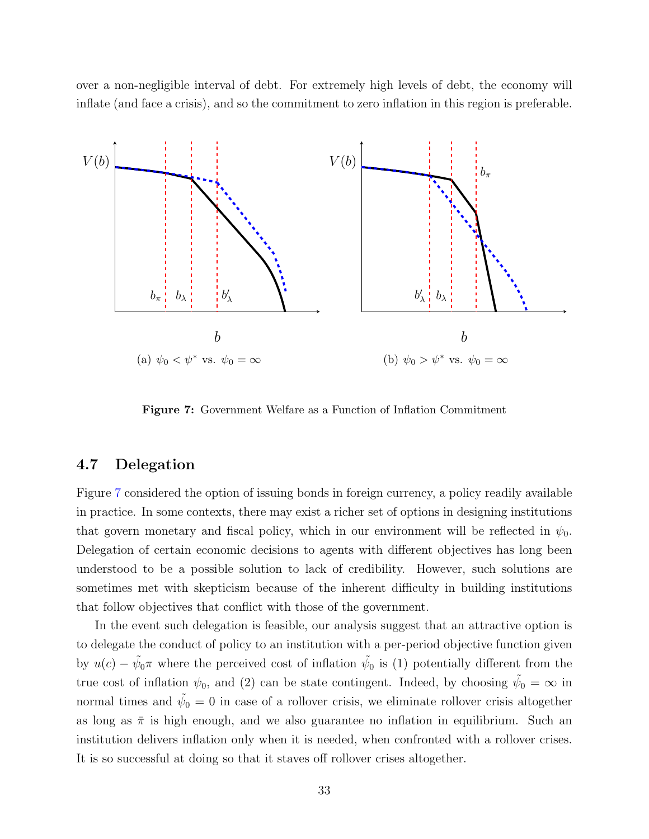over a non-negligible interval of debt. For extremely high levels of debt, the economy will inflate (and face a crisis), and so the commitment to zero inflation in this region is preferable.

<span id="page-32-0"></span>

 $\mathbf{e}^{\mathbf{a}}$ Figure 7: Government Welfare as a Function of Inflation Commitment

# 4.7 Delegation with reducing the exposure to a roll of the exposure to a roll of the exposure relation of the exposure to a roll of the exposure of the exposure to a roll of the exposure of the exposure of the exposure of

solely on foreign currency debt for international bond issues. The analysis rationalizes in practice. In some contexts, there may exist a richer set of options in designing institutions that govern monetary and fiscal policy, which in our environment will be reflected in  $\psi_0$ . Delegation of certain economic decisions to agents with different objectives has long been understood to be a possible solution to lack of credibility. However, such solutions are sometimes met with skepticism because of the inherent difficulty in building institutions that follow objectives that conflict with those of the government. Figure [7](#page-32-0) considered the option of issuing bonds in foreign currency, a policy readily available

In the event such delegation is feasible, our analysis suggest that an attractive option is to delegate the conduct of policy to an institution with a per-period objective function given true cost of inflation  $\psi_0$ , and (2) can be state contingent. Indeed, by choosing  $\tilde{\psi}_0 = \infty$  in normal times and  $\tilde{\psi}_0 = 0$  in case of a rollover crisis, we eliminate rollover crisis altogether as long as  $\bar{\pi}$  is high enough, and we also guarantee no inflation in equilibrium. Such an It is so successful at doing so that it staves off rollover crises altogether. by  $u(c) - \tilde{\psi}_0 \pi$  where the perceived cost of inflation  $\tilde{\psi}_0$  is (1) potentially different from the institution delivers inflation only when it is needed, when confronted with a rollover crises.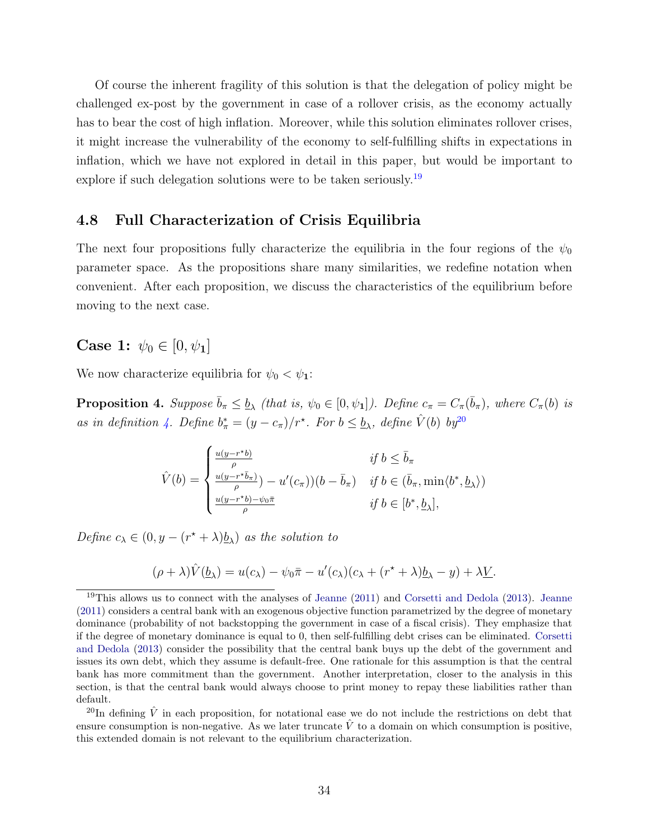Of course the inherent fragility of this solution is that the delegation of policy might be challenged ex-post by the government in case of a rollover crisis, as the economy actually has to bear the cost of high inflation. Moreover, while this solution eliminates rollover crises, it might increase the vulnerability of the economy to self-fulfilling shifts in expectations in inflation, which we have not explored in detail in this paper, but would be important to explore if such delegation solutions were to be taken seriously.<sup>[19](#page-33-0)</sup>

#### 4.8 Full Characterization of Crisis Equilibria

The next four propositions fully characterize the equilibria in the four regions of the  $\psi_0$ parameter space. As the propositions share many similarities, we redefine notation when convenient. After each proposition, we discuss the characteristics of the equilibrium before moving to the next case.

**Case 1:**  $\psi_0 \in [0, \psi_1]$ 

<span id="page-33-2"></span>We now characterize equilibria for  $\psi_0 < \psi_1$ :

**Proposition 4.** Suppose  $\bar{b}_{\pi} \leq \underline{b}_{\lambda}$  (that is,  $\psi_0 \in [0, \psi_1]$ ). Define  $c_{\pi} = C_{\pi}(\bar{b}_{\pi})$ , where  $C_{\pi}(b)$  is as in definition [4.](#page-13-3) Define  $b^*_{\pi} = (y - c_{\pi})/r^*$ . For  $b \leq b_{\lambda}$ , define  $\hat{V}(b)$  by<sup>[20](#page-33-1)</sup>

$$
\hat{V}(b) = \begin{cases}\n\frac{u(y - r^*b)}{\rho} & \text{if } b \leq \bar{b}_\pi \\
\frac{u(y - r^*\bar{b}_\pi)}{\rho} - u'(c_\pi))(b - \bar{b}_\pi) & \text{if } b \in (\bar{b}_\pi, \min\langle b^*, \underline{b}_\lambda \rangle) \\
\frac{u(y - r^*b) - \psi_0\bar{\pi}}{\rho} & \text{if } b \in [b^*, \underline{b}_\lambda],\n\end{cases}
$$

Define  $c_{\lambda} \in (0, y - (r^* + \lambda)\underline{b}_{\lambda})$  as the solution to

$$
(\rho + \lambda)\hat{V}(\underline{b}_{\lambda}) = u(c_{\lambda}) - \psi_0 \bar{\pi} - u'(c_{\lambda})(c_{\lambda} + (r^* + \lambda)\underline{b}_{\lambda} - y) + \lambda \underline{V}.
$$

<span id="page-33-1"></span><sup>20</sup>In defining  $\hat{V}$  in each proposition, for notational ease we do not include the restrictions on debt that ensure consumption is non-negative. As we later truncate  $\hat{V}$  to a domain on which consumption is positive, this extended domain is not relevant to the equilibrium characterization.

<span id="page-33-0"></span><sup>&</sup>lt;sup>19</sup>This allows us to connect with the analyses of [Jeanne](#page-50-8)  $(2011)$  and [Corsetti and Dedola](#page-50-7)  $(2013)$ . Jeanne [\(2011\)](#page-50-8) considers a central bank with an exogenous objective function parametrized by the degree of monetary dominance (probability of not backstopping the government in case of a fiscal crisis). They emphasize that if the degree of monetary dominance is equal to 0, then self-fulfilling debt crises can be eliminated. [Corsetti](#page-50-7) [and Dedola](#page-50-7) [\(2013\)](#page-50-7) consider the possibility that the central bank buys up the debt of the government and issues its own debt, which they assume is default-free. One rationale for this assumption is that the central bank has more commitment than the government. Another interpretation, closer to the analysis in this section, is that the central bank would always choose to print money to repay these liabilities rather than default.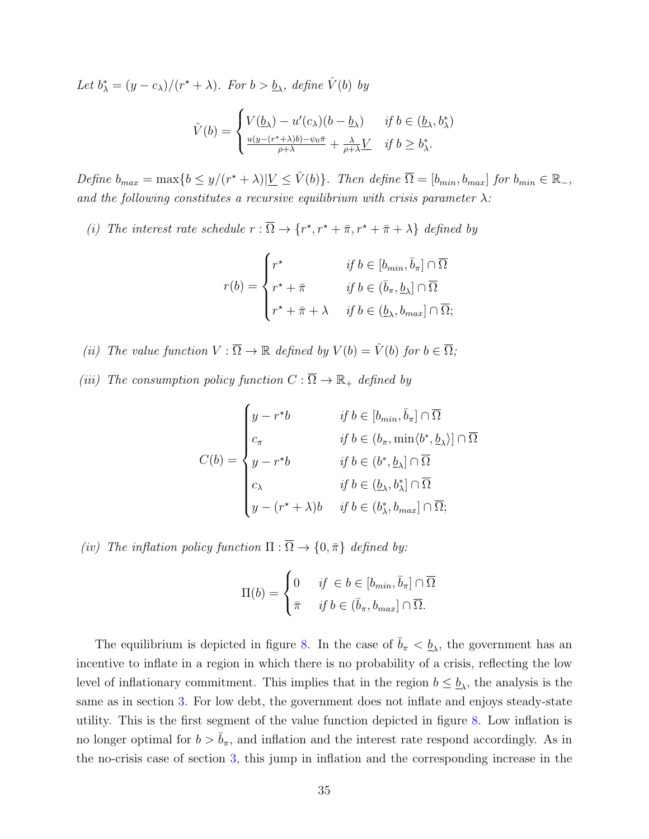Let  $b^*_{\lambda} = (y - c_{\lambda})/(r^* + \lambda)$ . For  $b > b_{\lambda}$ , define  $\hat{V}(b)$  by

$$
\hat{V}(b) = \begin{cases}\nV(\underline{b}_{\lambda}) - u'(c_{\lambda})(b - \underline{b}_{\lambda}) & \text{if } b \in (\underline{b}_{\lambda}, b_{\lambda}^{*}) \\
\frac{u(y - (r^{*} + \lambda)b) - \psi_{0}\bar{\pi}}{\rho + \lambda} + \frac{\lambda}{\rho + \lambda}L & \text{if } b \ge b_{\lambda}^{*}.\n\end{cases}
$$

Define  $b_{max} = \max\{b \leq y/(r^* + \lambda)|\underline{V} \leq \hat{V}(b)\}\$ . Then define  $\overline{\Omega} = [b_{min}, b_{max}]$  for  $b_{min} \in \mathbb{R}_-$ , and the following constitutes a recursive equilibrium with crisis parameter  $\lambda$ :

(i) The interest rate schedule  $r : \overline{\Omega} \to \{r^*, r^* + \overline{\pi}, r^* + \overline{\pi} + \lambda\}$  defined by

$$
r(b) = \begin{cases} r^* & \text{if } b \in [b_{min}, \bar{b}_{\pi}] \cap \overline{\Omega} \\ r^* + \bar{\pi} & \text{if } b \in (\bar{b}_{\pi}, \underline{b}_{\lambda}] \cap \overline{\Omega} \\ r^* + \bar{\pi} + \lambda & \text{if } b \in (\underline{b}_{\lambda}, b_{max}] \cap \overline{\Omega}; \end{cases}
$$

(ii) The value function  $V : \overline{\Omega} \to \mathbb{R}$  defined by  $V(b) = \hat{V}(b)$  for  $b \in \overline{\Omega}$ ;

(iii) The consumption policy function  $C : \overline{\Omega} \to \mathbb{R}_+$  defined by

$$
C(b) = \begin{cases} y - r^*b & \text{if } b \in [b_{min}, \bar{b}_\pi] \cap \overline{\Omega} \\ c_\pi & \text{if } b \in (b_\pi, \min\langle b^*, \underline{b}_\lambda \rangle] \cap \overline{\Omega} \\ y - r^*b & \text{if } b \in (b^*, \underline{b}_\lambda] \cap \overline{\Omega} \\ c_\lambda & \text{if } b \in (\underline{b}_\lambda, b^*_\lambda] \cap \overline{\Omega} \\ y - (r^* + \lambda)b & \text{if } b \in (b^*_\lambda, b_{max}] \cap \overline{\Omega}; \end{cases}
$$

(iv) The inflation policy function  $\Pi : \overline{\Omega} \to \{0, \bar{\pi}\}\$  defined by:

$$
\Pi(b) = \begin{cases} 0 & \text{if } \in b \in [b_{min}, \bar{b}_{\pi}] \cap \overline{\Omega} \\ \bar{\pi} & \text{if } b \in (\bar{b}_{\pi}, b_{max}] \cap \overline{\Omega}. \end{cases}
$$

The equilibrium is depicted in figure [8.](#page-35-0) In the case of  $\bar{b}_{\pi} < \underline{b}_{\lambda}$ , the government has an incentive to inflate in a region in which there is no probability of a crisis, reflecting the low level of inflationary commitment. This implies that in the region  $b \leq \underline{b}_{\lambda}$ , the analysis is the same as in section [3.](#page-8-0) For low debt, the government does not inflate and enjoys steady-state utility. This is the first segment of the value function depicted in figure [8.](#page-35-0) Low inflation is no longer optimal for  $b > \bar{b}_{\pi}$ , and inflation and the interest rate respond accordingly. As in the no-crisis case of section [3,](#page-8-0) this jump in inflation and the corresponding increase in the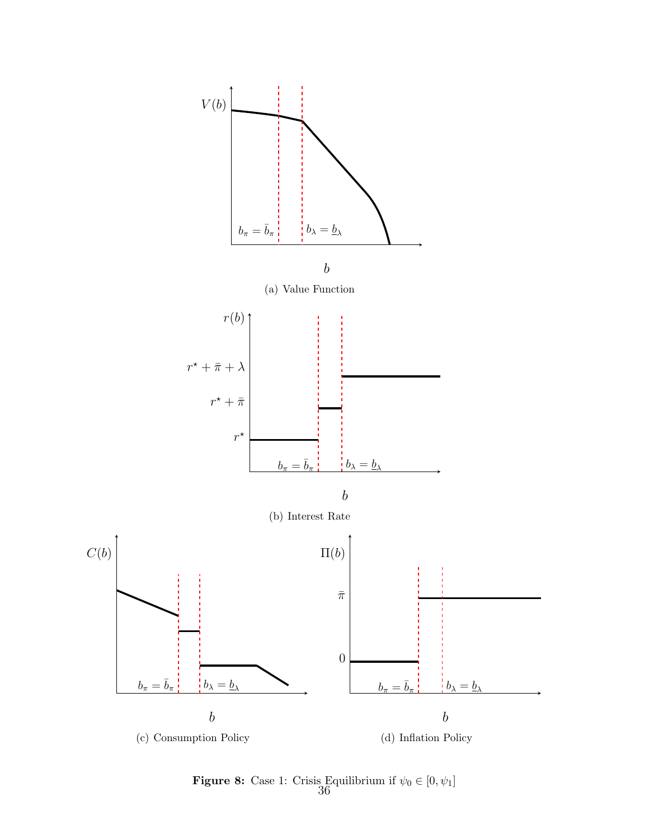<span id="page-35-0"></span>

**Figure 8:** Case 1: Crisis Equilibrium if  $\psi_0 \in [0, \psi_1]$ <br>36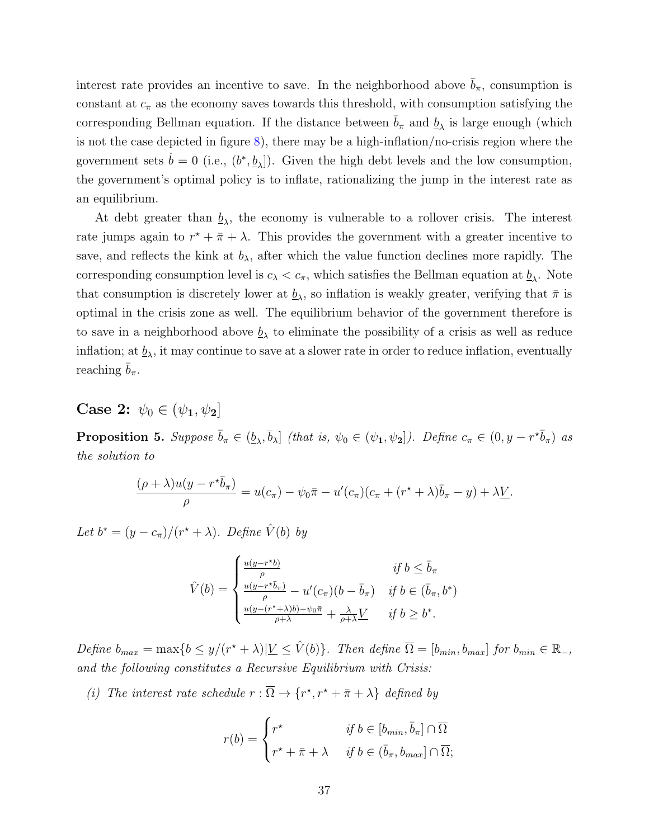interest rate provides an incentive to save. In the neighborhood above  $b_{\pi}$ , consumption is constant at  $c_{\pi}$  as the economy saves towards this threshold, with consumption satisfying the corresponding Bellman equation. If the distance between  $\bar{b}_{\pi}$  and  $\underline{b}_{\lambda}$  is large enough (which is not the case depicted in figure  $8$ ), there may be a high-inflation/no-crisis region where the government sets  $\dot{b} = 0$  (i.e.,  $(b^*, \underline{b}_{\lambda}]$ ). Given the high debt levels and the low consumption, the government's optimal policy is to inflate, rationalizing the jump in the interest rate as an equilibrium.

At debt greater than  $\underline{b}_{\lambda}$ , the economy is vulnerable to a rollover crisis. The interest rate jumps again to  $r^* + \bar{\pi} + \lambda$ . This provides the government with a greater incentive to save, and reflects the kink at  $b_{\lambda}$ , after which the value function declines more rapidly. The corresponding consumption level is  $c_{\lambda} < c_{\pi}$ , which satisfies the Bellman equation at  $\underline{b}_{\lambda}$ . Note that consumption is discretely lower at  $\underline{b}_{\lambda}$ , so inflation is weakly greater, verifying that  $\bar{\pi}$  is optimal in the crisis zone as well. The equilibrium behavior of the government therefore is to save in a neighborhood above  $\underline{b}_{\lambda}$  to eliminate the possibility of a crisis as well as reduce inflation; at  $\underline{b}_{\lambda}$ , it may continue to save at a slower rate in order to reduce inflation, eventually reaching  $b_\pi$ .

**Case 2:**  $\psi_0 \in (\psi_1, \psi_2]$ 

<span id="page-36-0"></span>**Proposition 5.** Suppose  $\bar{b}_{\pi} \in (\underline{b}_{\lambda}, \bar{b}_{\lambda}]$  (that is,  $\psi_0 \in (\psi_1, \psi_2]$ ). Define  $c_{\pi} \in (0, y - r^{\star} \bar{b}_{\pi})$  as the solution to

$$
\frac{(\rho + \lambda)u(y - r^*\overline{b}_{\pi})}{\rho} = u(c_{\pi}) - \psi_0\overline{\pi} - u'(c_{\pi})(c_{\pi} + (r^* + \lambda)\overline{b}_{\pi} - y) + \lambda\underline{V}.
$$

Let  $b^* = (y - c_{\pi})/(r^* + \lambda)$ . Define  $\hat{V}(b)$  by

$$
\hat{V}(b) = \begin{cases}\n\frac{u(y - r^*b)}{\rho} & \text{if } b \le \bar{b}_\pi \\
\frac{u(y - r^*\bar{b}_\pi)}{\rho} - u'(c_\pi)(b - \bar{b}_\pi) & \text{if } b \in (\bar{b}_\pi, b^*) \\
\frac{u(y - (r^* + \lambda)b) - \psi_0\bar{\pi}}{\rho + \lambda} + \frac{\lambda}{\rho + \lambda} \underline{V} & \text{if } b \ge b^*.\n\end{cases}
$$

Define  $b_{max} = \max\{b \leq y/(r^* + \lambda)|\underline{V} \leq \hat{V}(b)\}\$ . Then define  $\overline{\Omega} = [b_{min}, b_{max}]$  for  $b_{min} \in \mathbb{R}_-$ , and the following constitutes a Recursive Equilibrium with Crisis:

(i) The interest rate schedule  $r : \overline{\Omega} \to \{r^*, r^* + \overline{\pi} + \lambda\}$  defined by

$$
r(b) = \begin{cases} r^* & \text{if } b \in [b_{min}, \bar{b}_{\pi}] \cap \overline{\Omega} \\ r^* + \bar{\pi} + \lambda & \text{if } b \in (\bar{b}_{\pi}, b_{max}] \cap \overline{\Omega}; \end{cases}
$$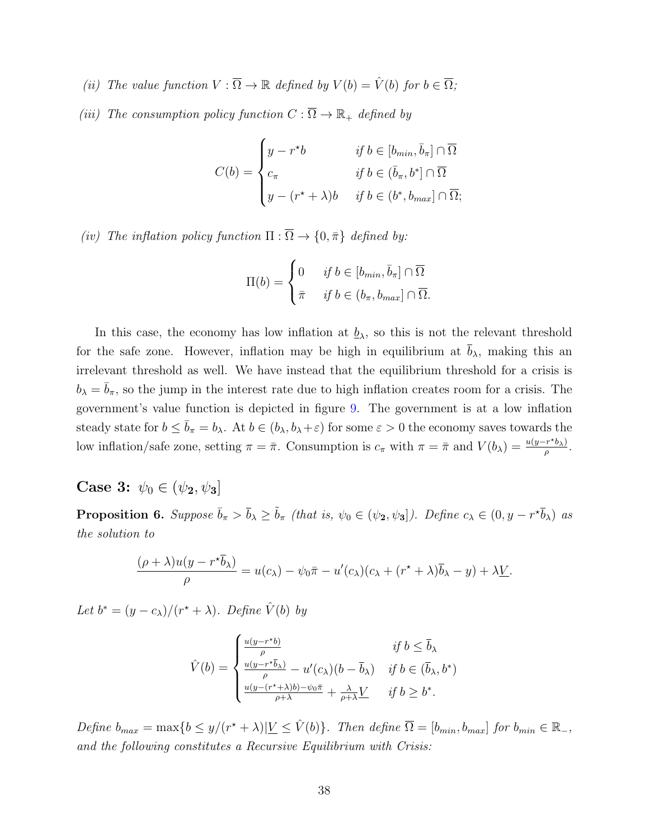(ii) The value function  $V : \overline{\Omega} \to \mathbb{R}$  defined by  $V(b) = \hat{V}(b)$  for  $b \in \overline{\Omega}$ ;

(iii) The consumption policy function  $C : \overline{\Omega} \to \mathbb{R}_+$  defined by

$$
C(b) = \begin{cases} y - r^*b & \text{if } b \in [b_{min}, \bar{b}_\pi] \cap \overline{\Omega} \\ c_\pi & \text{if } b \in (\bar{b}_\pi, b^*] \cap \overline{\Omega} \\ y - (r^* + \lambda)b & \text{if } b \in (b^*, b_{max}] \cap \overline{\Omega}; \end{cases}
$$

(iv) The inflation policy function  $\Pi : \overline{\Omega} \to \{0, \bar{\pi}\}\$  defined by:

$$
\Pi(b) = \begin{cases} 0 & \text{if } b \in [b_{min}, \bar{b}_{\pi}] \cap \overline{\Omega} \\ \bar{\pi} & \text{if } b \in (b_{\pi}, b_{max}] \cap \overline{\Omega}. \end{cases}
$$

In this case, the economy has low inflation at  $\underline{b}_{\lambda}$ , so this is not the relevant threshold for the safe zone. However, inflation may be high in equilibrium at  $\bar{b}_{\lambda}$ , making this an irrelevant threshold as well. We have instead that the equilibrium threshold for a crisis is  $b_{\lambda} = \overline{b}_{\pi}$ , so the jump in the interest rate due to high inflation creates room for a crisis. The government's value function is depicted in figure [9.](#page-38-0) The government is at a low inflation steady state for  $b \le \bar{b}_{\pi} = b_{\lambda}$ . At  $b \in (b_{\lambda}, b_{\lambda} + \varepsilon)$  for some  $\varepsilon > 0$  the economy saves towards the low inflation/safe zone, setting  $\pi = \bar{\pi}$ . Consumption is  $c_{\pi}$  with  $\pi = \bar{\pi}$  and  $V(b_{\lambda}) = \frac{u(y - r^* b_{\lambda})}{a}$  $\frac{\left(r^{\alpha}b_{\lambda}\right)}{\rho}$ .

**Case 3:**  $\psi_0 \in (\psi_2, \psi_3]$ 

<span id="page-37-0"></span>**Proposition 6.** Suppose  $\bar{b}_{\pi} > \bar{b}_{\lambda} \geq \tilde{b}_{\pi}$  (that is,  $\psi_0 \in (\psi_2, \psi_3]$ ). Define  $c_{\lambda} \in (0, y - r^{\star} \bar{b}_{\lambda})$  as the solution to

$$
\frac{(\rho + \lambda)u(y - r^*\overline{b}_\lambda)}{\rho} = u(c_\lambda) - \psi_0\overline{\pi} - u'(c_\lambda)(c_\lambda + (r^* + \lambda)\overline{b}_\lambda - y) + \lambda\underline{V}.
$$

Let  $b^* = (y - c_{\lambda})/(r^* + \lambda)$ . Define  $\hat{V}(b)$  by

$$
\hat{V}(b) = \begin{cases}\n\frac{u(y - r^*b)}{\rho} & \text{if } b \le \bar{b}_\lambda \\
\frac{u(y - r^*\bar{b}_\lambda)}{\rho} - u'(c_\lambda)(b - \bar{b}_\lambda) & \text{if } b \in (\bar{b}_\lambda, b^*) \\
\frac{u(y - (r^* + \lambda)b) - \psi_0\bar{\pi}}{\rho + \lambda} + \frac{\lambda}{\rho + \lambda}L & \text{if } b \ge b^*. \n\end{cases}
$$

Define  $b_{max} = \max\{b \leq y/(r^* + \lambda)|\underline{V} \leq \hat{V}(b)\}\$ . Then define  $\overline{\Omega} = [b_{min}, b_{max}]$  for  $b_{min} \in \mathbb{R}_-$ , and the following constitutes a Recursive Equilibrium with Crisis: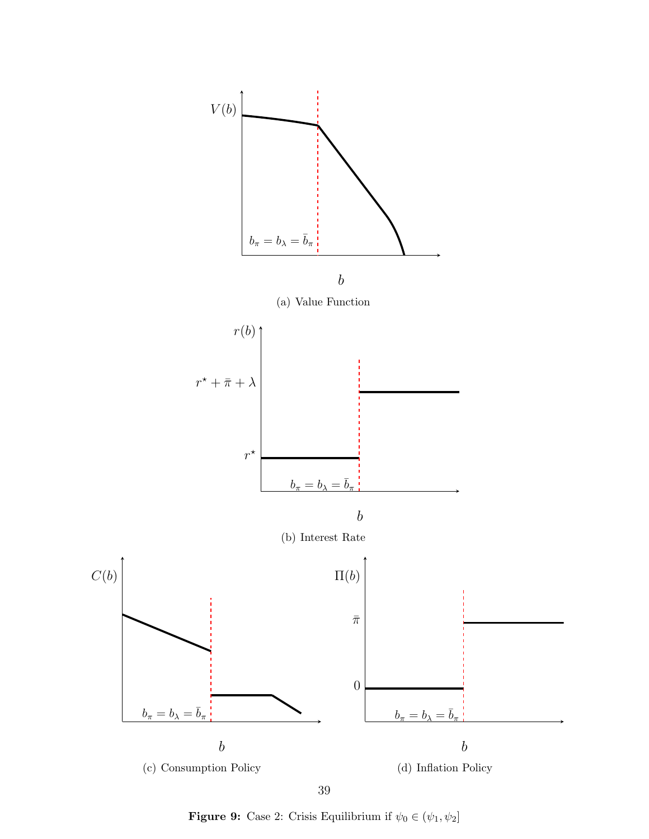<span id="page-38-0"></span>

**Figure 9:** Case 2: Crisis Equilibrium if  $\psi_0 \in (\psi_1, \psi_2]$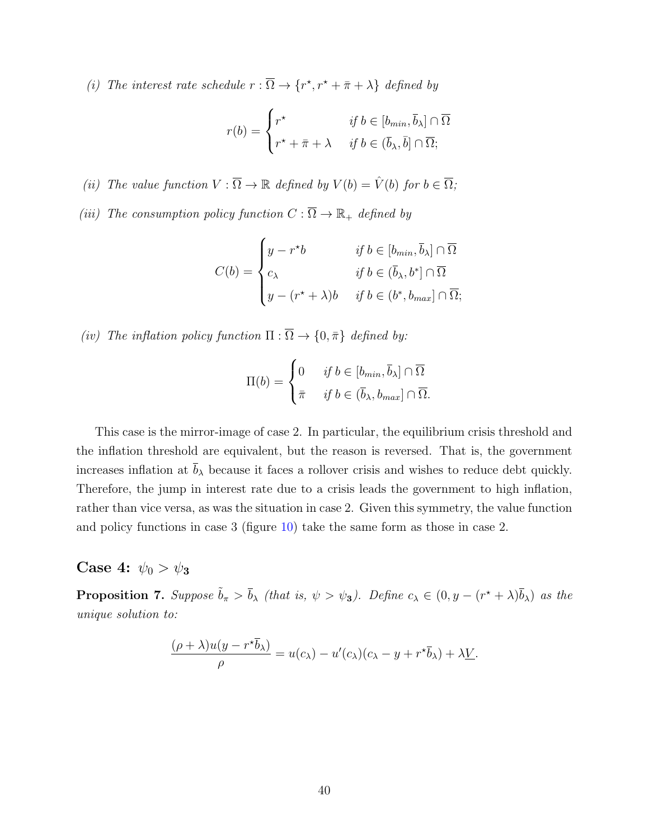(i) The interest rate schedule  $r : \overline{\Omega} \to \{r^*, r^* + \overline{\pi} + \lambda\}$  defined by

$$
r(b) = \begin{cases} r^* & \text{if } b \in [b_{min}, \overline{b}_{\lambda}] \cap \overline{\Omega} \\ r^* + \overline{\pi} + \lambda & \text{if } b \in (\overline{b}_{\lambda}, \overline{b}] \cap \overline{\Omega}; \end{cases}
$$

- (ii) The value function  $V : \overline{\Omega} \to \mathbb{R}$  defined by  $V(b) = \hat{V}(b)$  for  $b \in \overline{\Omega}$ ;
- (iii) The consumption policy function  $C : \overline{\Omega} \to \mathbb{R}_+$  defined by

$$
C(b) = \begin{cases} y - r^*b & \text{if } b \in [b_{min}, \overline{b}_{\lambda}] \cap \overline{\Omega} \\ c_{\lambda} & \text{if } b \in (\overline{b}_{\lambda}, b^*] \cap \overline{\Omega} \\ y - (r^* + \lambda)b & \text{if } b \in (b^*, b_{max}] \cap \overline{\Omega}; \end{cases}
$$

(iv) The inflation policy function  $\Pi : \overline{\Omega} \to \{0, \overline{\pi}\}\$  defined by:

$$
\Pi(b) = \begin{cases} 0 & \text{if } b \in [b_{min}, \overline{b}_{\lambda}] \cap \overline{\Omega} \\ \overline{\pi} & \text{if } b \in (\overline{b}_{\lambda}, b_{max}] \cap \overline{\Omega}. \end{cases}
$$

This case is the mirror-image of case 2. In particular, the equilibrium crisis threshold and the inflation threshold are equivalent, but the reason is reversed. That is, the government increases inflation at  $\bar{b}_{\lambda}$  because it faces a rollover crisis and wishes to reduce debt quickly. Therefore, the jump in interest rate due to a crisis leads the government to high inflation, rather than vice versa, as was the situation in case 2. Given this symmetry, the value function and policy functions in case 3 (figure [10\)](#page-40-0) take the same form as those in case 2.

### Case 4:  $\psi_0 > \psi_3$

<span id="page-39-0"></span>**Proposition 7.** Suppose  $\tilde{b}_{\pi} > \bar{b}_{\lambda}$  (that is,  $\psi > \psi_3$ ). Define  $c_{\lambda} \in (0, y - (r^* + \lambda)\bar{b}_{\lambda})$  as the unique solution to:

$$
\frac{(\rho + \lambda)u(y - r^*\overline{b}_\lambda)}{\rho} = u(c_\lambda) - u'(c_\lambda)(c_\lambda - y + r^*\overline{b}_\lambda) + \lambda \underline{V}.
$$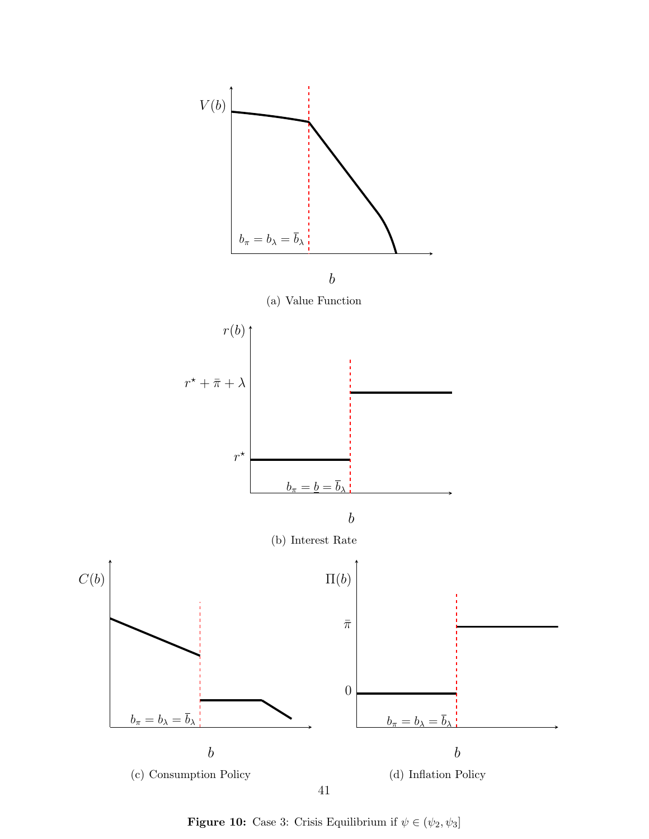<span id="page-40-0"></span>

**Figure 10:** Case 3: Crisis Equilibrium if  $\psi \in (\psi_2, \psi_3]$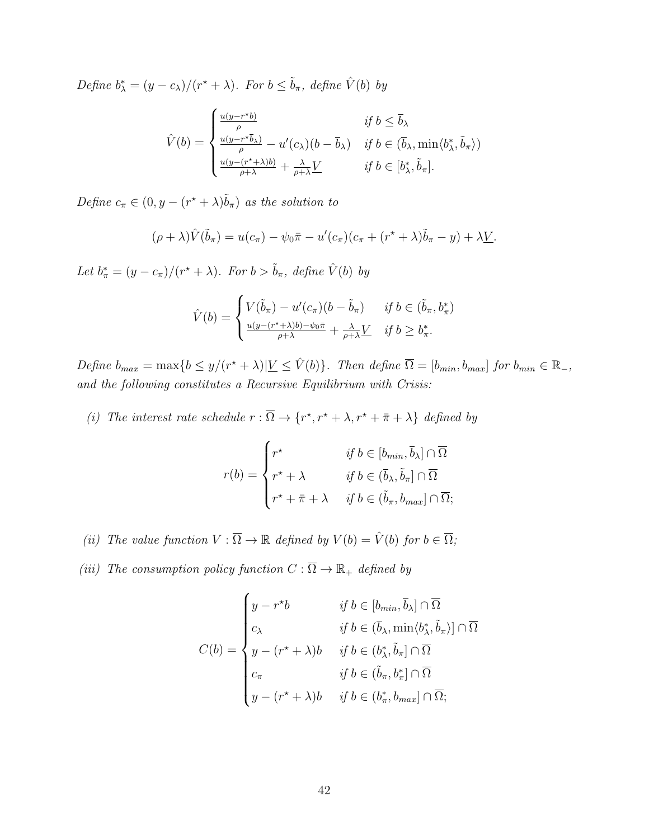Define  $b^*_{\lambda} = (y - c_{\lambda})/(r^* + \lambda)$ . For  $b \le \tilde{b}_{\pi}$ , define  $\hat{V}(b)$  by

$$
\hat{V}(b) = \begin{cases}\n\frac{u(y - r^*b)}{\rho} & \text{if } b \le \bar{b}_\lambda \\
\frac{u(y - r^*\bar{b}_\lambda)}{\rho} - u'(c_\lambda)(b - \bar{b}_\lambda) & \text{if } b \in (\bar{b}_\lambda, \min\langle b_\lambda^*, \tilde{b}_\pi \rangle) \\
\frac{u(y - (r^* + \lambda)b)}{\rho + \lambda} + \frac{\lambda}{\rho + \lambda} \underline{V} & \text{if } b \in [b_\lambda^*, \tilde{b}_\pi].\n\end{cases}
$$

Define  $c_{\pi} \in (0, y - (r^* + \lambda)\tilde{b}_{\pi})$  as the solution to

$$
(\rho + \lambda)\hat{V}(\tilde{b}_{\pi}) = u(c_{\pi}) - \psi_0 \bar{\pi} - u'(c_{\pi})(c_{\pi} + (r^{\star} + \lambda)\tilde{b}_{\pi} - y) + \lambda \underline{V}.
$$

Let  $b^*_{\pi} = (y - c_{\pi})/(r^* + \lambda)$ . For  $b > \tilde{b}_{\pi}$ , define  $\hat{V}(b)$  by

$$
\hat{V}(b) = \begin{cases}\nV(\tilde{b}_{\pi}) - u'(c_{\pi})(b - \tilde{b}_{\pi}) & \text{if } b \in (\tilde{b}_{\pi}, b_{\pi}^{*}) \\
\frac{u(y - (r^{*} + \lambda)b) - \psi_{0}\bar{\pi}}{\rho + \lambda} + \frac{\lambda}{\rho + \lambda}L & \text{if } b \ge b_{\pi}^{*}.\n\end{cases}
$$

Define  $b_{max} = \max\{b \leq y/(r^* + \lambda)|\underline{V} \leq \hat{V}(b)\}\$ . Then define  $\overline{\Omega} = [b_{min}, b_{max}]$  for  $b_{min} \in \mathbb{R}_-$ , and the following constitutes a Recursive Equilibrium with Crisis:

(i) The interest rate schedule  $r : \overline{\Omega} \to \{r^*, r^* + \lambda, r^* + \overline{\pi} + \lambda\}$  defined by

$$
r(b) = \begin{cases} r^* & \text{if } b \in [b_{min}, \overline{b}_{\lambda}] \cap \overline{\Omega} \\ r^* + \lambda & \text{if } b \in (\overline{b}_{\lambda}, \widetilde{b}_{\pi}] \cap \overline{\Omega} \\ r^* + \overline{\pi} + \lambda & \text{if } b \in (\widetilde{b}_{\pi}, b_{max}] \cap \overline{\Omega}; \end{cases}
$$

- (ii) The value function  $V : \overline{\Omega} \to \mathbb{R}$  defined by  $V(b) = \hat{V}(b)$  for  $b \in \overline{\Omega}$ ;
- (iii) The consumption policy function  $C : \overline{\Omega} \to \mathbb{R}_+$  defined by

$$
C(b) = \begin{cases} y - r^*b & \text{if } b \in [b_{min}, \overline{b}_{\lambda}] \cap \overline{\Omega} \\ c_{\lambda} & \text{if } b \in (\overline{b}_{\lambda}, \min \langle b_{\lambda}^*, \tilde{b}_{\pi} \rangle] \cap \overline{\Omega} \\ y - (r^* + \lambda)b & \text{if } b \in (b_{\lambda}^*, \tilde{b}_{\pi}] \cap \overline{\Omega} \\ c_{\pi} & \text{if } b \in (\tilde{b}_{\pi}, b_{\pi}^*] \cap \overline{\Omega} \\ y - (r^* + \lambda)b & \text{if } b \in (b_{\pi}^*, b_{max}] \cap \overline{\Omega}; \end{cases}
$$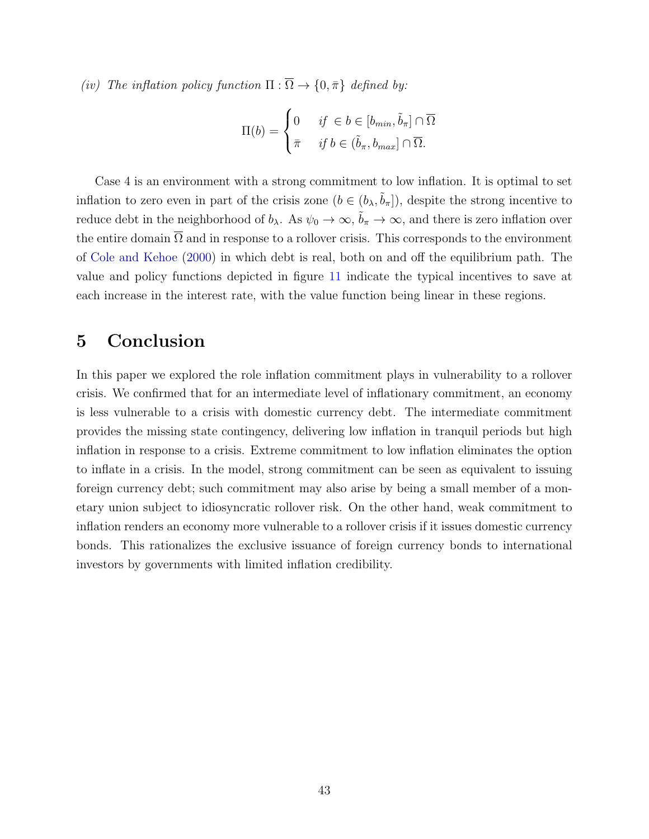(iv) The inflation policy function  $\Pi : \overline{\Omega} \to \{0, \overline{\pi}\}\$  defined by:

$$
\Pi(b) = \begin{cases} 0 & \text{if } \in b \in [b_{min}, \tilde{b}_{\pi}] \cap \overline{\Omega} \\ \bar{\pi} & \text{if } b \in (\tilde{b}_{\pi}, b_{max}] \cap \overline{\Omega}. \end{cases}
$$

Case 4 is an environment with a strong commitment to low inflation. It is optimal to set inflation to zero even in part of the crisis zone  $(b \in (b_{\lambda}, \tilde{b}_{\pi}])$ , despite the strong incentive to reduce debt in the neighborhood of  $b_\lambda$ . As  $\psi_0 \to \infty$ ,  $\tilde{b}_\pi \to \infty$ , and there is zero inflation over the entire domain  $\overline{\Omega}$  and in response to a rollover crisis. This corresponds to the environment of [Cole and Kehoe](#page-50-1) [\(2000\)](#page-50-1) in which debt is real, both on and off the equilibrium path. The value and policy functions depicted in figure [11](#page-43-0) indicate the typical incentives to save at each increase in the interest rate, with the value function being linear in these regions.

# <span id="page-42-0"></span>5 Conclusion

In this paper we explored the role inflation commitment plays in vulnerability to a rollover crisis. We confirmed that for an intermediate level of inflationary commitment, an economy is less vulnerable to a crisis with domestic currency debt. The intermediate commitment provides the missing state contingency, delivering low inflation in tranquil periods but high inflation in response to a crisis. Extreme commitment to low inflation eliminates the option to inflate in a crisis. In the model, strong commitment can be seen as equivalent to issuing foreign currency debt; such commitment may also arise by being a small member of a monetary union subject to idiosyncratic rollover risk. On the other hand, weak commitment to inflation renders an economy more vulnerable to a rollover crisis if it issues domestic currency bonds. This rationalizes the exclusive issuance of foreign currency bonds to international investors by governments with limited inflation credibility.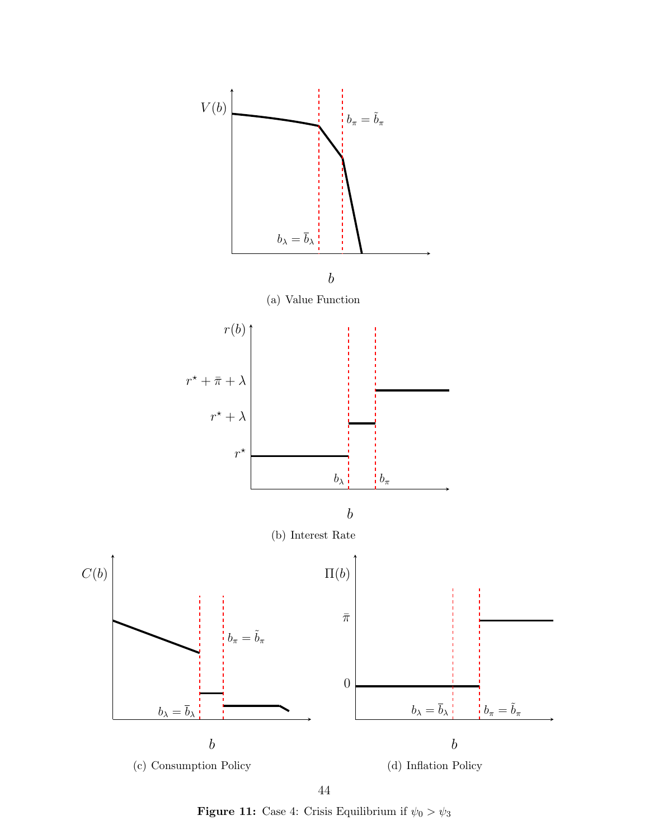<span id="page-43-0"></span>

44

**Figure 11:** Case 4: Crisis Equilibrium if  $\psi_0 > \psi_3$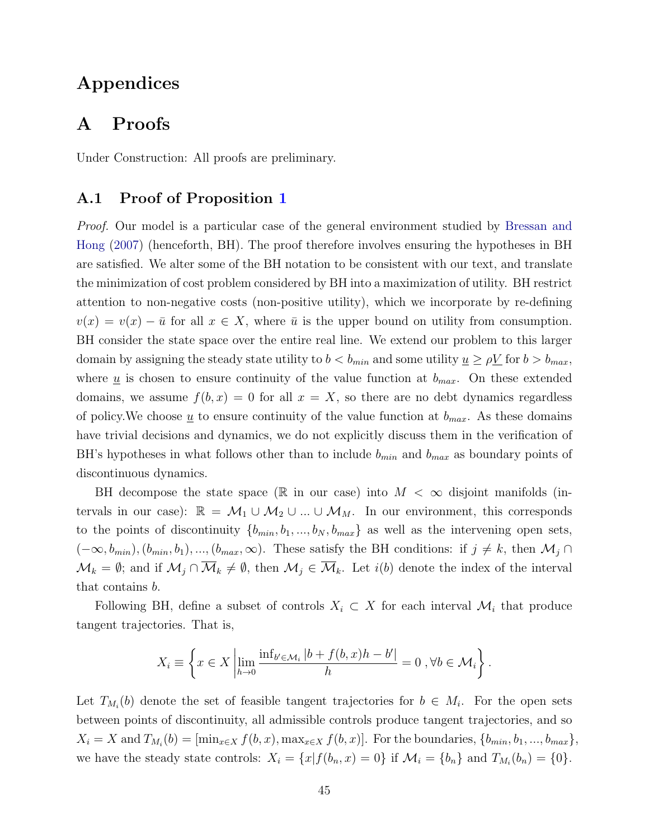# Appendices

## A Proofs

Under Construction: All proofs are preliminary.

#### <span id="page-44-0"></span>A.1 Proof of Proposition [1](#page-12-2)

Proof. Our model is a particular case of the general environment studied by [Bressan and](#page-50-12) [Hong](#page-50-12) [\(2007\)](#page-50-12) (henceforth, BH). The proof therefore involves ensuring the hypotheses in BH are satisfied. We alter some of the BH notation to be consistent with our text, and translate the minimization of cost problem considered by BH into a maximization of utility. BH restrict attention to non-negative costs (non-positive utility), which we incorporate by re-defining  $v(x) = v(x) - \bar{u}$  for all  $x \in X$ , where  $\bar{u}$  is the upper bound on utility from consumption. BH consider the state space over the entire real line. We extend our problem to this larger domain by assigning the steady state utility to  $b < b_{min}$  and some utility  $\underline{u} \ge \rho \underline{V}$  for  $b > b_{max}$ , where  $\underline{u}$  is chosen to ensure continuity of the value function at  $b_{max}$ . On these extended domains, we assume  $f(b, x) = 0$  for all  $x = X$ , so there are no debt dynamics regardless of policy. We choose <u>u</u> to ensure continuity of the value function at  $b_{max}$ . As these domains have trivial decisions and dynamics, we do not explicitly discuss them in the verification of BH's hypotheses in what follows other than to include  $b_{min}$  and  $b_{max}$  as boundary points of discontinuous dynamics.

BH decompose the state space ( $\mathbb R$  in our case) into  $M < \infty$  disjoint manifolds (intervals in our case):  $\mathbb{R} = \mathcal{M}_1 \cup \mathcal{M}_2 \cup ... \cup \mathcal{M}_M$ . In our environment, this corresponds to the points of discontinuity  $\{b_{min}, b_1, ..., b_N, b_{max}\}$  as well as the intervening open sets,  $(-\infty, b_{min}), (b_{min}, b_1), ..., (b_{max}, \infty)$ . These satisfy the BH conditions: if  $j \neq k$ , then  $\mathcal{M}_j \cap$  $\mathcal{M}_k = \emptyset$ ; and if  $\mathcal{M}_j \cap \overline{\mathcal{M}}_k \neq \emptyset$ , then  $\mathcal{M}_j \in \overline{\mathcal{M}}_k$ . Let  $i(b)$  denote the index of the interval that contains b.

Following BH, define a subset of controls  $X_i \subset X$  for each interval  $\mathcal{M}_i$  that produce tangent trajectories. That is,

$$
X_i \equiv \left\{ x \in X \left| \lim_{h \to 0} \frac{\inf_{b' \in \mathcal{M}_i} |b + f(b, x)h - b'|}{h} = 0, \forall b \in \mathcal{M}_i \right. \right\}.
$$

Let  $T_{M_i}(b)$  denote the set of feasible tangent trajectories for  $b \in M_i$ . For the open sets between points of discontinuity, all admissible controls produce tangent trajectories, and so  $X_i = X$  and  $T_{M_i}(b) = [\min_{x \in X} f(b, x), \max_{x \in X} f(b, x)].$  For the boundaries,  $\{b_{min}, b_1, ..., b_{max}\},$ we have the steady state controls:  $X_i = \{x | f(b_n, x) = 0\}$  if  $\mathcal{M}_i = \{b_n\}$  and  $T_{M_i}(b_n) = \{0\}$ .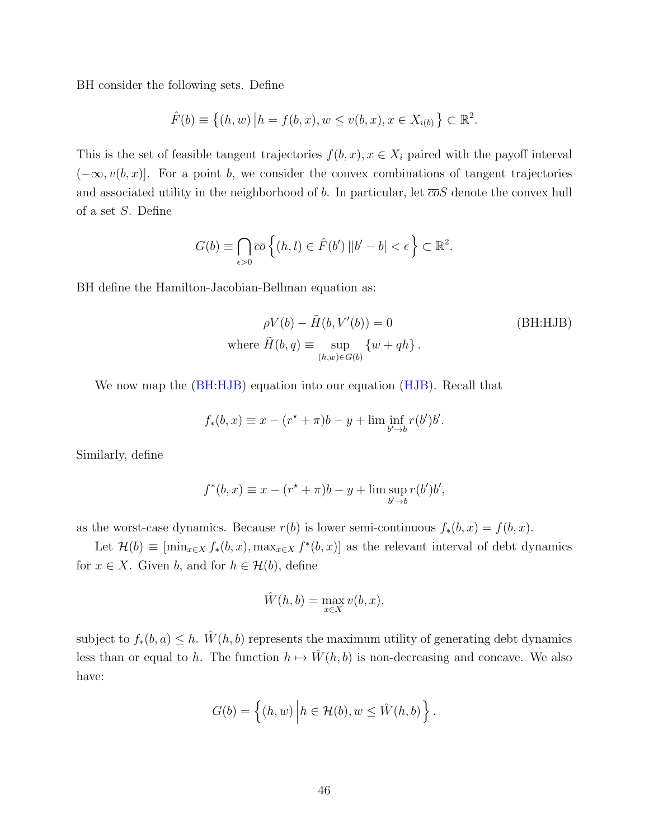BH consider the following sets. Define

$$
\hat{F}(b) \equiv \{(h, w) | h = f(b, x), w \le v(b, x), x \in X_{i(b)} \} \subset \mathbb{R}^2.
$$

This is the set of feasible tangent trajectories  $f(b, x), x \in X_i$  paired with the payoff interval  $(-\infty, v(b, x)]$ . For a point b, we consider the convex combinations of tangent trajectories and associated utility in the neighborhood of b. In particular, let  $\overline{co}S$  denote the convex hull of a set S. Define

$$
G(b) \equiv \bigcap_{\epsilon > 0} \overline{co} \left\{ (h, l) \in \hat{F}(b') \left| |b' - b| < \epsilon \right. \right\} \subset \mathbb{R}^2.
$$

BH define the Hamilton-Jacobian-Bellman equation as:

<span id="page-45-0"></span>
$$
\rho V(b) - \tilde{H}(b, V'(b)) = 0
$$
 (BH:HJB)  
where  $\tilde{H}(b, q) \equiv \sup_{(h, w) \in G(b)} \{w + qh\}.$ 

We now map the [\(BH:HJB\)](#page-45-0) equation into our equation [\(HJB\)](#page-10-0). Recall that

$$
f_*(b, x) \equiv x - (r^* + \pi)b - y + \liminf_{b' \to b} r(b')b'.
$$

Similarly, define

$$
f^*(b, x) \equiv x - (r^* + \pi)b - y + \limsup_{b' \to b} r(b')b',
$$

as the worst-case dynamics. Because  $r(b)$  is lower semi-continuous  $f_*(b, x) = f(b, x)$ .

Let  $\mathcal{H}(b) \equiv [\min_{x \in X} f_*(b, x), \max_{x \in X} f^*(b, x)]$  as the relevant interval of debt dynamics for  $x \in X$ . Given b, and for  $h \in \mathcal{H}(b)$ , define

$$
\hat{W}(h,b) = \max_{x \in X} v(b,x),
$$

subject to  $f_*(b, a) \leq h$ . Wî $(h, b)$  represents the maximum utility of generating debt dynamics less than or equal to h. The function  $h \mapsto \hat{W}(h, b)$  is non-decreasing and concave. We also have:

$$
G(b) = \left\{ (h, w) \middle| h \in \mathcal{H}(b), w \leq \hat{W}(h, b) \right\}.
$$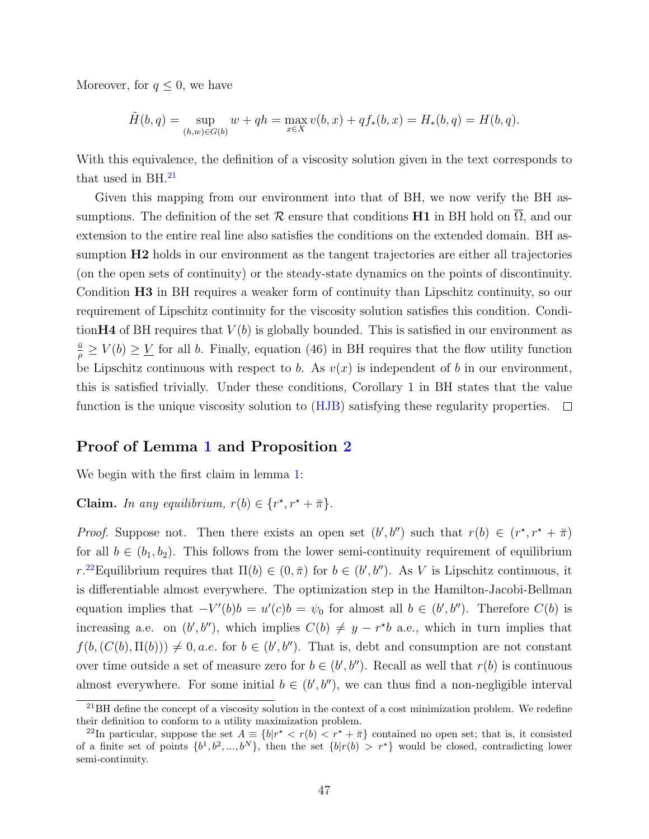Moreover, for  $q \leq 0$ , we have

$$
\tilde{H}(b,q) = \sup_{(h,w)\in G(b)} w + qh = \max_{x\in X} v(b,x) + qf_*(b,x) = H_*(b,q) = H(b,q).
$$

With this equivalence, the definition of a viscosity solution given in the text corresponds to that used in  $BH.^{21}$  $BH.^{21}$  $BH.^{21}$ 

Given this mapping from our environment into that of BH, we now verify the BH assumptions. The definition of the set  $\mathcal R$  ensure that conditions H1 in BH hold on  $\Omega$ , and our extension to the entire real line also satisfies the conditions on the extended domain. BH assumption  $H2$  holds in our environment as the tangent trajectories are either all trajectories (on the open sets of continuity) or the steady-state dynamics on the points of discontinuity. Condition H3 in BH requires a weaker form of continuity than Lipschitz continuity, so our requirement of Lipschitz continuity for the viscosity solution satisfies this condition. Condition H4 of BH requires that  $V(b)$  is globally bounded. This is satisfied in our environment as  $\frac{\bar{u}}{\rho} \ge V(b) \ge V$  for all b. Finally, equation (46) in BH requires that the flow utility function be Lipschitz continuous with respect to b. As  $v(x)$  is independent of b in our environment, this is satisfied trivially. Under these conditions, Corollary 1 in BH states that the value function is the unique viscosity solution to  $(HJB)$  satisfying these regularity properties.  $\Box$ 

#### Proof of Lemma [1](#page-13-1) and Proposition [2](#page-14-1)

We begin with the first claim in lemma [1:](#page-13-1)

# **Claim.** In any equilibrium,  $r(b) \in \{r^*, r^* + \overline{\pi}\}.$

*Proof.* Suppose not. Then there exists an open set  $(b', b'')$  such that  $r(b) \in (r^*, r^* + \overline{\pi})$ for all  $b \in (b_1, b_2)$ . This follows from the lower semi-continuity requirement of equilibrium r.<sup>[22](#page-46-1)</sup>Equilibrium requires that  $\Pi(b) \in (0, \bar{\pi})$  for  $b \in (b', b'')$ . As V is Lipschitz continuous, it is differentiable almost everywhere. The optimization step in the Hamilton-Jacobi-Bellman equation implies that  $-V'(b)b = u'(c)b = \psi_0$  for almost all  $b \in (b', b'')$ . Therefore  $C(b)$  is increasing a.e. on  $(b', b'')$ , which implies  $C(b) \neq y - r * b$  a.e., which in turn implies that  $f(b, (C(b), \Pi(b))) \neq 0$ , *a.e.* for  $b \in (b', b'')$ . That is, debt and consumption are not constant over time outside a set of measure zero for  $b \in (b', b'')$ . Recall as well that  $r(b)$  is continuous almost everywhere. For some initial  $b \in (b', b'')$ , we can thus find a non-negligible interval

<span id="page-46-0"></span> $^{21}$ BH define the concept of a viscosity solution in the context of a cost minimization problem. We redefine their definition to conform to a utility maximization problem.

<span id="page-46-1"></span><sup>&</sup>lt;sup>22</sup>In particular, suppose the set  $A = \{b|r^* < r(b) < r^* + \overline{\pi}\}\)$  contained no open set; that is, it consisted of a finite set of points  $\{b^1, b^2, ..., b^N\}$ , then the set  $\{b|r(b) > r^{\star}\}$  would be closed, contradicting lower semi-continuity.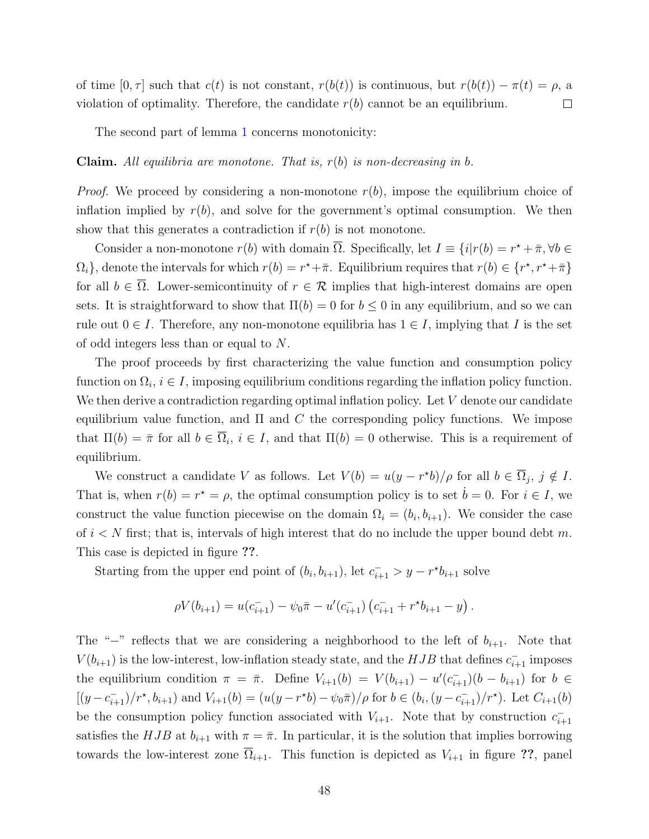of time  $[0, \tau]$  such that  $c(t)$  is not constant,  $r(b(t))$  is continuous, but  $r(b(t)) - \pi(t) = \rho$ , a violation of optimality. Therefore, the candidate  $r(b)$  cannot be an equilibrium.  $\Box$ 

The second part of lemma [1](#page-13-1) concerns monotonicity:

**Claim.** All equilibria are monotone. That is,  $r(b)$  is non-decreasing in b.

*Proof.* We proceed by considering a non-monotone  $r(b)$ , impose the equilibrium choice of inflation implied by  $r(b)$ , and solve for the government's optimal consumption. We then show that this generates a contradiction if  $r(b)$  is not monotone.

Consider a non-monotone  $r(b)$  with domain  $\overline{\Omega}$ . Specifically, let  $I \equiv \{i | r(b) = r^* + \overline{\pi}, \forall b \in \mathbb{R}\}$  $\Omega_i$ , denote the intervals for which  $r(b) = r^* + \bar{\pi}$ . Equilibrium requires that  $r(b) \in \{r^*, r^* + \bar{\pi}\}\$ for all  $b \in \overline{\Omega}$ . Lower-semicontinuity of  $r \in \mathcal{R}$  implies that high-interest domains are open sets. It is straightforward to show that  $\Pi(b) = 0$  for  $b \leq 0$  in any equilibrium, and so we can rule out  $0 \in I$ . Therefore, any non-monotone equilibria has  $1 \in I$ , implying that I is the set of odd integers less than or equal to N.

The proof proceeds by first characterizing the value function and consumption policy function on  $\Omega_i, i \in I$ , imposing equilibrium conditions regarding the inflation policy function. We then derive a contradiction regarding optimal inflation policy. Let V denote our candidate equilibrium value function, and  $\Pi$  and  $C$  the corresponding policy functions. We impose that  $\Pi(b) = \bar{\pi}$  for all  $b \in \Omega_i$ ,  $i \in I$ , and that  $\Pi(b) = 0$  otherwise. This is a requirement of equilibrium.

We construct a candidate V as follows. Let  $V(b) = u(y - r^*b)/\rho$  for all  $b \in \overline{\Omega}_j$ ,  $j \notin I$ . That is, when  $r(b) = r^* = \rho$ , the optimal consumption policy is to set  $\dot{b} = 0$ . For  $i \in I$ , we construct the value function piecewise on the domain  $\Omega_i = (b_i, b_{i+1})$ . We consider the case of  $i < N$  first; that is, intervals of high interest that do no include the upper bound debt m. This case is depicted in figure ??.

Starting from the upper end point of  $(b_i, b_{i+1})$ , let  $c_{i+1}^- > y - r^*b_{i+1}$  solve

$$
\rho V(b_{i+1}) = u(c_{i+1}) - \psi_0 \bar{\pi} - u'(c_{i+1}) (c_{i+1}^- + r^* b_{i+1} - y).
$$

The "−" reflects that we are considering a neighborhood to the left of  $b_{i+1}$ . Note that  $V(b_{i+1})$  is the low-interest, low-inflation steady state, and the  $HJB$  that defines  $c_{i+1}^-$  imposes the equilibrium condition  $\pi = \bar{\pi}$ . Define  $V_{i+1}(b) = V(b_{i+1}) - u'(c_{i+1})(b - b_{i+1})$  for  $b \in$  $[(y-c_{i+1}^-)/r^*,b_{i+1})$  and  $V_{i+1}(b) = (u(y-r^*b) - \psi_0\bar{\pi})/\rho$  for  $b \in (b_i, (y-c_{i+1}^-)/r^*)$ . Let  $C_{i+1}(b)$ be the consumption policy function associated with  $V_{i+1}$ . Note that by construction  $c_{i+1}^$ satisfies the HJB at  $b_{i+1}$  with  $\pi = \bar{\pi}$ . In particular, it is the solution that implies borrowing towards the low-interest zone  $\overline{\Omega}_{i+1}$ . This function is depicted as  $V_{i+1}$  in figure ??, panel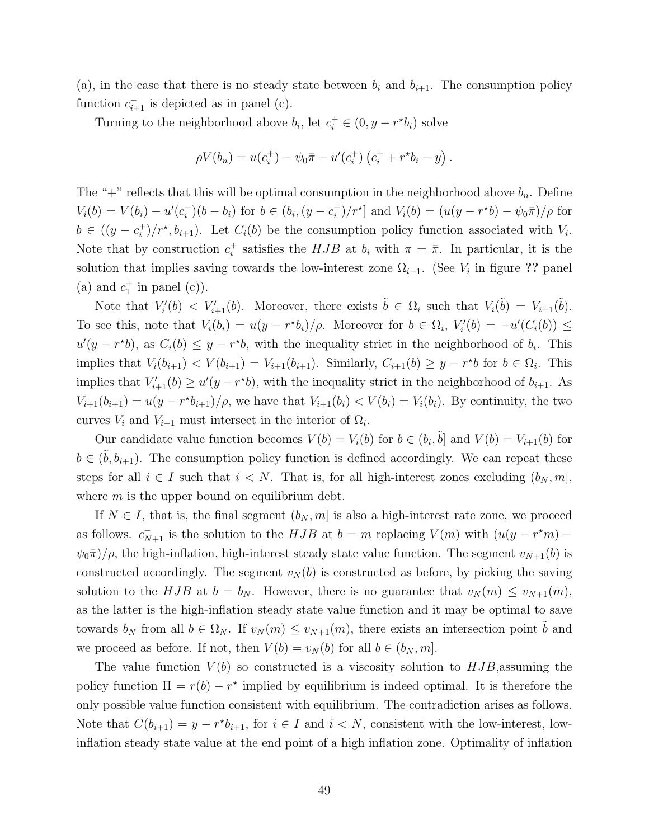(a), in the case that there is no steady state between  $b_i$  and  $b_{i+1}$ . The consumption policy function  $c_{i+1}^-$  is depicted as in panel (c).

Turning to the neighborhood above  $b_i$ , let  $c_i^+ \in (0, y - r^*b_i)$  solve

$$
\rho V(b_n) = u(c_i^+) - \psi_0 \bar{\pi} - u'(c_i^+) (c_i^+ + r^*b_i - y).
$$

The "+" reflects that this will be optimal consumption in the neighborhood above  $b_n$ . Define  $V_i(b) = V(b_i) - u'(c_i^-)(b - b_i)$  for  $b \in (b_i, (y - c_i^+)$  $\int_{i}^{+}$  $\int$ / $r^*$ ] and  $V_i(b) = (u(y - r^*b) - \psi_0 \bar{\pi})/\rho$  for  $b \in ((y - c_i^+)$ <sup>+</sup> $\frac{1}{i}$   $\left(r^*, b_{i+1}\right)$ . Let  $C_i(b)$  be the consumption policy function associated with  $V_i$ . Note that by construction  $c_i^+$ <sup>+</sup> satisfies the  $HJB$  at  $b_i$  with  $\pi = \bar{\pi}$ . In particular, it is the solution that implies saving towards the low-interest zone  $\Omega_{i-1}$ . (See  $V_i$  in figure ?? panel (a) and  $c_1^+$  in panel (c)).

Note that  $V_i'(b) < V_{i+1}'(b)$ . Moreover, there exists  $\tilde{b} \in \Omega_i$  such that  $V_i(\tilde{b}) = V_{i+1}(\tilde{b})$ . To see this, note that  $V_i(b_i) = u(y - r^*b_i)/\rho$ . Moreover for  $b \in \Omega_i$ ,  $V'_i(b) = -u'(C_i(b)) \le$  $u'(y - r^*b)$ , as  $C_i(b) \leq y - r^*b$ , with the inequality strict in the neighborhood of  $b_i$ . This implies that  $V_i(b_{i+1}) \langle V(b_{i+1}) - V_{i+1}(b_{i+1}) \rangle$ . Similarly,  $C_{i+1}(b) \ge y - r^*b$  for  $b \in \Omega_i$ . This implies that  $V'_{i+1}(b) \ge u'(y - r^*b)$ , with the inequality strict in the neighborhood of  $b_{i+1}$ . As  $V_{i+1}(b_{i+1}) = u(y - r^{*}b_{i+1})/\rho$ , we have that  $V_{i+1}(b_{i}) < V(b_{i}) = V_{i}(b_{i})$ . By continuity, the two curves  $V_i$  and  $V_{i+1}$  must intersect in the interior of  $\Omega_i$ .

Our candidate value function becomes  $V(b) = V_i(b)$  for  $b \in (b_i, \tilde{b}]$  and  $V(b) = V_{i+1}(b)$  for  $b \in (\tilde{b}, b_{i+1})$ . The consumption policy function is defined accordingly. We can repeat these steps for all  $i \in I$  such that  $i < N$ . That is, for all high-interest zones excluding  $(b_N, m]$ , where  $m$  is the upper bound on equilibrium debt.

If  $N \in I$ , that is, the final segment  $(b_N, m]$  is also a high-interest rate zone, we proceed as follows.  $c_{N+1}^-$  is the solution to the  $HJB$  at  $b = m$  replacing  $V(m)$  with  $(u(y - r^*m) \psi_0\bar{\pi}/\rho$ , the high-inflation, high-interest steady state value function. The segment  $v_{N+1}(b)$  is constructed accordingly. The segment  $v_N(b)$  is constructed as before, by picking the saving solution to the HJB at  $b = b_N$ . However, there is no guarantee that  $v_N(m) \le v_{N+1}(m)$ , as the latter is the high-inflation steady state value function and it may be optimal to save towards  $b_N$  from all  $b \in \Omega_N$ . If  $v_N(m) \le v_{N+1}(m)$ , there exists an intersection point  $\tilde{b}$  and we proceed as before. If not, then  $V(b) = v<sub>N</sub>(b)$  for all  $b \in (b<sub>N</sub>, m]$ .

The value function  $V(b)$  so constructed is a viscosity solution to  $HJB$ , assuming the policy function  $\Pi = r(b) - r^*$  implied by equilibrium is indeed optimal. It is therefore the only possible value function consistent with equilibrium. The contradiction arises as follows. Note that  $C(b_{i+1}) = y - r^*b_{i+1}$ , for  $i \in I$  and  $i < N$ , consistent with the low-interest, lowinflation steady state value at the end point of a high inflation zone. Optimality of inflation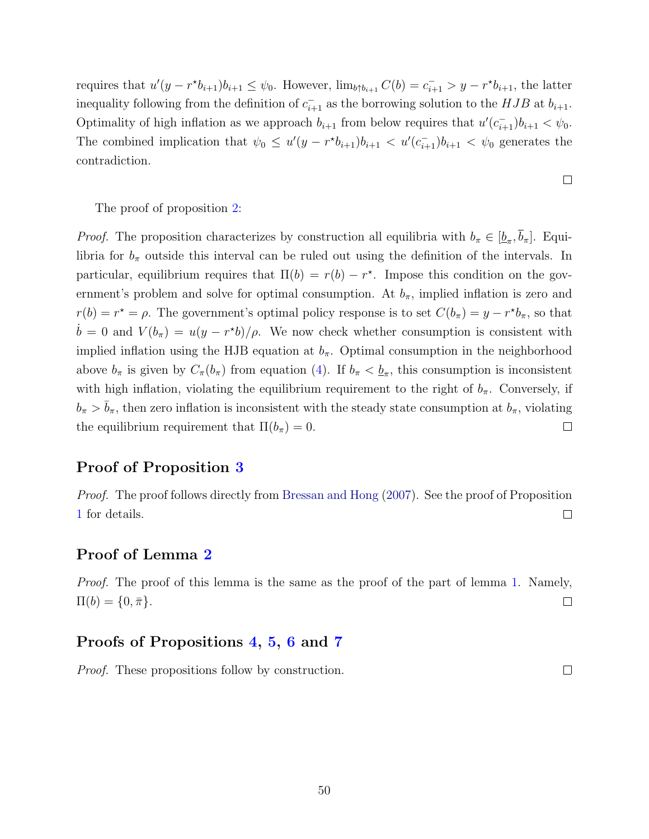requires that  $u'(y - r^*b_{i+1})b_{i+1} \leq \psi_0$ . However,  $\lim_{b \uparrow b_{i+1}} C(b) = c_{i+1}^- > y - r^*b_{i+1}$ , the latter inequality following from the definition of  $c_{i+1}^-$  as the borrowing solution to the  $HJB$  at  $b_{i+1}$ . Optimality of high inflation as we approach  $b_{i+1}$  from below requires that  $u'(c_{i+1})b_{i+1} < \psi_0$ . The combined implication that  $\psi_0 \leq u'(y - r^* b_{i+1})b_{i+1} < u'(c_{i+1})b_{i+1} < \psi_0$  generates the contradiction.

The proof of proposition [2:](#page-14-1)

*Proof.* The proposition characterizes by construction all equilibria with  $b_{\pi} \in [\underline{b}_{\pi}, b_{\pi}]$ . Equilibria for  $b_{\pi}$  outside this interval can be ruled out using the definition of the intervals. In particular, equilibrium requires that  $\Pi(b) = r(b) - r^*$ . Impose this condition on the government's problem and solve for optimal consumption. At  $b_{\pi}$ , implied inflation is zero and  $r(b) = r^* = \rho$ . The government's optimal policy response is to set  $C(b_{\pi}) = y - r^*b_{\pi}$ , so that  $\dot{b} = 0$  and  $V(b_{\pi}) = u(y - r^*b)/\rho$ . We now check whether consumption is consistent with implied inflation using the HJB equation at  $b_{\pi}$ . Optimal consumption in the neighborhood above  $b_{\pi}$  is given by  $C_{\pi}(b_{\pi})$  from equation [\(4\)](#page-14-0). If  $b_{\pi} < \underline{b}_{\pi}$ , this consumption is inconsistent with high inflation, violating the equilibrium requirement to the right of  $b_{\pi}$ . Conversely, if  $b_\pi > \bar{b}_\pi$ , then zero inflation is inconsistent with the steady state consumption at  $b_\pi$ , violating the equilibrium requirement that  $\Pi(b_\pi) = 0$ .  $\Box$ 

#### Proof of Proposition [3](#page-23-3)

<span id="page-49-0"></span>Proof. The proof follows directly from [Bressan and Hong](#page-50-12) [\(2007\)](#page-50-12). See the proof of Proposition [1](#page-12-2) for details.  $\Box$ 

#### Proof of Lemma [2](#page-24-0)

Proof. The proof of this lemma is the same as the proof of the part of lemma [1.](#page-13-1) Namely,  $\Pi(b) = \{0, \bar{\pi}\}.$  $\Box$ 

#### Proofs of Propositions [4,](#page-33-2) [5,](#page-36-0) [6](#page-37-0) and [7](#page-39-0)

Proof. These propositions follow by construction.

 $\Box$ 

 $\Box$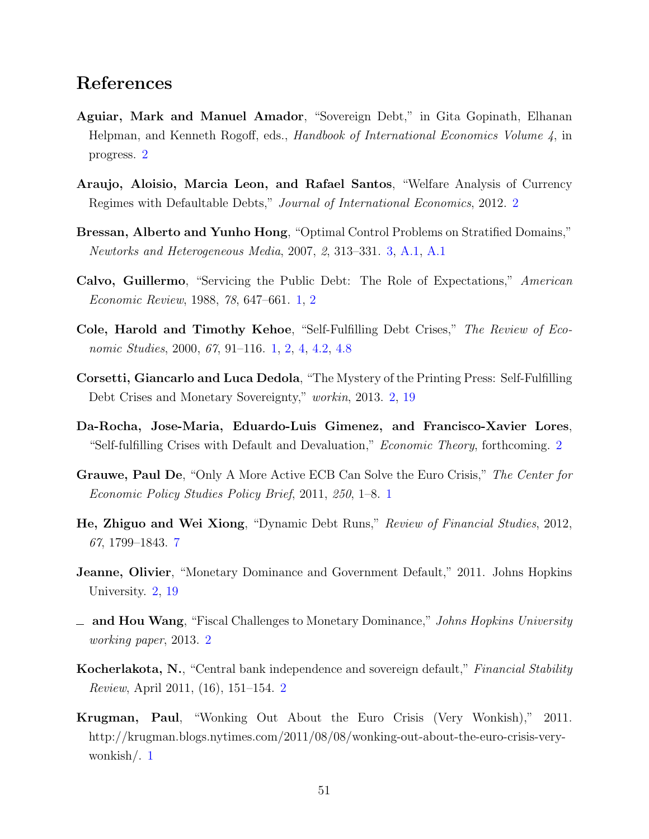# References

- <span id="page-50-4"></span>Aguiar, Mark and Manuel Amador, "Sovereign Debt," in Gita Gopinath, Elhanan Helpman, and Kenneth Rogoff, eds., Handbook of International Economics Volume 4, in progress. [2](#page-1-1)
- <span id="page-50-6"></span>Araujo, Aloisio, Marcia Leon, and Rafael Santos, "Welfare Analysis of Currency Regimes with Defaultable Debts," Journal of International Economics, 2012. [2](#page-1-1)
- <span id="page-50-12"></span>Bressan, Alberto and Yunho Hong, "Optimal Control Problems on Stratified Domains," Newtorks and Heterogeneous Media, 2007, 2, 313–331. [3,](#page-10-0) [A.1,](#page-44-0) [A.1](#page-49-0)
- <span id="page-50-0"></span>Calvo, Guillermo, "Servicing the Public Debt: The Role of Expectations," American Economic Review, 1988, 78, 647–661. [1,](#page-1-2) [2](#page-1-1)
- <span id="page-50-1"></span>Cole, Harold and Timothy Kehoe, "Self-Fulfilling Debt Crises," The Review of Eco-nomic Studies, 2000, 67, 91–116. [1,](#page-1-2) [2,](#page-1-1) [4,](#page-19-0) [4.2,](#page-22-0) [4.8](#page-43-0)
- <span id="page-50-7"></span>Corsetti, Giancarlo and Luca Dedola, "The Mystery of the Printing Press: Self-Fulfilling Debt Crises and Monetary Sovereignty," workin, 2013. [2,](#page-1-1) [19](#page-33-0)
- <span id="page-50-5"></span>Da-Rocha, Jose-Maria, Eduardo-Luis Gimenez, and Francisco-Xavier Lores, "Self-fulfilling Crises with Default and Devaluation," Economic Theory, forthcoming. [2](#page-1-1)
- <span id="page-50-2"></span>Grauwe, Paul De, "Only A More Active ECB Can Solve the Euro Crisis," The Center for Economic Policy Studies Policy Brief, 2011, 250, 1–8. [1](#page-1-0)
- <span id="page-50-11"></span>He, Zhiguo and Wei Xiong, "Dynamic Debt Runs," Review of Financial Studies, 2012, 67, 1799–1843. [7](#page-7-1)
- <span id="page-50-8"></span>Jeanne, Olivier, "Monetary Dominance and Government Default," 2011. Johns Hopkins University. [2,](#page-1-1) [19](#page-33-0)
- <span id="page-50-9"></span>- and Hou Wang, "Fiscal Challenges to Monetary Dominance," Johns Hopkins University working paper, 2013. [2](#page-1-1)
- <span id="page-50-10"></span>**Kocherlakota, N.,** "Central bank independence and sovereign default," Financial Stability Review, April 2011, (16), 151–154. [2](#page-1-1)
- <span id="page-50-3"></span>Krugman, Paul, "Wonking Out About the Euro Crisis (Very Wonkish)," 2011. http://krugman.blogs.nytimes.com/2011/08/08/wonking-out-about-the-euro-crisis-verywonkish/. [1](#page-1-0)